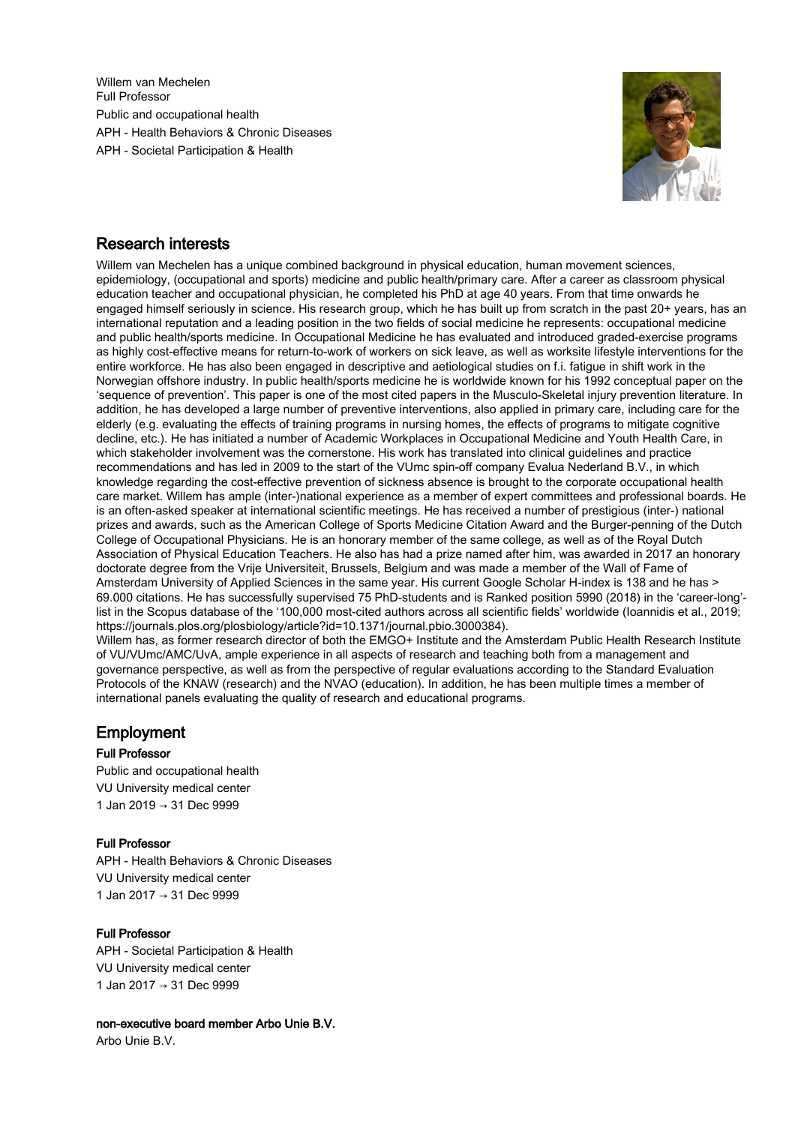Willem van Mechelen Full Professor Public and occupational health APH - Health Behaviors & Chronic Diseases APH - Societal Participation & Health



# Research interests

Willem van Mechelen has a unique combined background in physical education, human movement sciences, epidemiology, (occupational and sports) medicine and public health/primary care. After a career as classroom physical education teacher and occupational physician, he completed his PhD at age 40 years. From that time onwards he engaged himself seriously in science. His research group, which he has built up from scratch in the past 20+ years, has an international reputation and a leading position in the two fields of social medicine he represents: occupational medicine and public health/sports medicine. In Occupational Medicine he has evaluated and introduced graded-exercise programs as highly cost-effective means for return-to-work of workers on sick leave, as well as worksite lifestyle interventions for the entire workforce. He has also been engaged in descriptive and aetiological studies on f.i. fatigue in shift work in the Norwegian offshore industry. In public health/sports medicine he is worldwide known for his 1992 conceptual paper on the 'sequence of prevention'. This paper is one of the most cited papers in the Musculo-Skeletal injury prevention literature. In addition, he has developed a large number of preventive interventions, also applied in primary care, including care for the elderly (e.g. evaluating the effects of training programs in nursing homes, the effects of programs to mitigate cognitive decline, etc.). He has initiated a number of Academic Workplaces in Occupational Medicine and Youth Health Care, in which stakeholder involvement was the cornerstone. His work has translated into clinical guidelines and practice recommendations and has led in 2009 to the start of the VUmc spin-off company Evalua Nederland B.V., in which knowledge regarding the cost-effective prevention of sickness absence is brought to the corporate occupational health care market. Willem has ample (inter-)national experience as a member of expert committees and professional boards. He is an often-asked speaker at international scientific meetings. He has received a number of prestigious (inter-) national prizes and awards, such as the American College of Sports Medicine Citation Award and the Burger-penning of the Dutch College of Occupational Physicians. He is an honorary member of the same college, as well as of the Royal Dutch Association of Physical Education Teachers. He also has had a prize named after him, was awarded in 2017 an honorary doctorate degree from the Vrije Universiteit, Brussels, Belgium and was made a member of the Wall of Fame of Amsterdam University of Applied Sciences in the same year. His current Google Scholar H-index is 138 and he has > 69.000 citations. He has successfully supervised 75 PhD-students and is Ranked position 5990 (2018) in the 'career-long' list in the Scopus database of the '100,000 most-cited authors across all scientific fields' worldwide (Ioannidis et al., 2019; https://journals.plos.org/plosbiology/article?id=10.1371/journal.pbio.3000384).

Willem has, as former research director of both the EMGO+ Institute and the Amsterdam Public Health Research Institute of VU/VUmc/AMC/UvA, ample experience in all aspects of research and teaching both from a management and governance perspective, as well as from the perspective of regular evaluations according to the Standard Evaluation Protocols of the KNAW (research) and the NVAO (education). In addition, he has been multiple times a member of international panels evaluating the quality of research and educational programs.

# Employment

# Full Professor

Public and occupational health VU University medical center 1 Jan 2019 → 31 Dec 9999

# Full Professor

APH - Health Behaviors & Chronic Diseases VU University medical center 1 Jan 2017 → 31 Dec 9999

# Full Professor

APH - Societal Participation & Health VU University medical center 1 Jan 2017 → 31 Dec 9999

non-executive board member Arbo Unie B.V.

Arbo Unie B.V.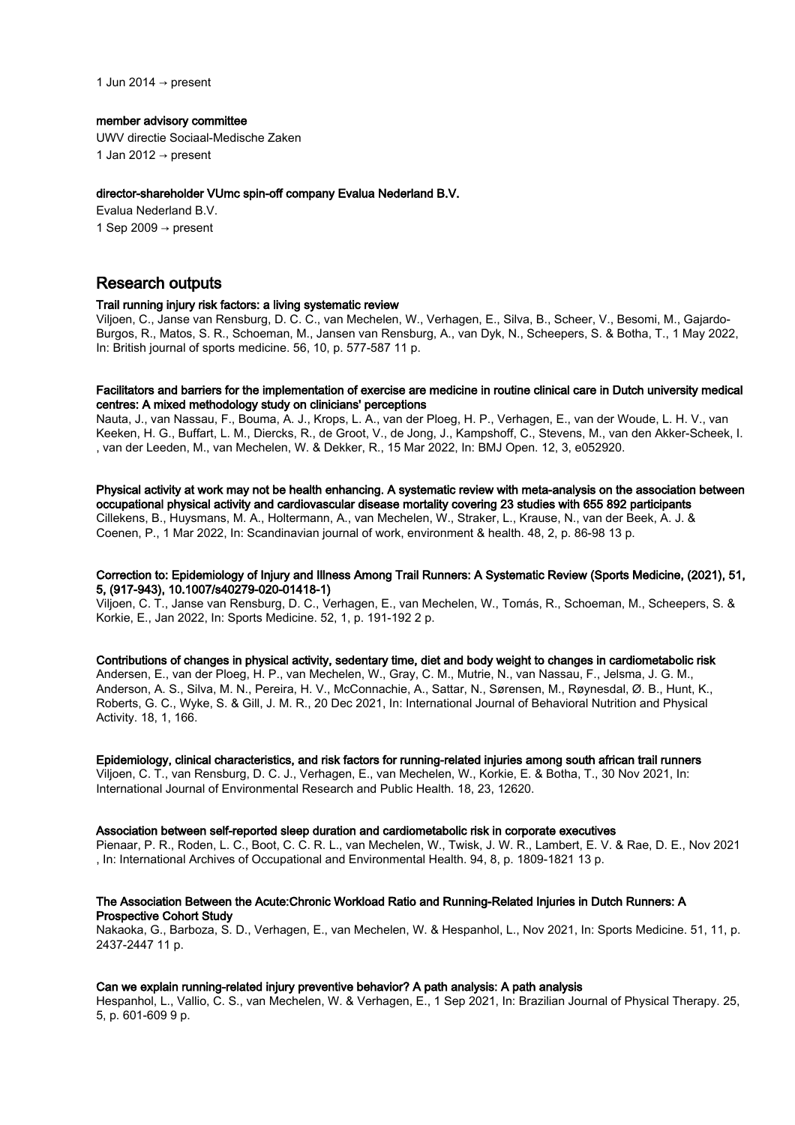1 Jun 2014  $\rightarrow$  present

#### member advisory committee

UWV directie Sociaal-Medische Zaken 1 Jan 2012  $\rightarrow$  present

#### director-shareholder VUmc spin-off company Evalua Nederland B.V.

Evalua Nederland B.V. 1 Sep 2009  $\rightarrow$  present

# Research outputs

## Trail running injury risk factors: a living systematic review

Viljoen, C., Janse van Rensburg, D. C. C., van Mechelen, W., Verhagen, E., Silva, B., Scheer, V., Besomi, M., Gajardo-Burgos, R., Matos, S. R., Schoeman, M., Jansen van Rensburg, A., van Dyk, N., Scheepers, S. & Botha, T., 1 May 2022, In: British journal of sports medicine. 56, 10, p. 577-587 11 p.

# Facilitators and barriers for the implementation of exercise are medicine in routine clinical care in Dutch university medical centres: A mixed methodology study on clinicians' perceptions

Nauta, J., van Nassau, F., Bouma, A. J., Krops, L. A., van der Ploeg, H. P., Verhagen, E., van der Woude, L. H. V., van Keeken, H. G., Buffart, L. M., Diercks, R., de Groot, V., de Jong, J., Kampshoff, C., Stevens, M., van den Akker-Scheek, I. , van der Leeden, M., van Mechelen, W. & Dekker, R., 15 Mar 2022, In: BMJ Open. 12, 3, e052920.

Physical activity at work may not be health enhancing. A systematic review with meta-analysis on the association between occupational physical activity and cardiovascular disease mortality covering 23 studies with 655 892 participants Cillekens, B., Huysmans, M. A., Holtermann, A., van Mechelen, W., Straker, L., Krause, N., van der Beek, A. J. & Coenen, P., 1 Mar 2022, In: Scandinavian journal of work, environment & health. 48, 2, p. 86-98 13 p.

# Correction to: Epidemiology of Injury and Illness Among Trail Runners: A Systematic Review (Sports Medicine, (2021), 51, 5, (917-943), 10.1007/s40279-020-01418-1)

Viljoen, C. T., Janse van Rensburg, D. C., Verhagen, E., van Mechelen, W., Tomás, R., Schoeman, M., Scheepers, S. & Korkie, E., Jan 2022, In: Sports Medicine. 52, 1, p. 191-192 2 p.

Contributions of changes in physical activity, sedentary time, diet and body weight to changes in cardiometabolic risk Andersen, E., van der Ploeg, H. P., van Mechelen, W., Gray, C. M., Mutrie, N., van Nassau, F., Jelsma, J. G. M., Anderson, A. S., Silva, M. N., Pereira, H. V., McConnachie, A., Sattar, N., Sørensen, M., Røynesdal, Ø. B., Hunt, K., Roberts, G. C., Wyke, S. & Gill, J. M. R., 20 Dec 2021, In: International Journal of Behavioral Nutrition and Physical Activity. 18, 1, 166.

Epidemiology, clinical characteristics, and risk factors for running-related injuries among south african trail runners Viljoen, C. T., van Rensburg, D. C. J., Verhagen, E., van Mechelen, W., Korkie, E. & Botha, T., 30 Nov 2021, In: International Journal of Environmental Research and Public Health. 18, 23, 12620.

#### Association between self-reported sleep duration and cardiometabolic risk in corporate executives

Pienaar, P. R., Roden, L. C., Boot, C. C. R. L., van Mechelen, W., Twisk, J. W. R., Lambert, E. V. & Rae, D. E., Nov 2021 , In: International Archives of Occupational and Environmental Health. 94, 8, p. 1809-1821 13 p.

# The Association Between the Acute:Chronic Workload Ratio and Running-Related Injuries in Dutch Runners: A Prospective Cohort Study

Nakaoka, G., Barboza, S. D., Verhagen, E., van Mechelen, W. & Hespanhol, L., Nov 2021, In: Sports Medicine. 51, 11, p. 2437-2447 11 p.

# Can we explain running-related injury preventive behavior? A path analysis: A path analysis

Hespanhol, L., Vallio, C. S., van Mechelen, W. & Verhagen, E., 1 Sep 2021, In: Brazilian Journal of Physical Therapy. 25, 5, p. 601-609 9 p.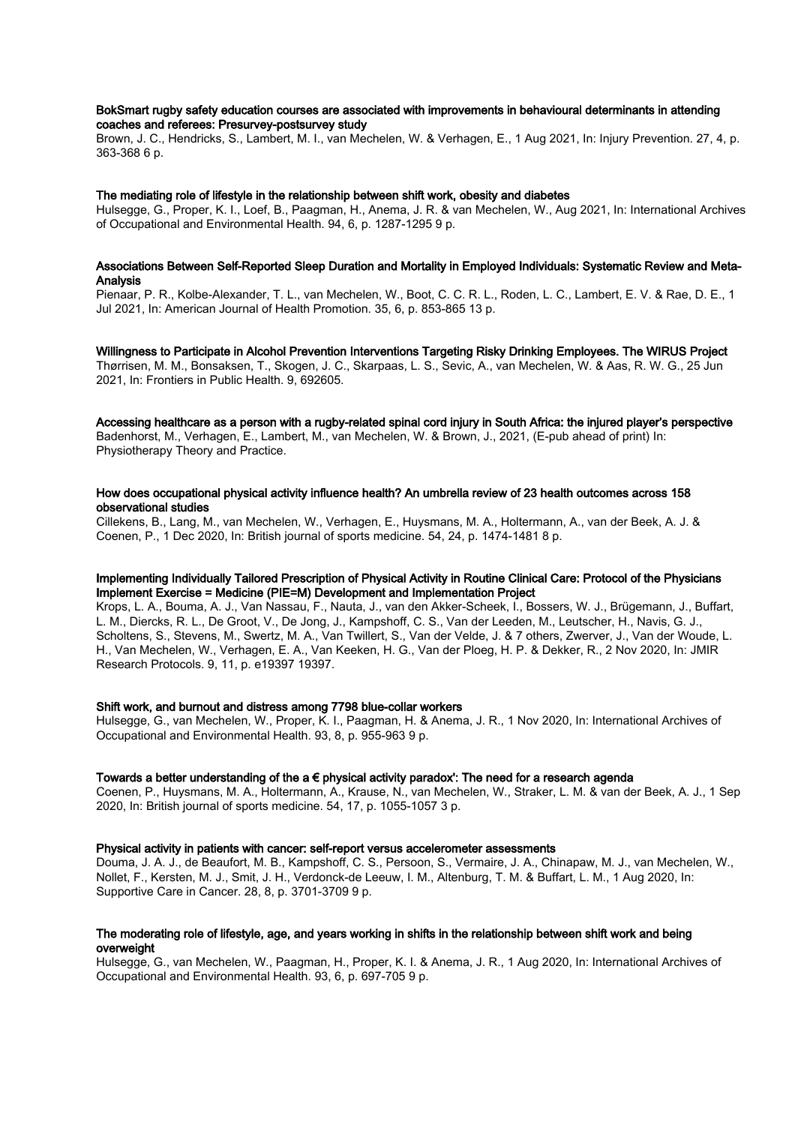# BokSmart rugby safety education courses are associated with improvements in behavioural determinants in attending coaches and referees: Presurvey-postsurvey study

Brown, J. C., Hendricks, S., Lambert, M. I., van Mechelen, W. & Verhagen, E., 1 Aug 2021, In: Injury Prevention. 27, 4, p. 363-368 6 p.

# The mediating role of lifestyle in the relationship between shift work, obesity and diabetes

Hulsegge, G., Proper, K. I., Loef, B., Paagman, H., Anema, J. R. & van Mechelen, W., Aug 2021, In: International Archives of Occupational and Environmental Health. 94, 6, p. 1287-1295 9 p.

## Associations Between Self-Reported Sleep Duration and Mortality in Employed Individuals: Systematic Review and Meta-Analysis

Pienaar, P. R., Kolbe-Alexander, T. L., van Mechelen, W., Boot, C. C. R. L., Roden, L. C., Lambert, E. V. & Rae, D. E., 1 Jul 2021, In: American Journal of Health Promotion. 35, 6, p. 853-865 13 p.

## Willingness to Participate in Alcohol Prevention Interventions Targeting Risky Drinking Employees. The WIRUS Project

Thørrisen, M. M., Bonsaksen, T., Skogen, J. C., Skarpaas, L. S., Sevic, A., van Mechelen, W. & Aas, R. W. G., 25 Jun 2021, In: Frontiers in Public Health. 9, 692605.

#### Accessing healthcare as a person with a rugby-related spinal cord injury in South Africa: the injured player's perspective

Badenhorst, M., Verhagen, E., Lambert, M., van Mechelen, W. & Brown, J., 2021, (E-pub ahead of print) In: Physiotherapy Theory and Practice.

## How does occupational physical activity influence health? An umbrella review of 23 health outcomes across 158 observational studies

Cillekens, B., Lang, M., van Mechelen, W., Verhagen, E., Huysmans, M. A., Holtermann, A., van der Beek, A. J. & Coenen, P., 1 Dec 2020, In: British journal of sports medicine. 54, 24, p. 1474-1481 8 p.

# Implementing Individually Tailored Prescription of Physical Activity in Routine Clinical Care: Protocol of the Physicians Implement Exercise = Medicine (PIE=M) Development and Implementation Project

Krops, L. A., Bouma, A. J., Van Nassau, F., Nauta, J., van den Akker-Scheek, I., Bossers, W. J., Brügemann, J., Buffart, L. M., Diercks, R. L., De Groot, V., De Jong, J., Kampshoff, C. S., Van der Leeden, M., Leutscher, H., Navis, G. J., Scholtens, S., Stevens, M., Swertz, M. A., Van Twillert, S., Van der Velde, J. & 7 others, Zwerver, J., Van der Woude, L. H., Van Mechelen, W., Verhagen, E. A., Van Keeken, H. G., Van der Ploeg, H. P. & Dekker, R., 2 Nov 2020, In: JMIR Research Protocols. 9, 11, p. e19397 19397.

# Shift work, and burnout and distress among 7798 blue-collar workers

Hulsegge, G., van Mechelen, W., Proper, K. I., Paagman, H. & Anema, J. R., 1 Nov 2020, In: International Archives of Occupational and Environmental Health. 93, 8, p. 955-963 9 p.

# Towards a better understanding of the  $a \in \rho$ hysical activity paradox': The need for a research agenda

Coenen, P., Huysmans, M. A., Holtermann, A., Krause, N., van Mechelen, W., Straker, L. M. & van der Beek, A. J., 1 Sep 2020, In: British journal of sports medicine. 54, 17, p. 1055-1057 3 p.

#### Physical activity in patients with cancer: self-report versus accelerometer assessments

Douma, J. A. J., de Beaufort, M. B., Kampshoff, C. S., Persoon, S., Vermaire, J. A., Chinapaw, M. J., van Mechelen, W., Nollet, F., Kersten, M. J., Smit, J. H., Verdonck-de Leeuw, I. M., Altenburg, T. M. & Buffart, L. M., 1 Aug 2020, In: Supportive Care in Cancer. 28, 8, p. 3701-3709 9 p.

## The moderating role of lifestyle, age, and years working in shifts in the relationship between shift work and being overweight

Hulsegge, G., van Mechelen, W., Paagman, H., Proper, K. I. & Anema, J. R., 1 Aug 2020, In: International Archives of Occupational and Environmental Health. 93, 6, p. 697-705 9 p.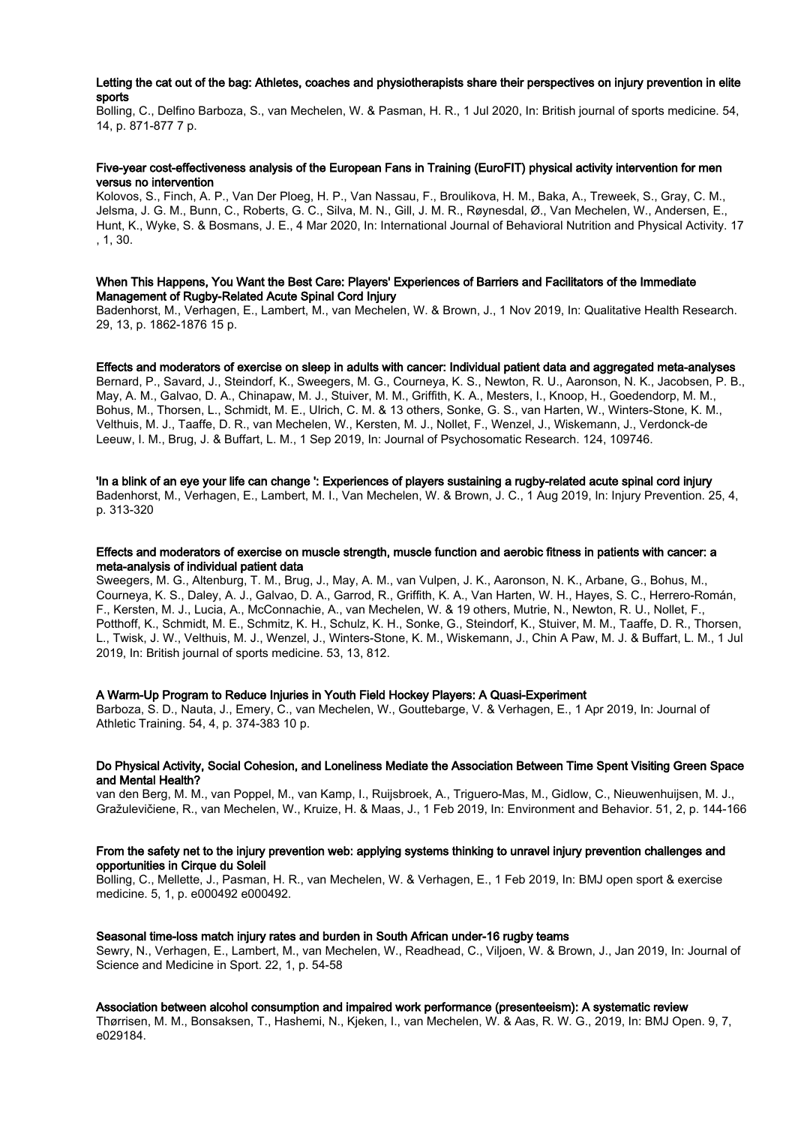# Letting the cat out of the bag: Athletes, coaches and physiotherapists share their perspectives on injury prevention in elite sports

Bolling, C., Delfino Barboza, S., van Mechelen, W. & Pasman, H. R., 1 Jul 2020, In: British journal of sports medicine. 54, 14, p. 871-877 7 p.

# Five-year cost-effectiveness analysis of the European Fans in Training (EuroFIT) physical activity intervention for men versus no intervention

Kolovos, S., Finch, A. P., Van Der Ploeg, H. P., Van Nassau, F., Broulikova, H. M., Baka, A., Treweek, S., Gray, C. M., Jelsma, J. G. M., Bunn, C., Roberts, G. C., Silva, M. N., Gill, J. M. R., Røynesdal, Ø., Van Mechelen, W., Andersen, E., Hunt, K., Wyke, S. & Bosmans, J. E., 4 Mar 2020, In: International Journal of Behavioral Nutrition and Physical Activity. 17 , 1, 30.

# When This Happens, You Want the Best Care: Players' Experiences of Barriers and Facilitators of the Immediate Management of Rugby-Related Acute Spinal Cord Injury

Badenhorst, M., Verhagen, E., Lambert, M., van Mechelen, W. & Brown, J., 1 Nov 2019, In: Qualitative Health Research. 29, 13, p. 1862-1876 15 p.

## Effects and moderators of exercise on sleep in adults with cancer: Individual patient data and aggregated meta-analyses

Bernard, P., Savard, J., Steindorf, K., Sweegers, M. G., Courneya, K. S., Newton, R. U., Aaronson, N. K., Jacobsen, P. B., May, A. M., Galvao, D. A., Chinapaw, M. J., Stuiver, M. M., Griffith, K. A., Mesters, I., Knoop, H., Goedendorp, M. M., Bohus, M., Thorsen, L., Schmidt, M. E., Ulrich, C. M. & 13 others, Sonke, G. S., van Harten, W., Winters-Stone, K. M., Velthuis, M. J., Taaffe, D. R., van Mechelen, W., Kersten, M. J., Nollet, F., Wenzel, J., Wiskemann, J., Verdonck-de Leeuw, I. M., Brug, J. & Buffart, L. M., 1 Sep 2019, In: Journal of Psychosomatic Research. 124, 109746.

#### 'In a blink of an eye your life can change ': Experiences of players sustaining a rugby-related acute spinal cord injury

Badenhorst, M., Verhagen, E., Lambert, M. I., Van Mechelen, W. & Brown, J. C., 1 Aug 2019, In: Injury Prevention. 25, 4, p. 313-320

#### Effects and moderators of exercise on muscle strength, muscle function and aerobic fitness in patients with cancer: a meta-analysis of individual patient data

Sweegers, M. G., Altenburg, T. M., Brug, J., May, A. M., van Vulpen, J. K., Aaronson, N. K., Arbane, G., Bohus, M., Courneya, K. S., Daley, A. J., Galvao, D. A., Garrod, R., Griffith, K. A., Van Harten, W. H., Hayes, S. C., Herrero-Román, F., Kersten, M. J., Lucia, A., McConnachie, A., van Mechelen, W. & 19 others, Mutrie, N., Newton, R. U., Nollet, F., Potthoff, K., Schmidt, M. E., Schmitz, K. H., Schulz, K. H., Sonke, G., Steindorf, K., Stuiver, M. M., Taaffe, D. R., Thorsen, L., Twisk, J. W., Velthuis, M. J., Wenzel, J., Winters-Stone, K. M., Wiskemann, J., Chin A Paw, M. J. & Buffart, L. M., 1 Jul 2019, In: British journal of sports medicine. 53, 13, 812.

# A Warm-Up Program to Reduce Injuries in Youth Field Hockey Players: A Quasi-Experiment

Barboza, S. D., Nauta, J., Emery, C., van Mechelen, W., Gouttebarge, V. & Verhagen, E., 1 Apr 2019, In: Journal of Athletic Training. 54, 4, p. 374-383 10 p.

# Do Physical Activity, Social Cohesion, and Loneliness Mediate the Association Between Time Spent Visiting Green Space and Mental Health?

van den Berg, M. M., van Poppel, M., van Kamp, I., Ruijsbroek, A., Triguero-Mas, M., Gidlow, C., Nieuwenhuijsen, M. J., Gražulevičiene, R., van Mechelen, W., Kruize, H. & Maas, J., 1 Feb 2019, In: Environment and Behavior. 51, 2, p. 144-166

## From the safety net to the injury prevention web: applying systems thinking to unravel injury prevention challenges and opportunities in Cirque du Soleil

Bolling, C., Mellette, J., Pasman, H. R., van Mechelen, W. & Verhagen, E., 1 Feb 2019, In: BMJ open sport & exercise medicine. 5, 1, p. e000492 e000492.

#### Seasonal time-loss match injury rates and burden in South African under-16 rugby teams

Sewry, N., Verhagen, E., Lambert, M., van Mechelen, W., Readhead, C., Viljoen, W. & Brown, J., Jan 2019, In: Journal of Science and Medicine in Sport. 22, 1, p. 54-58

### Association between alcohol consumption and impaired work performance (presenteeism): A systematic review

Thørrisen, M. M., Bonsaksen, T., Hashemi, N., Kjeken, I., van Mechelen, W. & Aas, R. W. G., 2019, In: BMJ Open. 9, 7, e029184.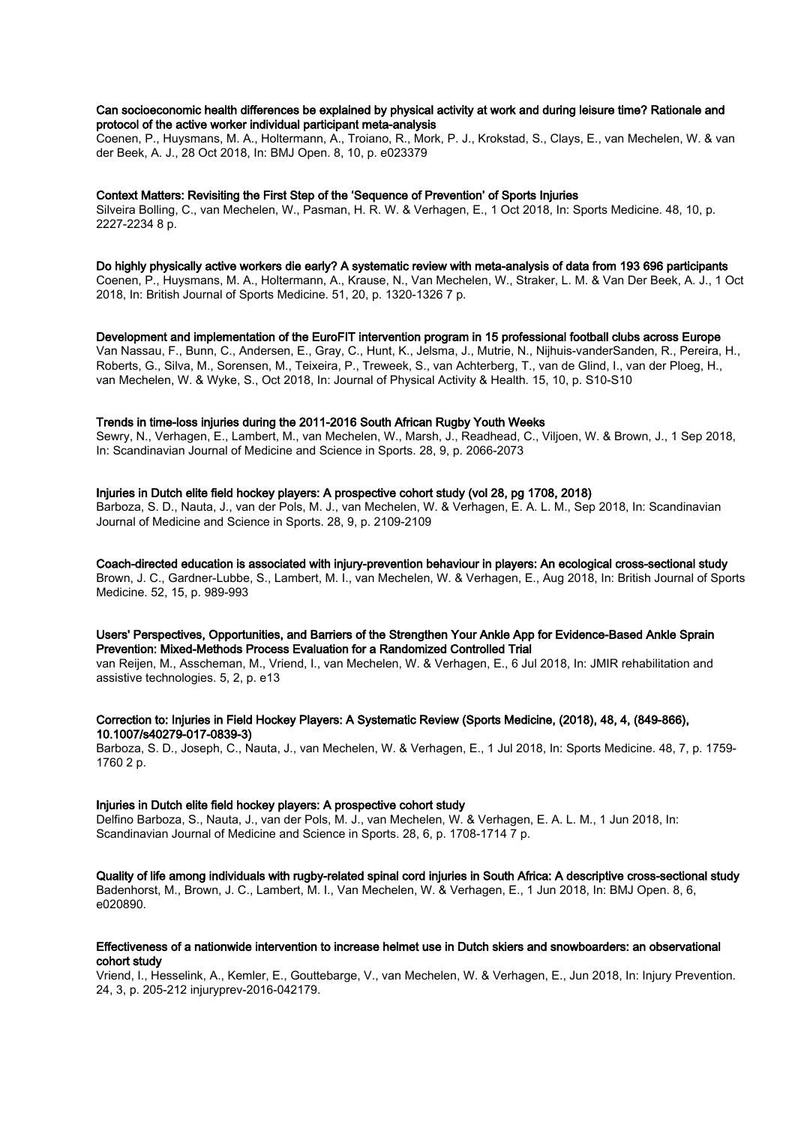# Can socioeconomic health differences be explained by physical activity at work and during leisure time? Rationale and protocol of the active worker individual participant meta-analysis

Coenen, P., Huysmans, M. A., Holtermann, A., Troiano, R., Mork, P. J., Krokstad, S., Clays, E., van Mechelen, W. & van der Beek, A. J., 28 Oct 2018, In: BMJ Open. 8, 10, p. e023379

## Context Matters: Revisiting the First Step of the 'Sequence of Prevention' of Sports Injuries

Silveira Bolling, C., van Mechelen, W., Pasman, H. R. W. & Verhagen, E., 1 Oct 2018, In: Sports Medicine. 48, 10, p. 2227-2234 8 p.

#### Do highly physically active workers die early? A systematic review with meta-analysis of data from 193 696 participants

Coenen, P., Huysmans, M. A., Holtermann, A., Krause, N., Van Mechelen, W., Straker, L. M. & Van Der Beek, A. J., 1 Oct 2018, In: British Journal of Sports Medicine. 51, 20, p. 1320-1326 7 p.

#### Development and implementation of the EuroFIT intervention program in 15 professional football clubs across Europe

Van Nassau, F., Bunn, C., Andersen, E., Gray, C., Hunt, K., Jelsma, J., Mutrie, N., Nijhuis-vanderSanden, R., Pereira, H., Roberts, G., Silva, M., Sorensen, M., Teixeira, P., Treweek, S., van Achterberg, T., van de Glind, I., van der Ploeg, H., van Mechelen, W. & Wyke, S., Oct 2018, In: Journal of Physical Activity & Health. 15, 10, p. S10-S10

# Trends in time-loss injuries during the 2011-2016 South African Rugby Youth Weeks

Sewry, N., Verhagen, E., Lambert, M., van Mechelen, W., Marsh, J., Readhead, C., Viljoen, W. & Brown, J., 1 Sep 2018, In: Scandinavian Journal of Medicine and Science in Sports. 28, 9, p. 2066-2073

# Injuries in Dutch elite field hockey players: A prospective cohort study (vol 28, pg 1708, 2018)

Barboza, S. D., Nauta, J., van der Pols, M. J., van Mechelen, W. & Verhagen, E. A. L. M., Sep 2018, In: Scandinavian Journal of Medicine and Science in Sports. 28, 9, p. 2109-2109

# Coach-directed education is associated with injury-prevention behaviour in players: An ecological cross-sectional study

Brown, J. C., Gardner-Lubbe, S., Lambert, M. I., van Mechelen, W. & Verhagen, E., Aug 2018, In: British Journal of Sports Medicine. 52, 15, p. 989-993

## Users' Perspectives, Opportunities, and Barriers of the Strengthen Your Ankle App for Evidence-Based Ankle Sprain Prevention: Mixed-Methods Process Evaluation for a Randomized Controlled Trial

van Reijen, M., Asscheman, M., Vriend, I., van Mechelen, W. & Verhagen, E., 6 Jul 2018, In: JMIR rehabilitation and assistive technologies. 5, 2, p. e13

# Correction to: Injuries in Field Hockey Players: A Systematic Review (Sports Medicine, (2018), 48, 4, (849-866), 10.1007/s40279-017-0839-3)

Barboza, S. D., Joseph, C., Nauta, J., van Mechelen, W. & Verhagen, E., 1 Jul 2018, In: Sports Medicine. 48, 7, p. 1759- 1760 2 p.

# Injuries in Dutch elite field hockey players: A prospective cohort study

Delfino Barboza, S., Nauta, J., van der Pols, M. J., van Mechelen, W. & Verhagen, E. A. L. M., 1 Jun 2018, In: Scandinavian Journal of Medicine and Science in Sports. 28, 6, p. 1708-1714 7 p.

Quality of life among individuals with rugby-related spinal cord injuries in South Africa: A descriptive cross-sectional study Badenhorst, M., Brown, J. C., Lambert, M. I., Van Mechelen, W. & Verhagen, E., 1 Jun 2018, In: BMJ Open. 8, 6, e020890.

# Effectiveness of a nationwide intervention to increase helmet use in Dutch skiers and snowboarders: an observational cohort study

Vriend, I., Hesselink, A., Kemler, E., Gouttebarge, V., van Mechelen, W. & Verhagen, E., Jun 2018, In: Injury Prevention. 24, 3, p. 205-212 injuryprev-2016-042179.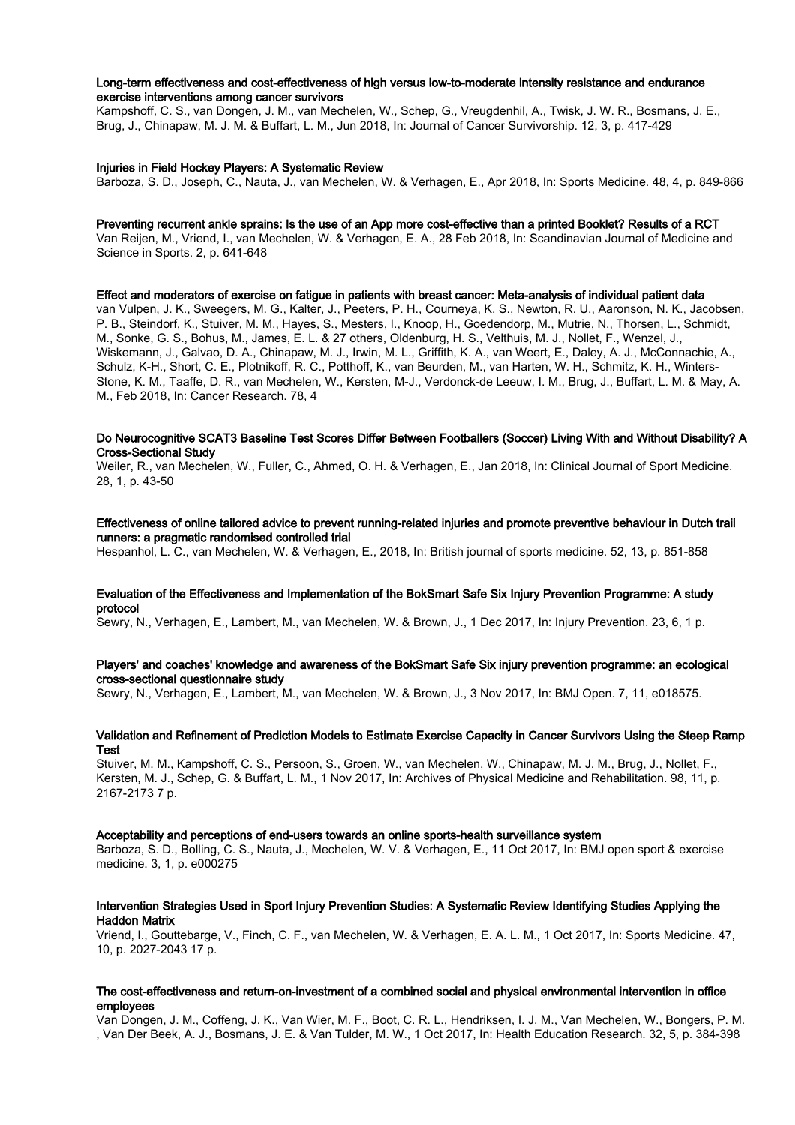# Long-term effectiveness and cost-effectiveness of high versus low-to-moderate intensity resistance and endurance exercise interventions among cancer survivors

Kampshoff, C. S., van Dongen, J. M., van Mechelen, W., Schep, G., Vreugdenhil, A., Twisk, J. W. R., Bosmans, J. E., Brug, J., Chinapaw, M. J. M. & Buffart, L. M., Jun 2018, In: Journal of Cancer Survivorship. 12, 3, p. 417-429

# Injuries in Field Hockey Players: A Systematic Review

Barboza, S. D., Joseph, C., Nauta, J., van Mechelen, W. & Verhagen, E., Apr 2018, In: Sports Medicine. 48, 4, p. 849-866

#### Preventing recurrent ankle sprains: Is the use of an App more cost-effective than a printed Booklet? Results of a RCT

Van Reijen, M., Vriend, I., van Mechelen, W. & Verhagen, E. A., 28 Feb 2018, In: Scandinavian Journal of Medicine and Science in Sports. 2, p. 641-648

Effect and moderators of exercise on fatigue in patients with breast cancer: Meta-analysis of individual patient data van Vulpen, J. K., Sweegers, M. G., Kalter, J., Peeters, P. H., Courneya, K. S., Newton, R. U., Aaronson, N. K., Jacobsen, P. B., Steindorf, K., Stuiver, M. M., Hayes, S., Mesters, I., Knoop, H., Goedendorp, M., Mutrie, N., Thorsen, L., Schmidt, M., Sonke, G. S., Bohus, M., James, E. L. & 27 others, Oldenburg, H. S., Velthuis, M. J., Nollet, F., Wenzel, J., Wiskemann, J., Galvao, D. A., Chinapaw, M. J., Irwin, M. L., Griffith, K. A., van Weert, E., Daley, A. J., McConnachie, A., Schulz, K-H., Short, C. E., Plotnikoff, R. C., Potthoff, K., van Beurden, M., van Harten, W. H., Schmitz, K. H., Winters-Stone, K. M., Taaffe, D. R., van Mechelen, W., Kersten, M-J., Verdonck-de Leeuw, I. M., Brug, J., Buffart, L. M. & May, A. M., Feb 2018, In: Cancer Research. 78, 4

# Do Neurocognitive SCAT3 Baseline Test Scores Differ Between Footballers (Soccer) Living With and Without Disability? A Cross-Sectional Study

Weiler, R., van Mechelen, W., Fuller, C., Ahmed, O. H. & Verhagen, E., Jan 2018, In: Clinical Journal of Sport Medicine. 28, 1, p. 43-50

# Effectiveness of online tailored advice to prevent running-related injuries and promote preventive behaviour in Dutch trail runners: a pragmatic randomised controlled trial

Hespanhol, L. C., van Mechelen, W. & Verhagen, E., 2018, In: British journal of sports medicine. 52, 13, p. 851-858

# Evaluation of the Effectiveness and Implementation of the BokSmart Safe Six Injury Prevention Programme: A study protocol

Sewry, N., Verhagen, E., Lambert, M., van Mechelen, W. & Brown, J., 1 Dec 2017, In: Injury Prevention. 23, 6, 1 p.

# Players' and coaches' knowledge and awareness of the BokSmart Safe Six injury prevention programme: an ecological cross-sectional questionnaire study

Sewry, N., Verhagen, E., Lambert, M., van Mechelen, W. & Brown, J., 3 Nov 2017, In: BMJ Open. 7, 11, e018575.

## Validation and Refinement of Prediction Models to Estimate Exercise Capacity in Cancer Survivors Using the Steep Ramp Test

Stuiver, M. M., Kampshoff, C. S., Persoon, S., Groen, W., van Mechelen, W., Chinapaw, M. J. M., Brug, J., Nollet, F., Kersten, M. J., Schep, G. & Buffart, L. M., 1 Nov 2017, In: Archives of Physical Medicine and Rehabilitation. 98, 11, p. 2167-2173 7 p.

#### Acceptability and perceptions of end-users towards an online sports-health surveillance system

Barboza, S. D., Bolling, C. S., Nauta, J., Mechelen, W. V. & Verhagen, E., 11 Oct 2017, In: BMJ open sport & exercise medicine. 3, 1, p. e000275

# Intervention Strategies Used in Sport Injury Prevention Studies: A Systematic Review Identifying Studies Applying the Haddon Matrix

Vriend, I., Gouttebarge, V., Finch, C. F., van Mechelen, W. & Verhagen, E. A. L. M., 1 Oct 2017, In: Sports Medicine. 47, 10, p. 2027-2043 17 p.

# The cost-effectiveness and return-on-investment of a combined social and physical environmental intervention in office employees

Van Dongen, J. M., Coffeng, J. K., Van Wier, M. F., Boot, C. R. L., Hendriksen, I. J. M., Van Mechelen, W., Bongers, P. M. , Van Der Beek, A. J., Bosmans, J. E. & Van Tulder, M. W., 1 Oct 2017, In: Health Education Research. 32, 5, p. 384-398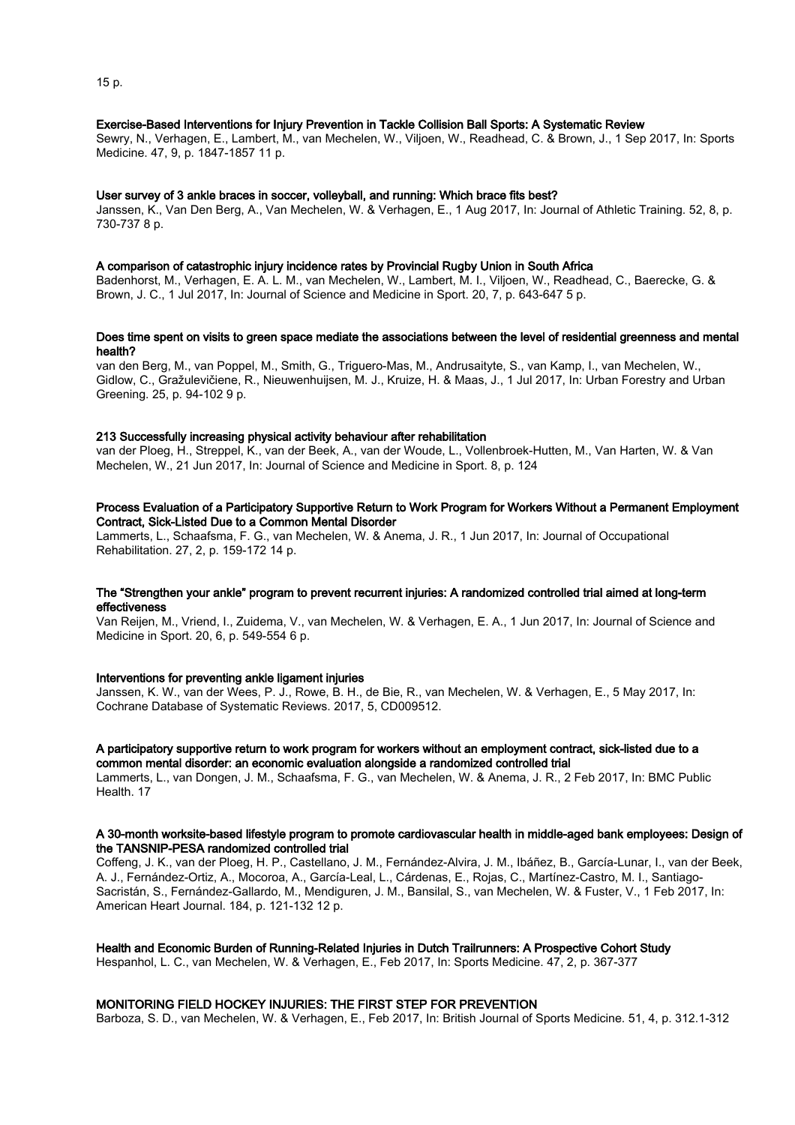## Exercise-Based Interventions for Injury Prevention in Tackle Collision Ball Sports: A Systematic Review

Sewry, N., Verhagen, E., Lambert, M., van Mechelen, W., Viljoen, W., Readhead, C. & Brown, J., 1 Sep 2017, In: Sports Medicine. 47, 9, p. 1847-1857 11 p.

#### User survey of 3 ankle braces in soccer, volleyball, and running: Which brace fits best?

Janssen, K., Van Den Berg, A., Van Mechelen, W. & Verhagen, E., 1 Aug 2017, In: Journal of Athletic Training. 52, 8, p. 730-737 8 p.

#### A comparison of catastrophic injury incidence rates by Provincial Rugby Union in South Africa

Badenhorst, M., Verhagen, E. A. L. M., van Mechelen, W., Lambert, M. I., Viljoen, W., Readhead, C., Baerecke, G. & Brown, J. C., 1 Jul 2017, In: Journal of Science and Medicine in Sport. 20, 7, p. 643-647 5 p.

#### Does time spent on visits to green space mediate the associations between the level of residential greenness and mental health?

van den Berg, M., van Poppel, M., Smith, G., Triguero-Mas, M., Andrusaityte, S., van Kamp, I., van Mechelen, W., Gidlow, C., Gražulevičiene, R., Nieuwenhuijsen, M. J., Kruize, H. & Maas, J., 1 Jul 2017, In: Urban Forestry and Urban Greening. 25, p. 94-102 9 p.

# 213 Successfully increasing physical activity behaviour after rehabilitation

van der Ploeg, H., Streppel, K., van der Beek, A., van der Woude, L., Vollenbroek-Hutten, M., Van Harten, W. & Van Mechelen, W., 21 Jun 2017, In: Journal of Science and Medicine in Sport. 8, p. 124

# Process Evaluation of a Participatory Supportive Return to Work Program for Workers Without a Permanent Employment Contract, Sick-Listed Due to a Common Mental Disorder

Lammerts, L., Schaafsma, F. G., van Mechelen, W. & Anema, J. R., 1 Jun 2017, In: Journal of Occupational Rehabilitation. 27, 2, p. 159-172 14 p.

# The "Strengthen your ankle" program to prevent recurrent injuries: A randomized controlled trial aimed at long-term effectiveness

Van Reijen, M., Vriend, I., Zuidema, V., van Mechelen, W. & Verhagen, E. A., 1 Jun 2017, In: Journal of Science and Medicine in Sport. 20, 6, p. 549-554 6 p.

# Interventions for preventing ankle ligament injuries

Janssen, K. W., van der Wees, P. J., Rowe, B. H., de Bie, R., van Mechelen, W. & Verhagen, E., 5 May 2017, In: Cochrane Database of Systematic Reviews. 2017, 5, CD009512.

#### A participatory supportive return to work program for workers without an employment contract, sick-listed due to a common mental disorder: an economic evaluation alongside a randomized controlled trial

Lammerts, L., van Dongen, J. M., Schaafsma, F. G., van Mechelen, W. & Anema, J. R., 2 Feb 2017, In: BMC Public Health. 17

## A 30-month worksite-based lifestyle program to promote cardiovascular health in middle-aged bank employees: Design of the TANSNIP-PESA randomized controlled trial

Coffeng, J. K., van der Ploeg, H. P., Castellano, J. M., Fernández-Alvira, J. M., Ibáñez, B., García-Lunar, I., van der Beek, A. J., Fernández-Ortiz, A., Mocoroa, A., García-Leal, L., Cárdenas, E., Rojas, C., Martínez-Castro, M. I., Santiago-Sacristán, S., Fernández-Gallardo, M., Mendiguren, J. M., Bansilal, S., van Mechelen, W. & Fuster, V., 1 Feb 2017, In: American Heart Journal. 184, p. 121-132 12 p.

#### Health and Economic Burden of Running-Related Injuries in Dutch Trailrunners: A Prospective Cohort Study

Hespanhol, L. C., van Mechelen, W. & Verhagen, E., Feb 2017, In: Sports Medicine. 47, 2, p. 367-377

## MONITORING FIELD HOCKEY INJURIES: THE FIRST STEP FOR PREVENTION

Barboza, S. D., van Mechelen, W. & Verhagen, E., Feb 2017, In: British Journal of Sports Medicine. 51, 4, p. 312.1-312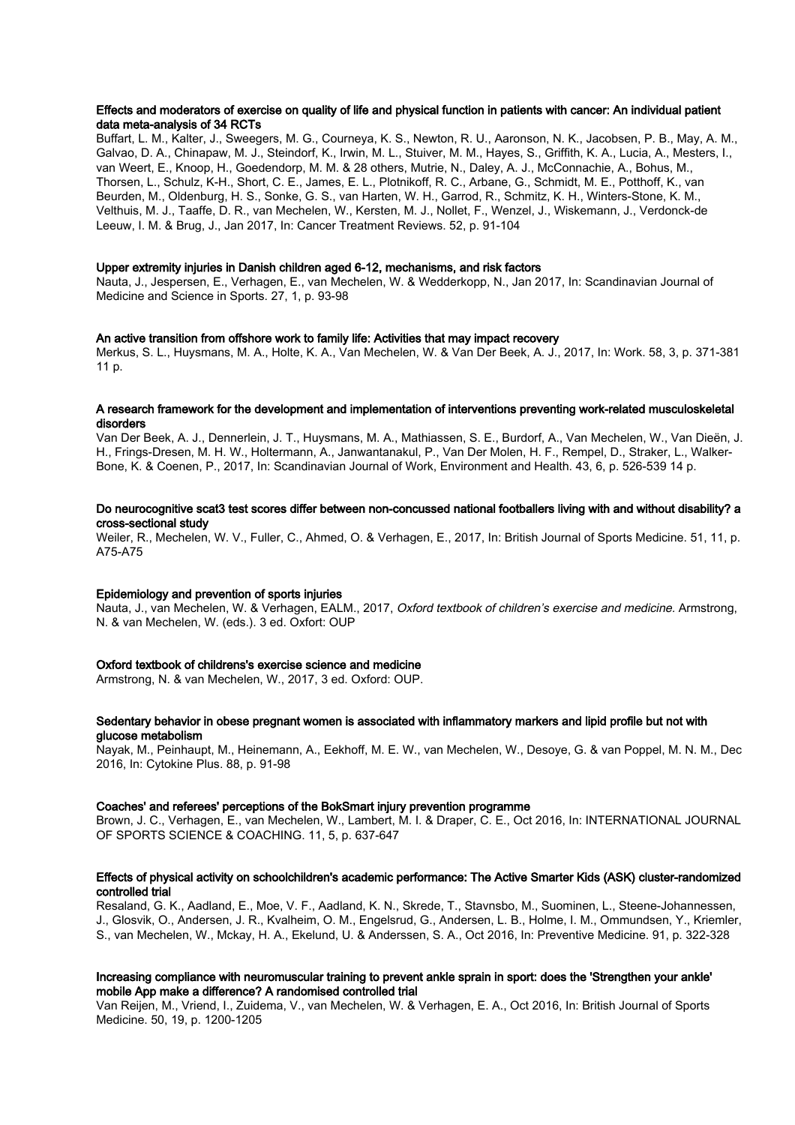## Effects and moderators of exercise on quality of life and physical function in patients with cancer: An individual patient data meta-analysis of 34 RCTs

Buffart, L. M., Kalter, J., Sweegers, M. G., Courneya, K. S., Newton, R. U., Aaronson, N. K., Jacobsen, P. B., May, A. M., Galvao, D. A., Chinapaw, M. J., Steindorf, K., Irwin, M. L., Stuiver, M. M., Hayes, S., Griffith, K. A., Lucia, A., Mesters, I., van Weert, E., Knoop, H., Goedendorp, M. M. & 28 others, Mutrie, N., Daley, A. J., McConnachie, A., Bohus, M., Thorsen, L., Schulz, K-H., Short, C. E., James, E. L., Plotnikoff, R. C., Arbane, G., Schmidt, M. E., Potthoff, K., van Beurden, M., Oldenburg, H. S., Sonke, G. S., van Harten, W. H., Garrod, R., Schmitz, K. H., Winters-Stone, K. M., Velthuis, M. J., Taaffe, D. R., van Mechelen, W., Kersten, M. J., Nollet, F., Wenzel, J., Wiskemann, J., Verdonck-de Leeuw, I. M. & Brug, J., Jan 2017, In: Cancer Treatment Reviews. 52, p. 91-104

#### Upper extremity injuries in Danish children aged 6-12, mechanisms, and risk factors

Nauta, J., Jespersen, E., Verhagen, E., van Mechelen, W. & Wedderkopp, N., Jan 2017, In: Scandinavian Journal of Medicine and Science in Sports. 27, 1, p. 93-98

#### An active transition from offshore work to family life: Activities that may impact recovery

Merkus, S. L., Huysmans, M. A., Holte, K. A., Van Mechelen, W. & Van Der Beek, A. J., 2017, In: Work. 58, 3, p. 371-381 11 p.

#### A research framework for the development and implementation of interventions preventing work-related musculoskeletal disorders

Van Der Beek, A. J., Dennerlein, J. T., Huysmans, M. A., Mathiassen, S. E., Burdorf, A., Van Mechelen, W., Van Dieën, J. H., Frings-Dresen, M. H. W., Holtermann, A., Janwantanakul, P., Van Der Molen, H. F., Rempel, D., Straker, L., Walker-Bone, K. & Coenen, P., 2017, In: Scandinavian Journal of Work, Environment and Health. 43, 6, p. 526-539 14 p.

# Do neurocognitive scat3 test scores differ between non-concussed national footballers living with and without disability? a cross-sectional study

Weiler, R., Mechelen, W. V., Fuller, C., Ahmed, O. & Verhagen, E., 2017, In: British Journal of Sports Medicine. 51, 11, p. A75-A75

## Epidemiology and prevention of sports injuries

Nauta, J., van Mechelen, W. & Verhagen, EALM., 2017, Oxford textbook of children's exercise and medicine. Armstrong, N. & van Mechelen, W. (eds.). 3 ed. Oxfort: OUP

#### Oxford textbook of childrens's exercise science and medicine

Armstrong, N. & van Mechelen, W., 2017, 3 ed. Oxford: OUP.

# Sedentary behavior in obese pregnant women is associated with inflammatory markers and lipid profile but not with glucose metabolism

Nayak, M., Peinhaupt, M., Heinemann, A., Eekhoff, M. E. W., van Mechelen, W., Desoye, G. & van Poppel, M. N. M., Dec 2016, In: Cytokine Plus. 88, p. 91-98

#### Coaches' and referees' perceptions of the BokSmart injury prevention programme

Brown, J. C., Verhagen, E., van Mechelen, W., Lambert, M. I. & Draper, C. E., Oct 2016, In: INTERNATIONAL JOURNAL OF SPORTS SCIENCE & COACHING. 11, 5, p. 637-647

## Effects of physical activity on schoolchildren's academic performance: The Active Smarter Kids (ASK) cluster-randomized controlled trial

Resaland, G. K., Aadland, E., Moe, V. F., Aadland, K. N., Skrede, T., Stavnsbo, M., Suominen, L., Steene-Johannessen, J., Glosvik, O., Andersen, J. R., Kvalheim, O. M., Engelsrud, G., Andersen, L. B., Holme, I. M., Ommundsen, Y., Kriemler, S., van Mechelen, W., Mckay, H. A., Ekelund, U. & Anderssen, S. A., Oct 2016, In: Preventive Medicine. 91, p. 322-328

# Increasing compliance with neuromuscular training to prevent ankle sprain in sport: does the 'Strengthen your ankle' mobile App make a difference? A randomised controlled trial

Van Reijen, M., Vriend, I., Zuidema, V., van Mechelen, W. & Verhagen, E. A., Oct 2016, In: British Journal of Sports Medicine. 50, 19, p. 1200-1205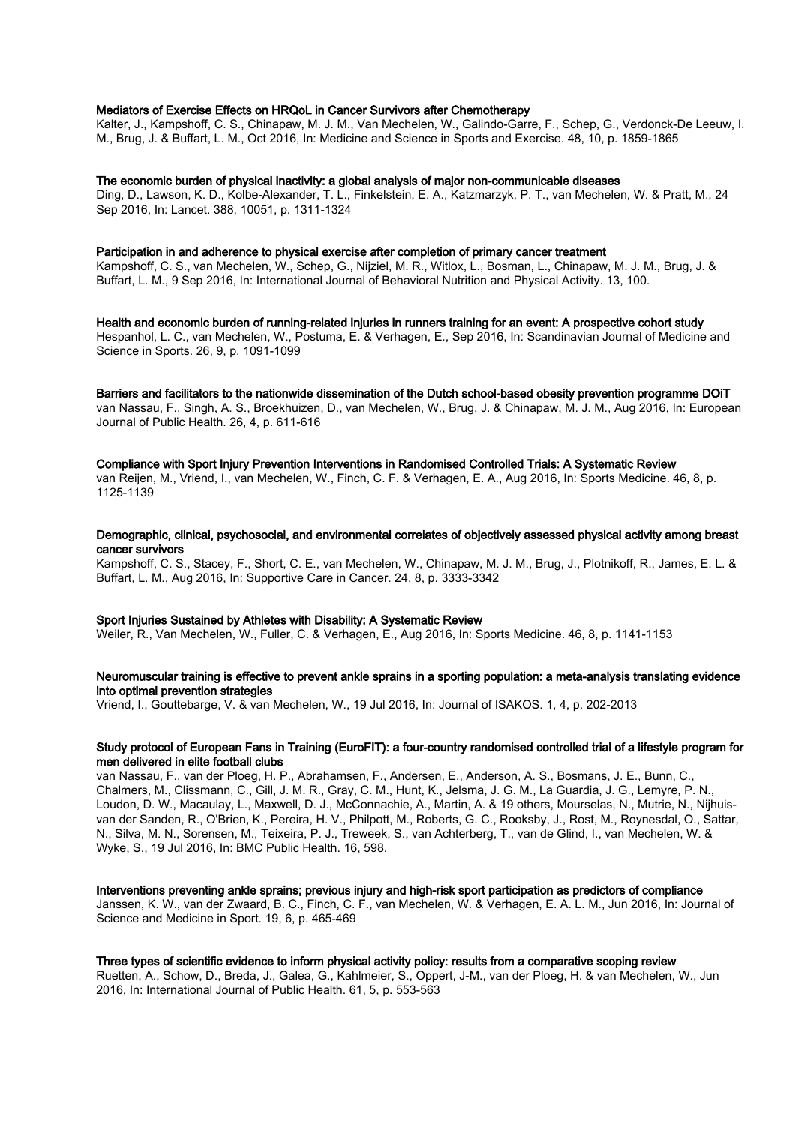## Mediators of Exercise Effects on HRQoL in Cancer Survivors after Chemotherapy

Kalter, J., Kampshoff, C. S., Chinapaw, M. J. M., Van Mechelen, W., Galindo-Garre, F., Schep, G., Verdonck-De Leeuw, I. M., Brug, J. & Buffart, L. M., Oct 2016, In: Medicine and Science in Sports and Exercise. 48, 10, p. 1859-1865

#### The economic burden of physical inactivity: a global analysis of major non-communicable diseases

Ding, D., Lawson, K. D., Kolbe-Alexander, T. L., Finkelstein, E. A., Katzmarzyk, P. T., van Mechelen, W. & Pratt, M., 24 Sep 2016, In: Lancet. 388, 10051, p. 1311-1324

#### Participation in and adherence to physical exercise after completion of primary cancer treatment

Kampshoff, C. S., van Mechelen, W., Schep, G., Nijziel, M. R., Witlox, L., Bosman, L., Chinapaw, M. J. M., Brug, J. & Buffart, L. M., 9 Sep 2016, In: International Journal of Behavioral Nutrition and Physical Activity. 13, 100.

Health and economic burden of running-related injuries in runners training for an event: A prospective cohort study Hespanhol, L. C., van Mechelen, W., Postuma, E. & Verhagen, E., Sep 2016, In: Scandinavian Journal of Medicine and Science in Sports. 26, 9, p. 1091-1099

Barriers and facilitators to the nationwide dissemination of the Dutch school-based obesity prevention programme DOiT van Nassau, F., Singh, A. S., Broekhuizen, D., van Mechelen, W., Brug, J. & Chinapaw, M. J. M., Aug 2016, In: European Journal of Public Health. 26, 4, p. 611-616

#### Compliance with Sport Injury Prevention Interventions in Randomised Controlled Trials: A Systematic Review

van Reijen, M., Vriend, I., van Mechelen, W., Finch, C. F. & Verhagen, E. A., Aug 2016, In: Sports Medicine. 46, 8, p. 1125-1139

## Demographic, clinical, psychosocial, and environmental correlates of objectively assessed physical activity among breast cancer survivors

Kampshoff, C. S., Stacey, F., Short, C. E., van Mechelen, W., Chinapaw, M. J. M., Brug, J., Plotnikoff, R., James, E. L. & Buffart, L. M., Aug 2016, In: Supportive Care in Cancer. 24, 8, p. 3333-3342

# Sport Injuries Sustained by Athletes with Disability: A Systematic Review

Weiler, R., Van Mechelen, W., Fuller, C. & Verhagen, E., Aug 2016, In: Sports Medicine. 46, 8, p. 1141-1153

# Neuromuscular training is effective to prevent ankle sprains in a sporting population: a meta-analysis translating evidence into optimal prevention strategies

Vriend, I., Gouttebarge, V. & van Mechelen, W., 19 Jul 2016, In: Journal of ISAKOS. 1, 4, p. 202-2013

## Study protocol of European Fans in Training (EuroFIT): a four-country randomised controlled trial of a lifestyle program for men delivered in elite football clubs

van Nassau, F., van der Ploeg, H. P., Abrahamsen, F., Andersen, E., Anderson, A. S., Bosmans, J. E., Bunn, C., Chalmers, M., Clissmann, C., Gill, J. M. R., Gray, C. M., Hunt, K., Jelsma, J. G. M., La Guardia, J. G., Lemyre, P. N., Loudon, D. W., Macaulay, L., Maxwell, D. J., McConnachie, A., Martin, A. & 19 others, Mourselas, N., Mutrie, N., Nijhuisvan der Sanden, R., O'Brien, K., Pereira, H. V., Philpott, M., Roberts, G. C., Rooksby, J., Rost, M., Roynesdal, O., Sattar, N., Silva, M. N., Sorensen, M., Teixeira, P. J., Treweek, S., van Achterberg, T., van de Glind, I., van Mechelen, W. & Wyke, S., 19 Jul 2016, In: BMC Public Health. 16, 598.

# Interventions preventing ankle sprains; previous injury and high-risk sport participation as predictors of compliance

Janssen, K. W., van der Zwaard, B. C., Finch, C. F., van Mechelen, W. & Verhagen, E. A. L. M., Jun 2016, In: Journal of Science and Medicine in Sport. 19, 6, p. 465-469

# Three types of scientific evidence to inform physical activity policy: results from a comparative scoping review

Ruetten, A., Schow, D., Breda, J., Galea, G., Kahlmeier, S., Oppert, J-M., van der Ploeg, H. & van Mechelen, W., Jun 2016, In: International Journal of Public Health. 61, 5, p. 553-563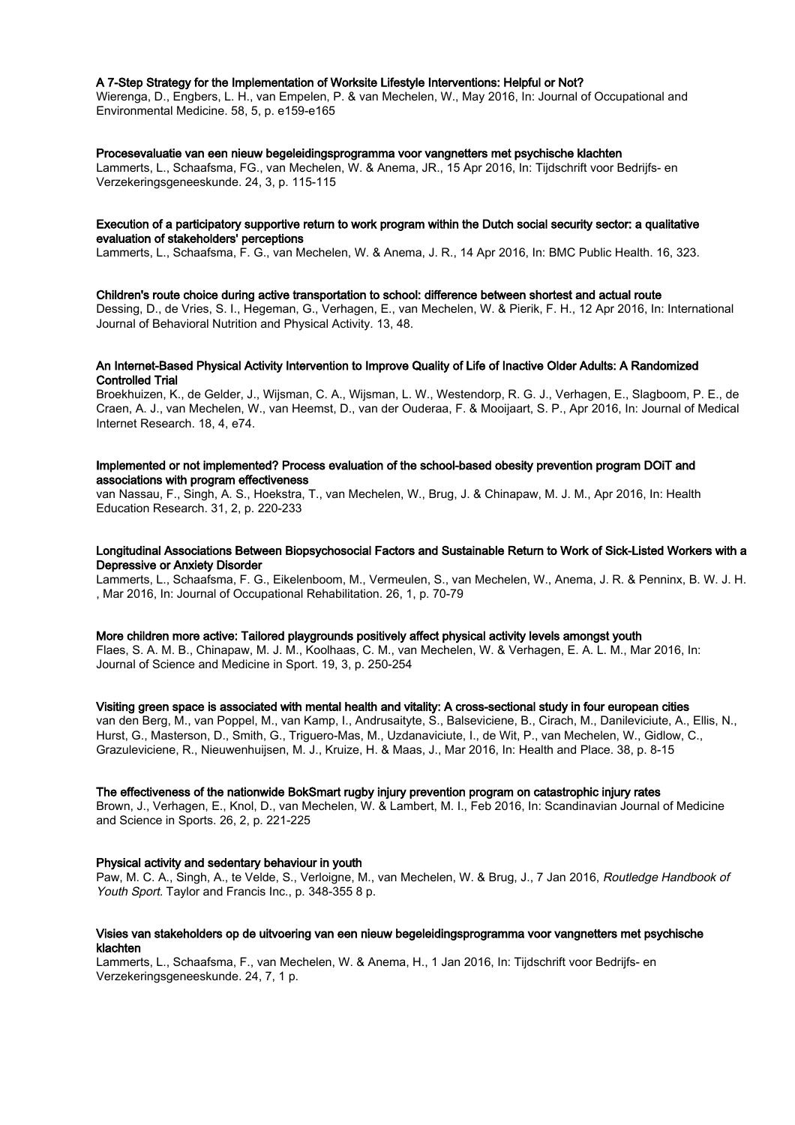#### A 7-Step Strategy for the Implementation of Worksite Lifestyle Interventions: Helpful or Not?

Wierenga, D., Engbers, L. H., van Empelen, P. & van Mechelen, W., May 2016, In: Journal of Occupational and Environmental Medicine. 58, 5, p. e159-e165

#### Procesevaluatie van een nieuw begeleidingsprogramma voor vangnetters met psychische klachten

Lammerts, L., Schaafsma, FG., van Mechelen, W. & Anema, JR., 15 Apr 2016, In: Tijdschrift voor Bedrijfs- en Verzekeringsgeneeskunde. 24, 3, p. 115-115

#### Execution of a participatory supportive return to work program within the Dutch social security sector: a qualitative evaluation of stakeholders' perceptions

Lammerts, L., Schaafsma, F. G., van Mechelen, W. & Anema, J. R., 14 Apr 2016, In: BMC Public Health. 16, 323.

#### Children's route choice during active transportation to school: difference between shortest and actual route

Dessing, D., de Vries, S. I., Hegeman, G., Verhagen, E., van Mechelen, W. & Pierik, F. H., 12 Apr 2016, In: International Journal of Behavioral Nutrition and Physical Activity. 13, 48.

# An Internet-Based Physical Activity Intervention to Improve Quality of Life of Inactive Older Adults: A Randomized Controlled Trial

Broekhuizen, K., de Gelder, J., Wijsman, C. A., Wijsman, L. W., Westendorp, R. G. J., Verhagen, E., Slagboom, P. E., de Craen, A. J., van Mechelen, W., van Heemst, D., van der Ouderaa, F. & Mooijaart, S. P., Apr 2016, In: Journal of Medical Internet Research. 18, 4, e74.

# Implemented or not implemented? Process evaluation of the school-based obesity prevention program DOiT and associations with program effectiveness

van Nassau, F., Singh, A. S., Hoekstra, T., van Mechelen, W., Brug, J. & Chinapaw, M. J. M., Apr 2016, In: Health Education Research. 31, 2, p. 220-233

#### Longitudinal Associations Between Biopsychosocial Factors and Sustainable Return to Work of Sick-Listed Workers with a Depressive or Anxiety Disorder

Lammerts, L., Schaafsma, F. G., Eikelenboom, M., Vermeulen, S., van Mechelen, W., Anema, J. R. & Penninx, B. W. J. H. , Mar 2016, In: Journal of Occupational Rehabilitation. 26, 1, p. 70-79

# More children more active: Tailored playgrounds positively affect physical activity levels amongst youth

Flaes, S. A. M. B., Chinapaw, M. J. M., Koolhaas, C. M., van Mechelen, W. & Verhagen, E. A. L. M., Mar 2016, In: Journal of Science and Medicine in Sport. 19, 3, p. 250-254

# Visiting green space is associated with mental health and vitality: A cross-sectional study in four european cities

van den Berg, M., van Poppel, M., van Kamp, I., Andrusaityte, S., Balseviciene, B., Cirach, M., Danileviciute, A., Ellis, N., Hurst, G., Masterson, D., Smith, G., Triguero-Mas, M., Uzdanaviciute, I., de Wit, P., van Mechelen, W., Gidlow, C., Grazuleviciene, R., Nieuwenhuijsen, M. J., Kruize, H. & Maas, J., Mar 2016, In: Health and Place. 38, p. 8-15

#### The effectiveness of the nationwide BokSmart rugby injury prevention program on catastrophic injury rates

Brown, J., Verhagen, E., Knol, D., van Mechelen, W. & Lambert, M. I., Feb 2016, In: Scandinavian Journal of Medicine and Science in Sports. 26, 2, p. 221-225

#### Physical activity and sedentary behaviour in youth

Paw, M. C. A., Singh, A., te Velde, S., Verloigne, M., van Mechelen, W. & Brug, J., 7 Jan 2016, Routledge Handbook of Youth Sport. Taylor and Francis Inc., p. 348-355 8 p.

# Visies van stakeholders op de uitvoering van een nieuw begeleidingsprogramma voor vangnetters met psychische klachten

Lammerts, L., Schaafsma, F., van Mechelen, W. & Anema, H., 1 Jan 2016, In: Tijdschrift voor Bedrijfs- en Verzekeringsgeneeskunde. 24, 7, 1 p.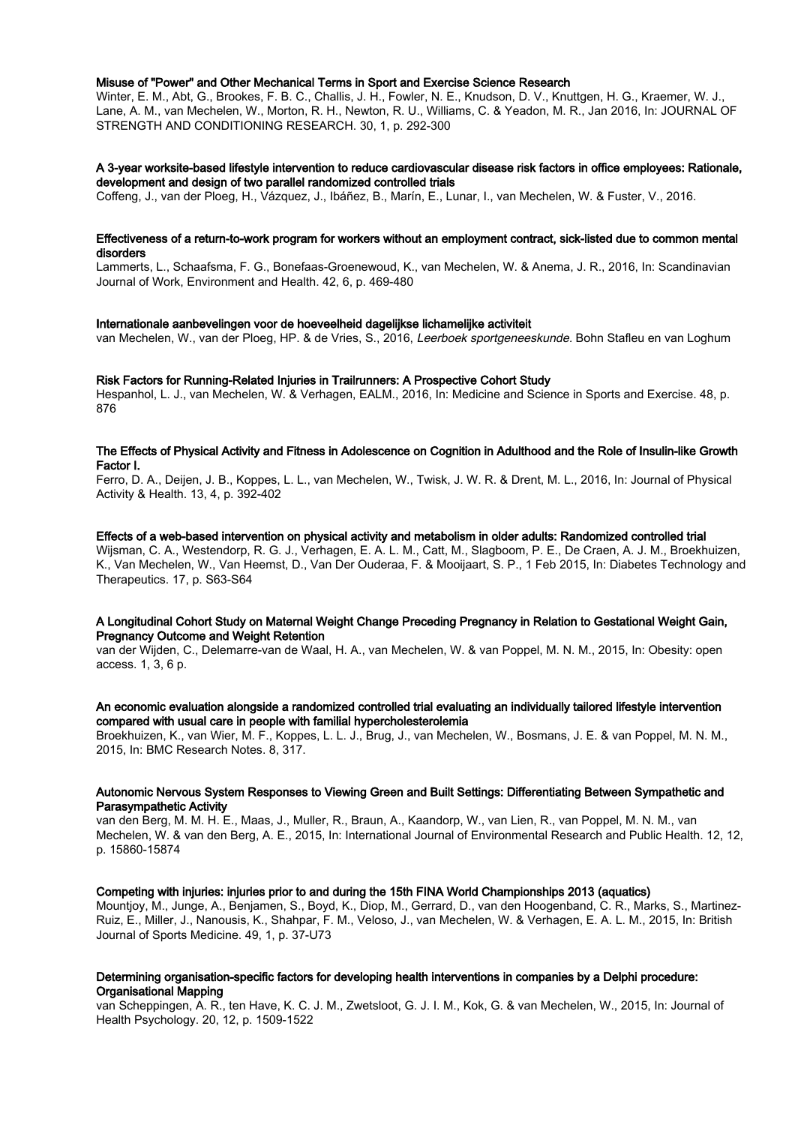## Misuse of "Power" and Other Mechanical Terms in Sport and Exercise Science Research

Winter, E. M., Abt, G., Brookes, F. B. C., Challis, J. H., Fowler, N. E., Knudson, D. V., Knuttgen, H. G., Kraemer, W. J., Lane, A. M., van Mechelen, W., Morton, R. H., Newton, R. U., Williams, C. & Yeadon, M. R., Jan 2016, In: JOURNAL OF STRENGTH AND CONDITIONING RESEARCH. 30, 1, p. 292-300

# A 3-year worksite-based lifestyle intervention to reduce cardiovascular disease risk factors in office employees: Rationale, development and design of two parallel randomized controlled trials

Coffeng, J., van der Ploeg, H., Vázquez, J., Ibáñez, B., Marín, E., Lunar, I., van Mechelen, W. & Fuster, V., 2016.

## Effectiveness of a return-to-work program for workers without an employment contract, sick-listed due to common mental disorders

Lammerts, L., Schaafsma, F. G., Bonefaas-Groenewoud, K., van Mechelen, W. & Anema, J. R., 2016, In: Scandinavian Journal of Work, Environment and Health. 42, 6, p. 469-480

#### Internationale aanbevelingen voor de hoeveelheid dagelijkse lichamelijke activiteit

van Mechelen, W., van der Ploeg, HP. & de Vries, S., 2016, Leerboek sportgeneeskunde. Bohn Stafleu en van Loghum

#### Risk Factors for Running-Related Injuries in Trailrunners: A Prospective Cohort Study

Hespanhol, L. J., van Mechelen, W. & Verhagen, EALM., 2016, In: Medicine and Science in Sports and Exercise. 48, p. 876

# The Effects of Physical Activity and Fitness in Adolescence on Cognition in Adulthood and the Role of Insulin-like Growth Factor I.

Ferro, D. A., Deijen, J. B., Koppes, L. L., van Mechelen, W., Twisk, J. W. R. & Drent, M. L., 2016, In: Journal of Physical Activity & Health. 13, 4, p. 392-402

#### Effects of a web-based intervention on physical activity and metabolism in older adults: Randomized controlled trial

Wijsman, C. A., Westendorp, R. G. J., Verhagen, E. A. L. M., Catt, M., Slagboom, P. E., De Craen, A. J. M., Broekhuizen, K., Van Mechelen, W., Van Heemst, D., Van Der Ouderaa, F. & Mooijaart, S. P., 1 Feb 2015, In: Diabetes Technology and Therapeutics. 17, p. S63-S64

# A Longitudinal Cohort Study on Maternal Weight Change Preceding Pregnancy in Relation to Gestational Weight Gain, Pregnancy Outcome and Weight Retention

van der Wijden, C., Delemarre-van de Waal, H. A., van Mechelen, W. & van Poppel, M. N. M., 2015, In: Obesity: open access. 1, 3, 6 p.

# An economic evaluation alongside a randomized controlled trial evaluating an individually tailored lifestyle intervention compared with usual care in people with familial hypercholesterolemia

Broekhuizen, K., van Wier, M. F., Koppes, L. L. J., Brug, J., van Mechelen, W., Bosmans, J. E. & van Poppel, M. N. M., 2015, In: BMC Research Notes. 8, 317.

## Autonomic Nervous System Responses to Viewing Green and Built Settings: Differentiating Between Sympathetic and Parasympathetic Activity

van den Berg, M. M. H. E., Maas, J., Muller, R., Braun, A., Kaandorp, W., van Lien, R., van Poppel, M. N. M., van Mechelen, W. & van den Berg, A. E., 2015, In: International Journal of Environmental Research and Public Health. 12, 12, p. 15860-15874

# Competing with injuries: injuries prior to and during the 15th FINA World Championships 2013 (aquatics)

Mountjoy, M., Junge, A., Benjamen, S., Boyd, K., Diop, M., Gerrard, D., van den Hoogenband, C. R., Marks, S., Martinez-Ruiz, E., Miller, J., Nanousis, K., Shahpar, F. M., Veloso, J., van Mechelen, W. & Verhagen, E. A. L. M., 2015, In: British Journal of Sports Medicine. 49, 1, p. 37-U73

## Determining organisation-specific factors for developing health interventions in companies by a Delphi procedure: Organisational Mapping

van Scheppingen, A. R., ten Have, K. C. J. M., Zwetsloot, G. J. I. M., Kok, G. & van Mechelen, W., 2015, In: Journal of Health Psychology. 20, 12, p. 1509-1522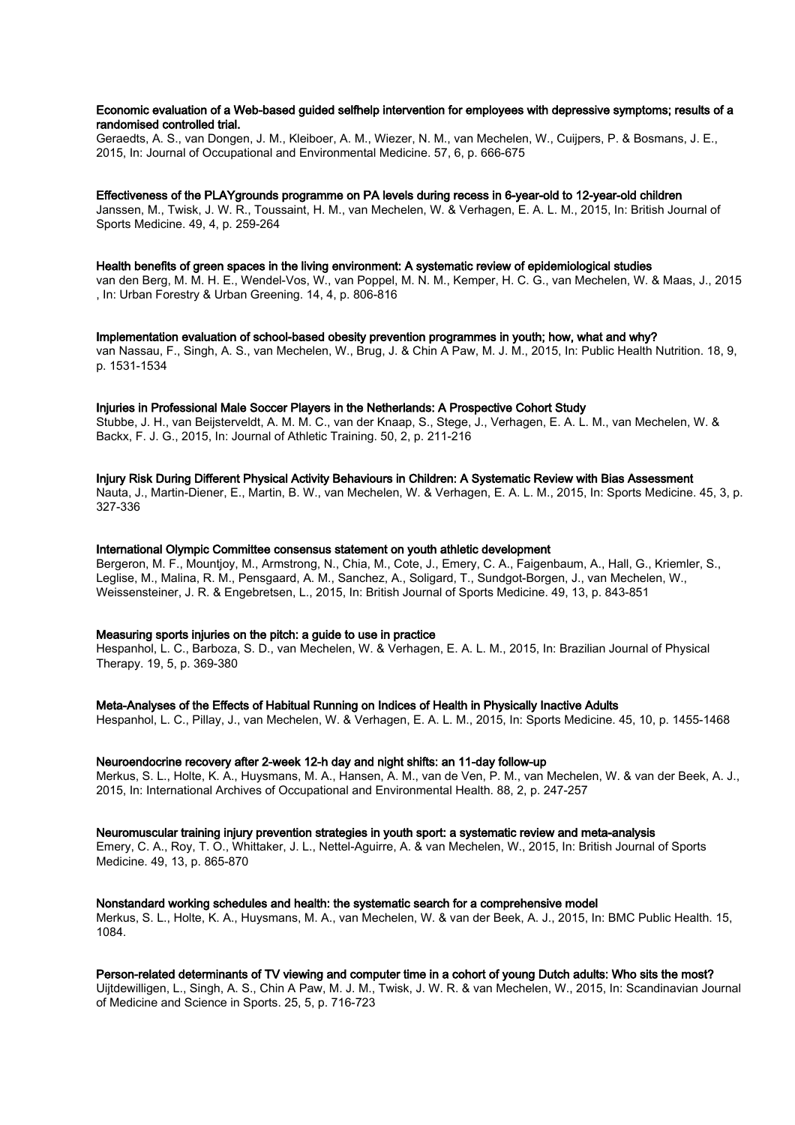# Economic evaluation of a Web-based guided selfhelp intervention for employees with depressive symptoms; results of a randomised controlled trial.

Geraedts, A. S., van Dongen, J. M., Kleiboer, A. M., Wiezer, N. M., van Mechelen, W., Cuijpers, P. & Bosmans, J. E., 2015, In: Journal of Occupational and Environmental Medicine. 57, 6, p. 666-675

#### Effectiveness of the PLAYgrounds programme on PA levels during recess in 6-year-old to 12-year-old children

Janssen, M., Twisk, J. W. R., Toussaint, H. M., van Mechelen, W. & Verhagen, E. A. L. M., 2015, In: British Journal of Sports Medicine. 49, 4, p. 259-264

#### Health benefits of green spaces in the living environment: A systematic review of epidemiological studies

van den Berg, M. M. H. E., Wendel-Vos, W., van Poppel, M. N. M., Kemper, H. C. G., van Mechelen, W. & Maas, J., 2015 , In: Urban Forestry & Urban Greening. 14, 4, p. 806-816

Implementation evaluation of school-based obesity prevention programmes in youth; how, what and why? van Nassau, F., Singh, A. S., van Mechelen, W., Brug, J. & Chin A Paw, M. J. M., 2015, In: Public Health Nutrition. 18, 9, p. 1531-1534

#### Injuries in Professional Male Soccer Players in the Netherlands: A Prospective Cohort Study

Stubbe, J. H., van Beijsterveldt, A. M. M. C., van der Knaap, S., Stege, J., Verhagen, E. A. L. M., van Mechelen, W. & Backx, F. J. G., 2015, In: Journal of Athletic Training. 50, 2, p. 211-216

## Injury Risk During Different Physical Activity Behaviours in Children: A Systematic Review with Bias Assessment

Nauta, J., Martin-Diener, E., Martin, B. W., van Mechelen, W. & Verhagen, E. A. L. M., 2015, In: Sports Medicine. 45, 3, p. 327-336

# International Olympic Committee consensus statement on youth athletic development

Bergeron, M. F., Mountjoy, M., Armstrong, N., Chia, M., Cote, J., Emery, C. A., Faigenbaum, A., Hall, G., Kriemler, S., Leglise, M., Malina, R. M., Pensgaard, A. M., Sanchez, A., Soligard, T., Sundgot-Borgen, J., van Mechelen, W., Weissensteiner, J. R. & Engebretsen, L., 2015, In: British Journal of Sports Medicine. 49, 13, p. 843-851

# Measuring sports injuries on the pitch: a guide to use in practice

Hespanhol, L. C., Barboza, S. D., van Mechelen, W. & Verhagen, E. A. L. M., 2015, In: Brazilian Journal of Physical Therapy. 19, 5, p. 369-380

#### Meta-Analyses of the Effects of Habitual Running on Indices of Health in Physically Inactive Adults

Hespanhol, L. C., Pillay, J., van Mechelen, W. & Verhagen, E. A. L. M., 2015, In: Sports Medicine. 45, 10, p. 1455-1468

#### Neuroendocrine recovery after 2-week 12-h day and night shifts: an 11-day follow-up

Merkus, S. L., Holte, K. A., Huysmans, M. A., Hansen, A. M., van de Ven, P. M., van Mechelen, W. & van der Beek, A. J., 2015, In: International Archives of Occupational and Environmental Health. 88, 2, p. 247-257

#### Neuromuscular training injury prevention strategies in youth sport: a systematic review and meta-analysis

Emery, C. A., Roy, T. O., Whittaker, J. L., Nettel-Aguirre, A. & van Mechelen, W., 2015, In: British Journal of Sports Medicine. 49, 13, p. 865-870

#### Nonstandard working schedules and health: the systematic search for a comprehensive model

Merkus, S. L., Holte, K. A., Huysmans, M. A., van Mechelen, W. & van der Beek, A. J., 2015, In: BMC Public Health. 15, 1084.

## Person-related determinants of TV viewing and computer time in a cohort of young Dutch adults: Who sits the most?

Uijtdewilligen, L., Singh, A. S., Chin A Paw, M. J. M., Twisk, J. W. R. & van Mechelen, W., 2015, In: Scandinavian Journal of Medicine and Science in Sports. 25, 5, p. 716-723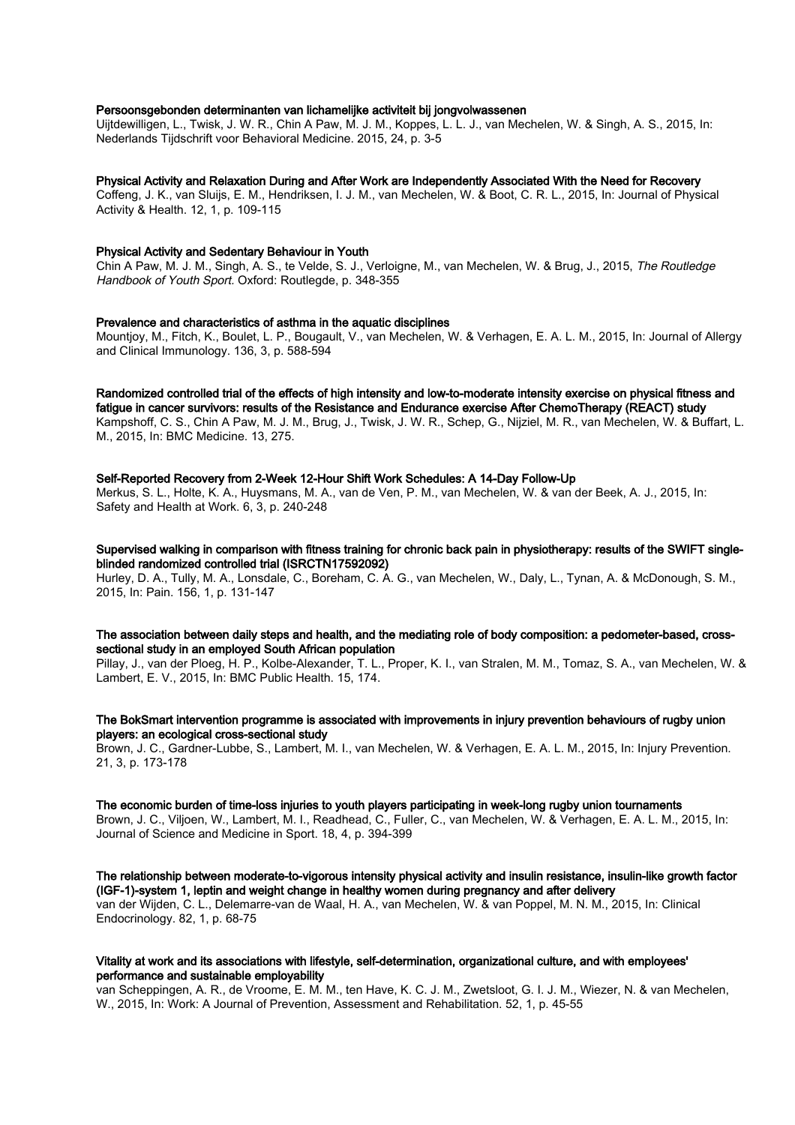# Persoonsgebonden determinanten van lichamelijke activiteit bij jongvolwassenen

Uijtdewilligen, L., Twisk, J. W. R., Chin A Paw, M. J. M., Koppes, L. L. J., van Mechelen, W. & Singh, A. S., 2015, In: Nederlands Tijdschrift voor Behavioral Medicine. 2015, 24, p. 3-5

# Physical Activity and Relaxation During and After Work are Independently Associated With the Need for Recovery

Coffeng, J. K., van Sluijs, E. M., Hendriksen, I. J. M., van Mechelen, W. & Boot, C. R. L., 2015, In: Journal of Physical Activity & Health. 12, 1, p. 109-115

#### Physical Activity and Sedentary Behaviour in Youth

Chin A Paw, M. J. M., Singh, A. S., te Velde, S. J., Verloigne, M., van Mechelen, W. & Brug, J., 2015, The Routledge Handbook of Youth Sport. Oxford: Routlegde, p. 348-355

#### Prevalence and characteristics of asthma in the aquatic disciplines

Mountjoy, M., Fitch, K., Boulet, L. P., Bougault, V., van Mechelen, W. & Verhagen, E. A. L. M., 2015, In: Journal of Allergy and Clinical Immunology. 136, 3, p. 588-594

Randomized controlled trial of the effects of high intensity and low-to-moderate intensity exercise on physical fitness and fatigue in cancer survivors: results of the Resistance and Endurance exercise After ChemoTherapy (REACT) study

Kampshoff, C. S., Chin A Paw, M. J. M., Brug, J., Twisk, J. W. R., Schep, G., Nijziel, M. R., van Mechelen, W. & Buffart, L. M., 2015, In: BMC Medicine. 13, 275.

# Self-Reported Recovery from 2-Week 12-Hour Shift Work Schedules: A 14-Day Follow-Up

Merkus, S. L., Holte, K. A., Huysmans, M. A., van de Ven, P. M., van Mechelen, W. & van der Beek, A. J., 2015, In: Safety and Health at Work. 6, 3, p. 240-248

Supervised walking in comparison with fitness training for chronic back pain in physiotherapy: results of the SWIFT singleblinded randomized controlled trial (ISRCTN17592092)

Hurley, D. A., Tully, M. A., Lonsdale, C., Boreham, C. A. G., van Mechelen, W., Daly, L., Tynan, A. & McDonough, S. M., 2015, In: Pain. 156, 1, p. 131-147

## The association between daily steps and health, and the mediating role of body composition: a pedometer-based, crosssectional study in an employed South African population

Pillay, J., van der Ploeg, H. P., Kolbe-Alexander, T. L., Proper, K. I., van Stralen, M. M., Tomaz, S. A., van Mechelen, W. & Lambert, E. V., 2015, In: BMC Public Health. 15, 174.

# The BokSmart intervention programme is associated with improvements in injury prevention behaviours of rugby union players: an ecological cross-sectional study

Brown, J. C., Gardner-Lubbe, S., Lambert, M. I., van Mechelen, W. & Verhagen, E. A. L. M., 2015, In: Injury Prevention. 21, 3, p. 173-178

#### The economic burden of time-loss injuries to youth players participating in week-long rugby union tournaments

Brown, J. C., Viljoen, W., Lambert, M. I., Readhead, C., Fuller, C., van Mechelen, W. & Verhagen, E. A. L. M., 2015, In: Journal of Science and Medicine in Sport. 18, 4, p. 394-399

The relationship between moderate-to-vigorous intensity physical activity and insulin resistance, insulin-like growth factor (IGF-1)-system 1, leptin and weight change in healthy women during pregnancy and after delivery van der Wijden, C. L., Delemarre-van de Waal, H. A., van Mechelen, W. & van Poppel, M. N. M., 2015, In: Clinical Endocrinology. 82, 1, p. 68-75

# Vitality at work and its associations with lifestyle, self-determination, organizational culture, and with employees' performance and sustainable employability

van Scheppingen, A. R., de Vroome, E. M. M., ten Have, K. C. J. M., Zwetsloot, G. I. J. M., Wiezer, N. & van Mechelen, W., 2015, In: Work: A Journal of Prevention, Assessment and Rehabilitation. 52, 1, p. 45-55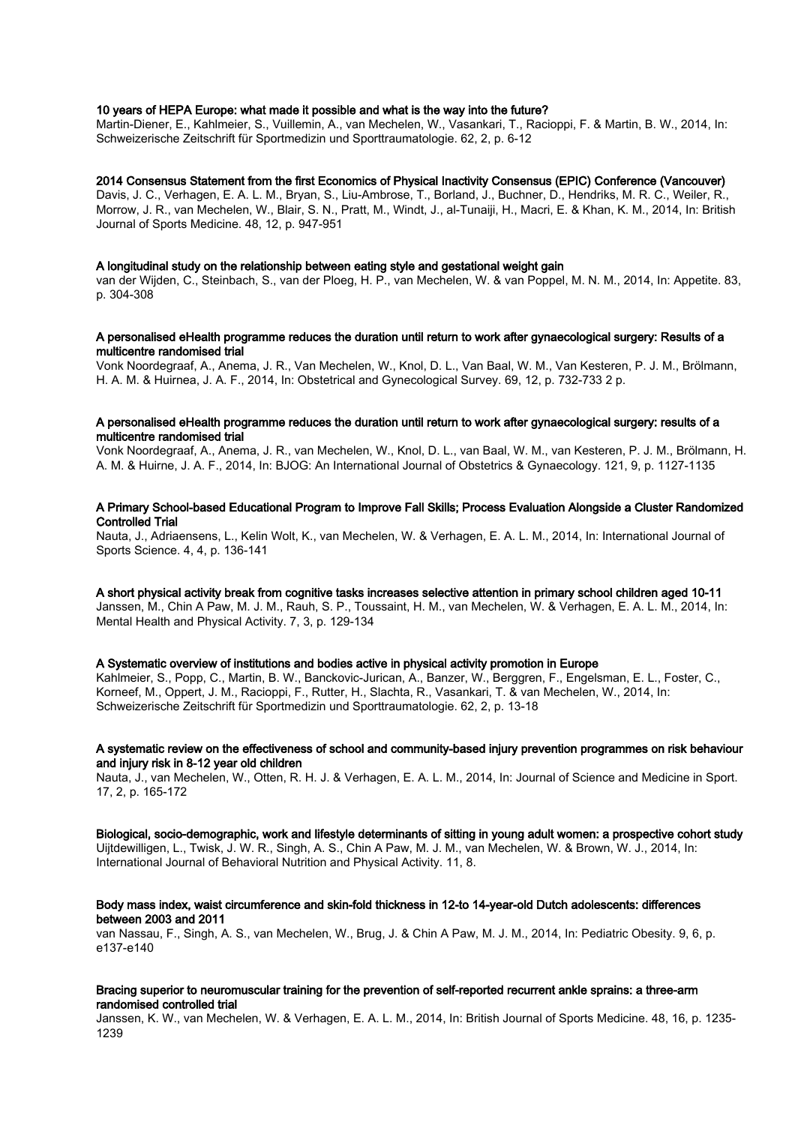# 10 years of HEPA Europe: what made it possible and what is the way into the future?

Martin-Diener, E., Kahlmeier, S., Vuillemin, A., van Mechelen, W., Vasankari, T., Racioppi, F. & Martin, B. W., 2014, In: Schweizerische Zeitschrift für Sportmedizin und Sporttraumatologie. 62, 2, p. 6-12

## 2014 Consensus Statement from the first Economics of Physical Inactivity Consensus (EPIC) Conference (Vancouver)

Davis, J. C., Verhagen, E. A. L. M., Bryan, S., Liu-Ambrose, T., Borland, J., Buchner, D., Hendriks, M. R. C., Weiler, R., Morrow, J. R., van Mechelen, W., Blair, S. N., Pratt, M., Windt, J., al-Tunaiji, H., Macri, E. & Khan, K. M., 2014, In: British Journal of Sports Medicine. 48, 12, p. 947-951

#### A longitudinal study on the relationship between eating style and gestational weight gain

van der Wijden, C., Steinbach, S., van der Ploeg, H. P., van Mechelen, W. & van Poppel, M. N. M., 2014, In: Appetite. 83, p. 304-308

## A personalised eHealth programme reduces the duration until return to work after gynaecological surgery: Results of a multicentre randomised trial

Vonk Noordegraaf, A., Anema, J. R., Van Mechelen, W., Knol, D. L., Van Baal, W. M., Van Kesteren, P. J. M., Brölmann, H. A. M. & Huirnea, J. A. F., 2014, In: Obstetrical and Gynecological Survey. 69, 12, p. 732-733 2 p.

# A personalised eHealth programme reduces the duration until return to work after gynaecological surgery: results of a multicentre randomised trial

Vonk Noordegraaf, A., Anema, J. R., van Mechelen, W., Knol, D. L., van Baal, W. M., van Kesteren, P. J. M., Brölmann, H. A. M. & Huirne, J. A. F., 2014, In: BJOG: An International Journal of Obstetrics & Gynaecology. 121, 9, p. 1127-1135

# A Primary School-based Educational Program to Improve Fall Skills; Process Evaluation Alongside a Cluster Randomized Controlled Trial

Nauta, J., Adriaensens, L., Kelin Wolt, K., van Mechelen, W. & Verhagen, E. A. L. M., 2014, In: International Journal of Sports Science. 4, 4, p. 136-141

A short physical activity break from cognitive tasks increases selective attention in primary school children aged 10-11 Janssen, M., Chin A Paw, M. J. M., Rauh, S. P., Toussaint, H. M., van Mechelen, W. & Verhagen, E. A. L. M., 2014, In: Mental Health and Physical Activity. 7, 3, p. 129-134

# A Systematic overview of institutions and bodies active in physical activity promotion in Europe

Kahlmeier, S., Popp, C., Martin, B. W., Banckovic-Jurican, A., Banzer, W., Berggren, F., Engelsman, E. L., Foster, C., Korneef, M., Oppert, J. M., Racioppi, F., Rutter, H., Slachta, R., Vasankari, T. & van Mechelen, W., 2014, In: Schweizerische Zeitschrift für Sportmedizin und Sporttraumatologie. 62, 2, p. 13-18

## A systematic review on the effectiveness of school and community-based injury prevention programmes on risk behaviour and injury risk in 8-12 year old children

Nauta, J., van Mechelen, W., Otten, R. H. J. & Verhagen, E. A. L. M., 2014, In: Journal of Science and Medicine in Sport. 17, 2, p. 165-172

Biological, socio-demographic, work and lifestyle determinants of sitting in young adult women: a prospective cohort study Uijtdewilligen, L., Twisk, J. W. R., Singh, A. S., Chin A Paw, M. J. M., van Mechelen, W. & Brown, W. J., 2014, In: International Journal of Behavioral Nutrition and Physical Activity. 11, 8.

# Body mass index, waist circumference and skin-fold thickness in 12-to 14-year-old Dutch adolescents: differences between 2003 and 2011

van Nassau, F., Singh, A. S., van Mechelen, W., Brug, J. & Chin A Paw, M. J. M., 2014, In: Pediatric Obesity. 9, 6, p. e137-e140

# Bracing superior to neuromuscular training for the prevention of self-reported recurrent ankle sprains: a three-arm randomised controlled trial

Janssen, K. W., van Mechelen, W. & Verhagen, E. A. L. M., 2014, In: British Journal of Sports Medicine. 48, 16, p. 1235- 1239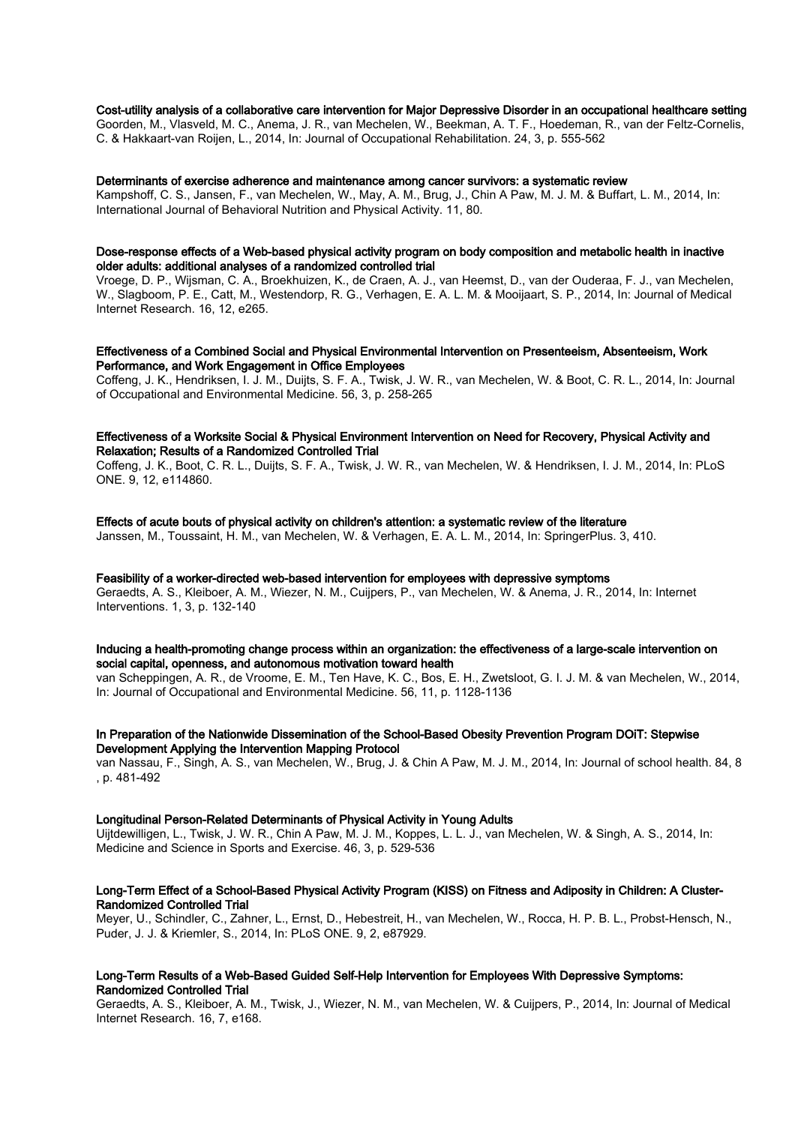#### Cost-utility analysis of a collaborative care intervention for Major Depressive Disorder in an occupational healthcare setting

Goorden, M., Vlasveld, M. C., Anema, J. R., van Mechelen, W., Beekman, A. T. F., Hoedeman, R., van der Feltz-Cornelis, C. & Hakkaart-van Roijen, L., 2014, In: Journal of Occupational Rehabilitation. 24, 3, p. 555-562

#### Determinants of exercise adherence and maintenance among cancer survivors: a systematic review

Kampshoff, C. S., Jansen, F., van Mechelen, W., May, A. M., Brug, J., Chin A Paw, M. J. M. & Buffart, L. M., 2014, In: International Journal of Behavioral Nutrition and Physical Activity. 11, 80.

# Dose-response effects of a Web-based physical activity program on body composition and metabolic health in inactive older adults: additional analyses of a randomized controlled trial

Vroege, D. P., Wijsman, C. A., Broekhuizen, K., de Craen, A. J., van Heemst, D., van der Ouderaa, F. J., van Mechelen, W., Slagboom, P. E., Catt, M., Westendorp, R. G., Verhagen, E. A. L. M. & Mooijaart, S. P., 2014, In: Journal of Medical Internet Research. 16, 12, e265.

# Effectiveness of a Combined Social and Physical Environmental Intervention on Presenteeism, Absenteeism, Work Performance, and Work Engagement in Office Employees

Coffeng, J. K., Hendriksen, I. J. M., Duijts, S. F. A., Twisk, J. W. R., van Mechelen, W. & Boot, C. R. L., 2014, In: Journal of Occupational and Environmental Medicine. 56, 3, p. 258-265

# Effectiveness of a Worksite Social & Physical Environment Intervention on Need for Recovery, Physical Activity and Relaxation; Results of a Randomized Controlled Trial

Coffeng, J. K., Boot, C. R. L., Duijts, S. F. A., Twisk, J. W. R., van Mechelen, W. & Hendriksen, I. J. M., 2014, In: PLoS ONE. 9, 12, e114860.

# Effects of acute bouts of physical activity on children's attention: a systematic review of the literature

Janssen, M., Toussaint, H. M., van Mechelen, W. & Verhagen, E. A. L. M., 2014, In: SpringerPlus. 3, 410.

# Feasibility of a worker-directed web-based intervention for employees with depressive symptoms

Geraedts, A. S., Kleiboer, A. M., Wiezer, N. M., Cuijpers, P., van Mechelen, W. & Anema, J. R., 2014, In: Internet Interventions. 1, 3, p. 132-140

# Inducing a health-promoting change process within an organization: the effectiveness of a large-scale intervention on social capital, openness, and autonomous motivation toward health

van Scheppingen, A. R., de Vroome, E. M., Ten Have, K. C., Bos, E. H., Zwetsloot, G. I. J. M. & van Mechelen, W., 2014, In: Journal of Occupational and Environmental Medicine. 56, 11, p. 1128-1136

# In Preparation of the Nationwide Dissemination of the School-Based Obesity Prevention Program DOiT: Stepwise Development Applying the Intervention Mapping Protocol

van Nassau, F., Singh, A. S., van Mechelen, W., Brug, J. & Chin A Paw, M. J. M., 2014, In: Journal of school health. 84, 8 , p. 481-492

#### Longitudinal Person-Related Determinants of Physical Activity in Young Adults

Uijtdewilligen, L., Twisk, J. W. R., Chin A Paw, M. J. M., Koppes, L. L. J., van Mechelen, W. & Singh, A. S., 2014, In: Medicine and Science in Sports and Exercise. 46, 3, p. 529-536

# Long-Term Effect of a School-Based Physical Activity Program (KISS) on Fitness and Adiposity in Children: A Cluster-Randomized Controlled Trial

Meyer, U., Schindler, C., Zahner, L., Ernst, D., Hebestreit, H., van Mechelen, W., Rocca, H. P. B. L., Probst-Hensch, N., Puder, J. J. & Kriemler, S., 2014, In: PLoS ONE. 9, 2, e87929.

# Long-Term Results of a Web-Based Guided Self-Help Intervention for Employees With Depressive Symptoms: Randomized Controlled Trial

Geraedts, A. S., Kleiboer, A. M., Twisk, J., Wiezer, N. M., van Mechelen, W. & Cuijpers, P., 2014, In: Journal of Medical Internet Research. 16, 7, e168.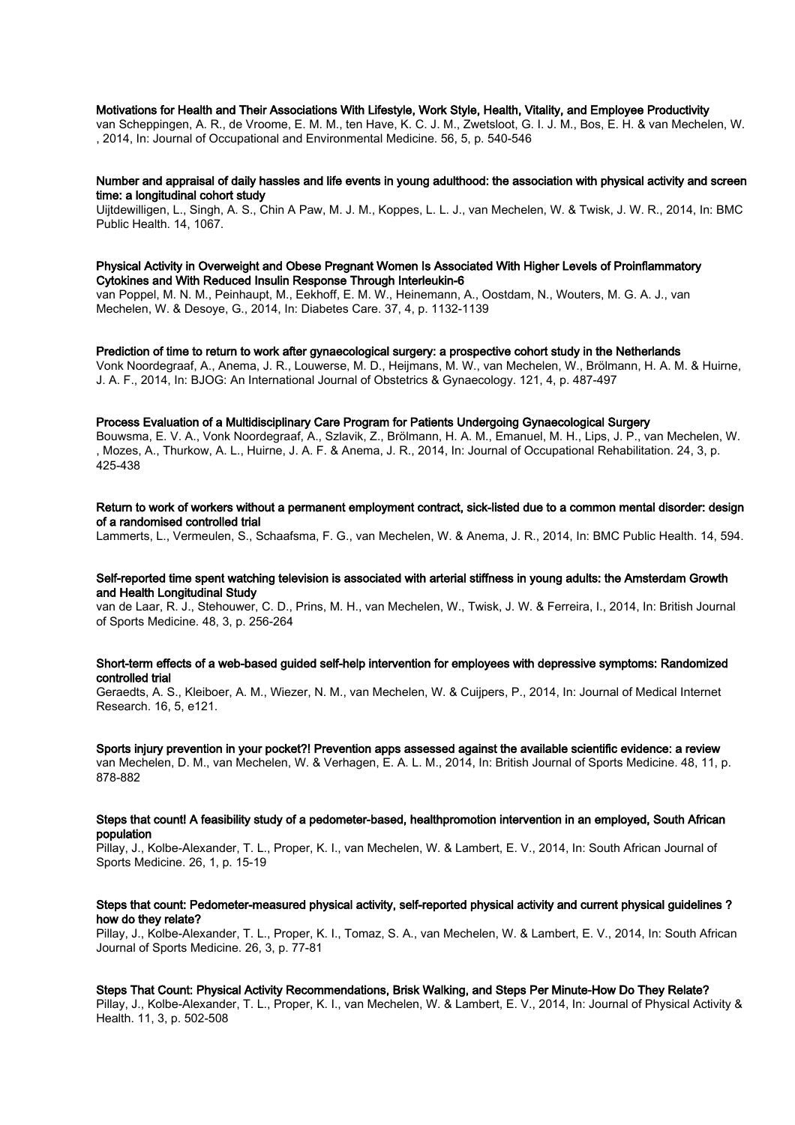# Motivations for Health and Their Associations With Lifestyle, Work Style, Health, Vitality, and Employee Productivity

van Scheppingen, A. R., de Vroome, E. M. M., ten Have, K. C. J. M., Zwetsloot, G. I. J. M., Bos, E. H. & van Mechelen, W. , 2014, In: Journal of Occupational and Environmental Medicine. 56, 5, p. 540-546

#### Number and appraisal of daily hassles and life events in young adulthood: the association with physical activity and screen time: a longitudinal cohort study

Uijtdewilligen, L., Singh, A. S., Chin A Paw, M. J. M., Koppes, L. L. J., van Mechelen, W. & Twisk, J. W. R., 2014, In: BMC Public Health. 14, 1067.

#### Physical Activity in Overweight and Obese Pregnant Women Is Associated With Higher Levels of Proinflammatory Cytokines and With Reduced Insulin Response Through Interleukin-6

van Poppel, M. N. M., Peinhaupt, M., Eekhoff, E. M. W., Heinemann, A., Oostdam, N., Wouters, M. G. A. J., van Mechelen, W. & Desoye, G., 2014, In: Diabetes Care. 37, 4, p. 1132-1139

# Prediction of time to return to work after gynaecological surgery: a prospective cohort study in the Netherlands

Vonk Noordegraaf, A., Anema, J. R., Louwerse, M. D., Heijmans, M. W., van Mechelen, W., Brölmann, H. A. M. & Huirne, J. A. F., 2014, In: BJOG: An International Journal of Obstetrics & Gynaecology. 121, 4, p. 487-497

# Process Evaluation of a Multidisciplinary Care Program for Patients Undergoing Gynaecological Surgery

Bouwsma, E. V. A., Vonk Noordegraaf, A., Szlavik, Z., Brölmann, H. A. M., Emanuel, M. H., Lips, J. P., van Mechelen, W. , Mozes, A., Thurkow, A. L., Huirne, J. A. F. & Anema, J. R., 2014, In: Journal of Occupational Rehabilitation. 24, 3, p. 425-438

# Return to work of workers without a permanent employment contract, sick-listed due to a common mental disorder: design of a randomised controlled trial

Lammerts, L., Vermeulen, S., Schaafsma, F. G., van Mechelen, W. & Anema, J. R., 2014, In: BMC Public Health. 14, 594.

## Self-reported time spent watching television is associated with arterial stiffness in young adults: the Amsterdam Growth and Health Longitudinal Study

van de Laar, R. J., Stehouwer, C. D., Prins, M. H., van Mechelen, W., Twisk, J. W. & Ferreira, I., 2014, In: British Journal of Sports Medicine. 48, 3, p. 256-264

## Short-term effects of a web-based guided self-help intervention for employees with depressive symptoms: Randomized controlled trial

Geraedts, A. S., Kleiboer, A. M., Wiezer, N. M., van Mechelen, W. & Cuijpers, P., 2014, In: Journal of Medical Internet Research. 16, 5, e121.

Sports injury prevention in your pocket?! Prevention apps assessed against the available scientific evidence: a review van Mechelen, D. M., van Mechelen, W. & Verhagen, E. A. L. M., 2014, In: British Journal of Sports Medicine. 48, 11, p. 878-882

#### Steps that count! A feasibility study of a pedometer-based, healthpromotion intervention in an employed, South African population

Pillay, J., Kolbe-Alexander, T. L., Proper, K. I., van Mechelen, W. & Lambert, E. V., 2014, In: South African Journal of Sports Medicine. 26, 1, p. 15-19

# Steps that count: Pedometer-measured physical activity, self-reported physical activity and current physical guidelines ? how do they relate?

Pillay, J., Kolbe-Alexander, T. L., Proper, K. I., Tomaz, S. A., van Mechelen, W. & Lambert, E. V., 2014, In: South African Journal of Sports Medicine. 26, 3, p. 77-81

#### Steps That Count: Physical Activity Recommendations, Brisk Walking, and Steps Per Minute-How Do They Relate?

Pillay, J., Kolbe-Alexander, T. L., Proper, K. I., van Mechelen, W. & Lambert, E. V., 2014, In: Journal of Physical Activity & Health. 11, 3, p. 502-508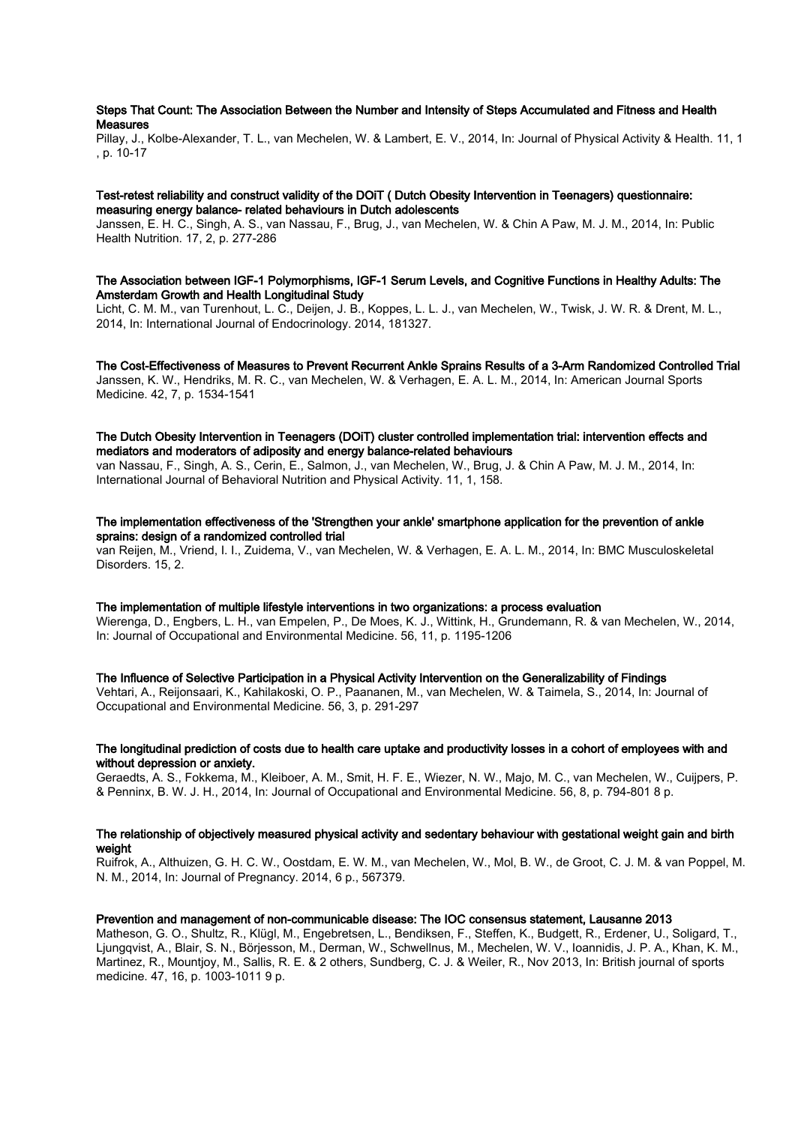# Steps That Count: The Association Between the Number and Intensity of Steps Accumulated and Fitness and Health **Measures**

Pillay, J., Kolbe-Alexander, T. L., van Mechelen, W. & Lambert, E. V., 2014, In: Journal of Physical Activity & Health. 11, 1 , p. 10-17

# Test-retest reliability and construct validity of the DOiT ( Dutch Obesity Intervention in Teenagers) questionnaire: measuring energy balance- related behaviours in Dutch adolescents

Janssen, E. H. C., Singh, A. S., van Nassau, F., Brug, J., van Mechelen, W. & Chin A Paw, M. J. M., 2014, In: Public Health Nutrition. 17, 2, p. 277-286

# The Association between IGF-1 Polymorphisms, IGF-1 Serum Levels, and Cognitive Functions in Healthy Adults: The Amsterdam Growth and Health Longitudinal Study

Licht, C. M. M., van Turenhout, L. C., Deijen, J. B., Koppes, L. L. J., van Mechelen, W., Twisk, J. W. R. & Drent, M. L., 2014, In: International Journal of Endocrinology. 2014, 181327.

The Cost-Effectiveness of Measures to Prevent Recurrent Ankle Sprains Results of a 3-Arm Randomized Controlled Trial Janssen, K. W., Hendriks, M. R. C., van Mechelen, W. & Verhagen, E. A. L. M., 2014, In: American Journal Sports Medicine. 42, 7, p. 1534-1541

# The Dutch Obesity Intervention in Teenagers (DOiT) cluster controlled implementation trial: intervention effects and mediators and moderators of adiposity and energy balance-related behaviours

van Nassau, F., Singh, A. S., Cerin, E., Salmon, J., van Mechelen, W., Brug, J. & Chin A Paw, M. J. M., 2014, In: International Journal of Behavioral Nutrition and Physical Activity. 11, 1, 158.

# The implementation effectiveness of the 'Strengthen your ankle' smartphone application for the prevention of ankle sprains: design of a randomized controlled trial

van Reijen, M., Vriend, I. I., Zuidema, V., van Mechelen, W. & Verhagen, E. A. L. M., 2014, In: BMC Musculoskeletal Disorders. 15, 2.

# The implementation of multiple lifestyle interventions in two organizations: a process evaluation

Wierenga, D., Engbers, L. H., van Empelen, P., De Moes, K. J., Wittink, H., Grundemann, R. & van Mechelen, W., 2014, In: Journal of Occupational and Environmental Medicine. 56, 11, p. 1195-1206

# The Influence of Selective Participation in a Physical Activity Intervention on the Generalizability of Findings

Vehtari, A., Reijonsaari, K., Kahilakoski, O. P., Paananen, M., van Mechelen, W. & Taimela, S., 2014, In: Journal of Occupational and Environmental Medicine. 56, 3, p. 291-297

# The longitudinal prediction of costs due to health care uptake and productivity losses in a cohort of employees with and without depression or anxiety.

Geraedts, A. S., Fokkema, M., Kleiboer, A. M., Smit, H. F. E., Wiezer, N. W., Majo, M. C., van Mechelen, W., Cuijpers, P. & Penninx, B. W. J. H., 2014, In: Journal of Occupational and Environmental Medicine. 56, 8, p. 794-801 8 p.

# The relationship of objectively measured physical activity and sedentary behaviour with gestational weight gain and birth weight

Ruifrok, A., Althuizen, G. H. C. W., Oostdam, E. W. M., van Mechelen, W., Mol, B. W., de Groot, C. J. M. & van Poppel, M. N. M., 2014, In: Journal of Pregnancy. 2014, 6 p., 567379.

#### Prevention and management of non-communicable disease: The IOC consensus statement, Lausanne 2013

Matheson, G. O., Shultz, R., Klügl, M., Engebretsen, L., Bendiksen, F., Steffen, K., Budgett, R., Erdener, U., Soligard, T., Ljungqvist, A., Blair, S. N., Börjesson, M., Derman, W., Schwellnus, M., Mechelen, W. V., Ioannidis, J. P. A., Khan, K. M., Martinez, R., Mountjoy, M., Sallis, R. E. & 2 others, Sundberg, C. J. & Weiler, R., Nov 2013, In: British journal of sports medicine. 47, 16, p. 1003-1011 9 p.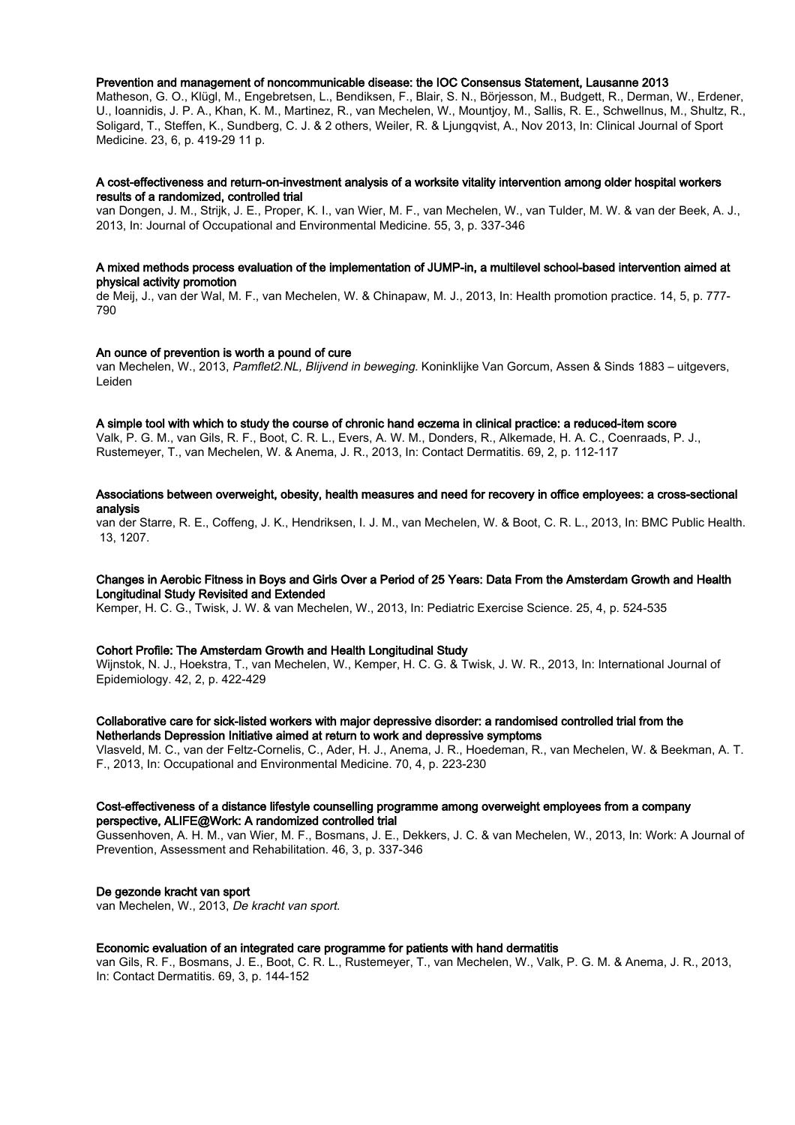#### Prevention and management of noncommunicable disease: the IOC Consensus Statement, Lausanne 2013

Matheson, G. O., Klügl, M., Engebretsen, L., Bendiksen, F., Blair, S. N., Börjesson, M., Budgett, R., Derman, W., Erdener, U., Ioannidis, J. P. A., Khan, K. M., Martinez, R., van Mechelen, W., Mountjoy, M., Sallis, R. E., Schwellnus, M., Shultz, R., Soligard, T., Steffen, K., Sundberg, C. J. & 2 others, Weiler, R. & Ljungqvist, A., Nov 2013, In: Clinical Journal of Sport Medicine. 23, 6, p. 419-29 11 p.

# A cost-effectiveness and return-on-investment analysis of a worksite vitality intervention among older hospital workers results of a randomized, controlled trial

van Dongen, J. M., Strijk, J. E., Proper, K. I., van Wier, M. F., van Mechelen, W., van Tulder, M. W. & van der Beek, A. J., 2013, In: Journal of Occupational and Environmental Medicine. 55, 3, p. 337-346

# A mixed methods process evaluation of the implementation of JUMP-in, a multilevel school-based intervention aimed at physical activity promotion

de Meij, J., van der Wal, M. F., van Mechelen, W. & Chinapaw, M. J., 2013, In: Health promotion practice. 14, 5, p. 777- 790

## An ounce of prevention is worth a pound of cure

van Mechelen, W., 2013, Pamflet2.NL, Blijvend in beweging. Koninklijke Van Gorcum, Assen & Sinds 1883 – uitgevers, Leiden

#### A simple tool with which to study the course of chronic hand eczema in clinical practice: a reduced-item score

Valk, P. G. M., van Gils, R. F., Boot, C. R. L., Evers, A. W. M., Donders, R., Alkemade, H. A. C., Coenraads, P. J., Rustemeyer, T., van Mechelen, W. & Anema, J. R., 2013, In: Contact Dermatitis. 69, 2, p. 112-117

## Associations between overweight, obesity, health measures and need for recovery in office employees: a cross-sectional analysis

van der Starre, R. E., Coffeng, J. K., Hendriksen, I. J. M., van Mechelen, W. & Boot, C. R. L., 2013, In: BMC Public Health. 13, 1207.

#### Changes in Aerobic Fitness in Boys and Girls Over a Period of 25 Years: Data From the Amsterdam Growth and Health Longitudinal Study Revisited and Extended

Kemper, H. C. G., Twisk, J. W. & van Mechelen, W., 2013, In: Pediatric Exercise Science. 25, 4, p. 524-535

# Cohort Profile: The Amsterdam Growth and Health Longitudinal Study

Wijnstok, N. J., Hoekstra, T., van Mechelen, W., Kemper, H. C. G. & Twisk, J. W. R., 2013, In: International Journal of Epidemiology. 42, 2, p. 422-429

# Collaborative care for sick-listed workers with major depressive disorder: a randomised controlled trial from the Netherlands Depression Initiative aimed at return to work and depressive symptoms

Vlasveld, M. C., van der Feltz-Cornelis, C., Ader, H. J., Anema, J. R., Hoedeman, R., van Mechelen, W. & Beekman, A. T. F., 2013, In: Occupational and Environmental Medicine. 70, 4, p. 223-230

## Cost-effectiveness of a distance lifestyle counselling programme among overweight employees from a company perspective, ALIFE@Work: A randomized controlled trial

Gussenhoven, A. H. M., van Wier, M. F., Bosmans, J. E., Dekkers, J. C. & van Mechelen, W., 2013, In: Work: A Journal of Prevention, Assessment and Rehabilitation. 46, 3, p. 337-346

# De gezonde kracht van sport

van Mechelen, W., 2013, De kracht van sport.

#### Economic evaluation of an integrated care programme for patients with hand dermatitis

van Gils, R. F., Bosmans, J. E., Boot, C. R. L., Rustemeyer, T., van Mechelen, W., Valk, P. G. M. & Anema, J. R., 2013, In: Contact Dermatitis. 69, 3, p. 144-152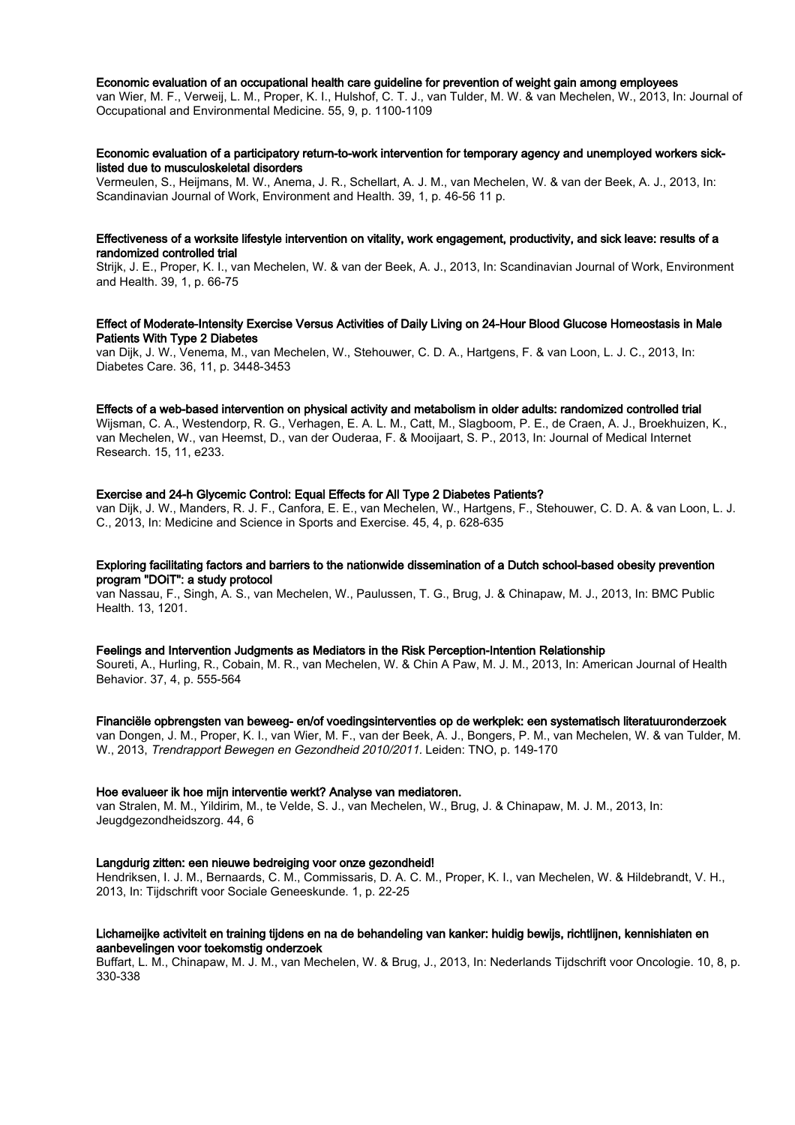#### Economic evaluation of an occupational health care guideline for prevention of weight gain among employees

van Wier, M. F., Verweij, L. M., Proper, K. I., Hulshof, C. T. J., van Tulder, M. W. & van Mechelen, W., 2013, In: Journal of Occupational and Environmental Medicine. 55, 9, p. 1100-1109

# Economic evaluation of a participatory return-to-work intervention for temporary agency and unemployed workers sicklisted due to musculoskeletal disorders

Vermeulen, S., Heijmans, M. W., Anema, J. R., Schellart, A. J. M., van Mechelen, W. & van der Beek, A. J., 2013, In: Scandinavian Journal of Work, Environment and Health. 39, 1, p. 46-56 11 p.

### Effectiveness of a worksite lifestyle intervention on vitality, work engagement, productivity, and sick leave: results of a randomized controlled trial

Strijk, J. E., Proper, K. I., van Mechelen, W. & van der Beek, A. J., 2013, In: Scandinavian Journal of Work, Environment and Health. 39, 1, p. 66-75

# Effect of Moderate-Intensity Exercise Versus Activities of Daily Living on 24-Hour Blood Glucose Homeostasis in Male Patients With Type 2 Diabetes

van Dijk, J. W., Venema, M., van Mechelen, W., Stehouwer, C. D. A., Hartgens, F. & van Loon, L. J. C., 2013, In: Diabetes Care. 36, 11, p. 3448-3453

#### Effects of a web-based intervention on physical activity and metabolism in older adults: randomized controlled trial

Wijsman, C. A., Westendorp, R. G., Verhagen, E. A. L. M., Catt, M., Slagboom, P. E., de Craen, A. J., Broekhuizen, K., van Mechelen, W., van Heemst, D., van der Ouderaa, F. & Mooijaart, S. P., 2013, In: Journal of Medical Internet Research. 15, 11, e233.

# Exercise and 24-h Glycemic Control: Equal Effects for All Type 2 Diabetes Patients?

van Dijk, J. W., Manders, R. J. F., Canfora, E. E., van Mechelen, W., Hartgens, F., Stehouwer, C. D. A. & van Loon, L. J. C., 2013, In: Medicine and Science in Sports and Exercise. 45, 4, p. 628-635

# Exploring facilitating factors and barriers to the nationwide dissemination of a Dutch school-based obesity prevention program "DOiT": a study protocol

van Nassau, F., Singh, A. S., van Mechelen, W., Paulussen, T. G., Brug, J. & Chinapaw, M. J., 2013, In: BMC Public Health. 13, 1201.

# Feelings and Intervention Judgments as Mediators in the Risk Perception-Intention Relationship

Soureti, A., Hurling, R., Cobain, M. R., van Mechelen, W. & Chin A Paw, M. J. M., 2013, In: American Journal of Health Behavior. 37, 4, p. 555-564

#### Financiële opbrengsten van beweeg- en/of voedingsinterventies op de werkplek: een systematisch literatuuronderzoek

van Dongen, J. M., Proper, K. I., van Wier, M. F., van der Beek, A. J., Bongers, P. M., van Mechelen, W. & van Tulder, M. W., 2013, Trendrapport Bewegen en Gezondheid 2010/2011. Leiden: TNO, p. 149-170

#### Hoe evalueer ik hoe mijn interventie werkt? Analyse van mediatoren.

van Stralen, M. M., Yildirim, M., te Velde, S. J., van Mechelen, W., Brug, J. & Chinapaw, M. J. M., 2013, In: Jeugdgezondheidszorg. 44, 6

# Langdurig zitten: een nieuwe bedreiging voor onze gezondheid!

Hendriksen, I. J. M., Bernaards, C. M., Commissaris, D. A. C. M., Proper, K. I., van Mechelen, W. & Hildebrandt, V. H., 2013, In: Tijdschrift voor Sociale Geneeskunde. 1, p. 22-25

# Lichameijke activiteit en training tijdens en na de behandeling van kanker: huidig bewijs, richtlijnen, kennishiaten en aanbevelingen voor toekomstig onderzoek

Buffart, L. M., Chinapaw, M. J. M., van Mechelen, W. & Brug, J., 2013, In: Nederlands Tijdschrift voor Oncologie. 10, 8, p. 330-338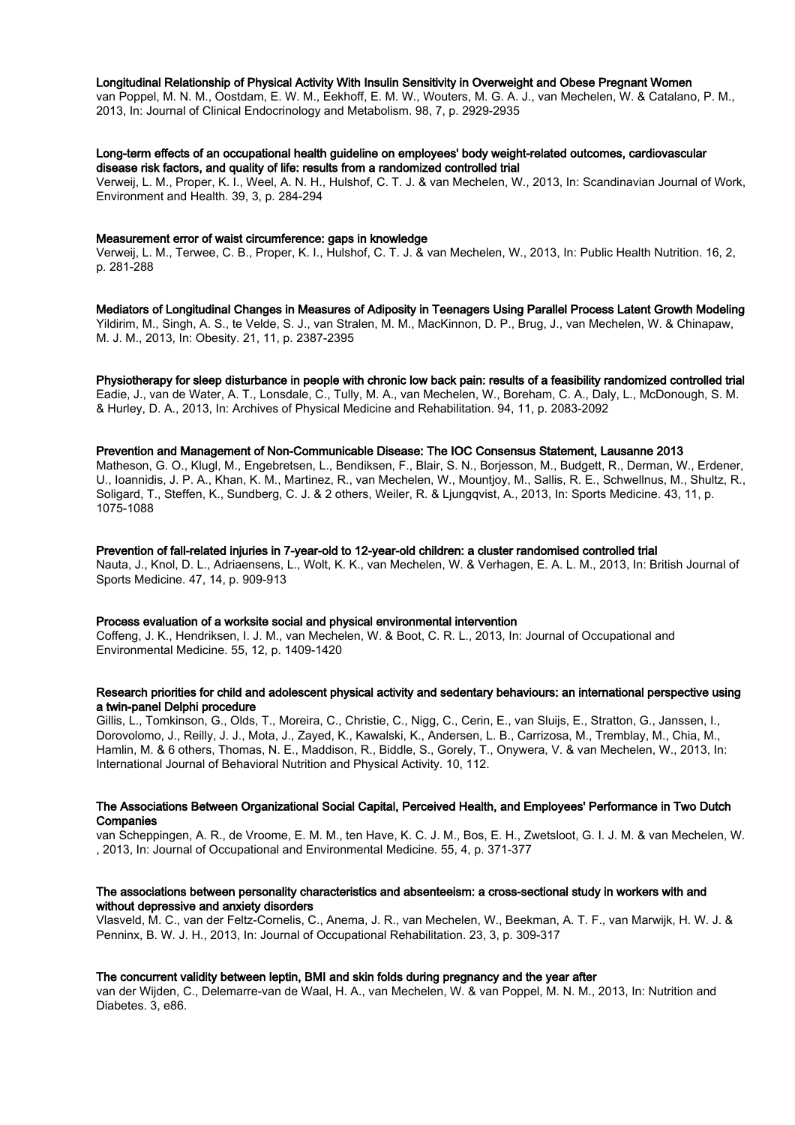# Longitudinal Relationship of Physical Activity With Insulin Sensitivity in Overweight and Obese Pregnant Women

van Poppel, M. N. M., Oostdam, E. W. M., Eekhoff, E. M. W., Wouters, M. G. A. J., van Mechelen, W. & Catalano, P. M., 2013, In: Journal of Clinical Endocrinology and Metabolism. 98, 7, p. 2929-2935

# Long-term effects of an occupational health guideline on employees' body weight-related outcomes, cardiovascular disease risk factors, and quality of life: results from a randomized controlled trial

Verweij, L. M., Proper, K. I., Weel, A. N. H., Hulshof, C. T. J. & van Mechelen, W., 2013, In: Scandinavian Journal of Work, Environment and Health. 39, 3, p. 284-294

## Measurement error of waist circumference: gaps in knowledge

Verweij, L. M., Terwee, C. B., Proper, K. I., Hulshof, C. T. J. & van Mechelen, W., 2013, In: Public Health Nutrition. 16, 2, p. 281-288

Mediators of Longitudinal Changes in Measures of Adiposity in Teenagers Using Parallel Process Latent Growth Modeling

Yildirim, M., Singh, A. S., te Velde, S. J., van Stralen, M. M., MacKinnon, D. P., Brug, J., van Mechelen, W. & Chinapaw, M. J. M., 2013, In: Obesity. 21, 11, p. 2387-2395

# Physiotherapy for sleep disturbance in people with chronic low back pain: results of a feasibility randomized controlled trial

Eadie, J., van de Water, A. T., Lonsdale, C., Tully, M. A., van Mechelen, W., Boreham, C. A., Daly, L., McDonough, S. M. & Hurley, D. A., 2013, In: Archives of Physical Medicine and Rehabilitation. 94, 11, p. 2083-2092

## Prevention and Management of Non-Communicable Disease: The IOC Consensus Statement, Lausanne 2013

Matheson, G. O., Klugl, M., Engebretsen, L., Bendiksen, F., Blair, S. N., Borjesson, M., Budgett, R., Derman, W., Erdener, U., Ioannidis, J. P. A., Khan, K. M., Martinez, R., van Mechelen, W., Mountjoy, M., Sallis, R. E., Schwellnus, M., Shultz, R., Soligard, T., Steffen, K., Sundberg, C. J. & 2 others, Weiler, R. & Ljungqvist, A., 2013, In: Sports Medicine. 43, 11, p. 1075-1088

## Prevention of fall-related injuries in 7-year-old to 12-year-old children: a cluster randomised controlled trial

Nauta, J., Knol, D. L., Adriaensens, L., Wolt, K. K., van Mechelen, W. & Verhagen, E. A. L. M., 2013, In: British Journal of Sports Medicine. 47, 14, p. 909-913

#### Process evaluation of a worksite social and physical environmental intervention

Coffeng, J. K., Hendriksen, I. J. M., van Mechelen, W. & Boot, C. R. L., 2013, In: Journal of Occupational and Environmental Medicine. 55, 12, p. 1409-1420

## Research priorities for child and adolescent physical activity and sedentary behaviours: an international perspective using a twin-panel Delphi procedure

Gillis, L., Tomkinson, G., Olds, T., Moreira, C., Christie, C., Nigg, C., Cerin, E., van Sluijs, E., Stratton, G., Janssen, I., Dorovolomo, J., Reilly, J. J., Mota, J., Zayed, K., Kawalski, K., Andersen, L. B., Carrizosa, M., Tremblay, M., Chia, M., Hamlin, M. & 6 others, Thomas, N. E., Maddison, R., Biddle, S., Gorely, T., Onywera, V. & van Mechelen, W., 2013, In: International Journal of Behavioral Nutrition and Physical Activity. 10, 112.

## The Associations Between Organizational Social Capital, Perceived Health, and Employees' Performance in Two Dutch **Companies**

van Scheppingen, A. R., de Vroome, E. M. M., ten Have, K. C. J. M., Bos, E. H., Zwetsloot, G. I. J. M. & van Mechelen, W. , 2013, In: Journal of Occupational and Environmental Medicine. 55, 4, p. 371-377

## The associations between personality characteristics and absenteeism: a cross-sectional study in workers with and without depressive and anxiety disorders

Vlasveld, M. C., van der Feltz-Cornelis, C., Anema, J. R., van Mechelen, W., Beekman, A. T. F., van Marwijk, H. W. J. & Penninx, B. W. J. H., 2013, In: Journal of Occupational Rehabilitation. 23, 3, p. 309-317

# The concurrent validity between leptin, BMI and skin folds during pregnancy and the year after

van der Wijden, C., Delemarre-van de Waal, H. A., van Mechelen, W. & van Poppel, M. N. M., 2013, In: Nutrition and Diabetes. 3, e86.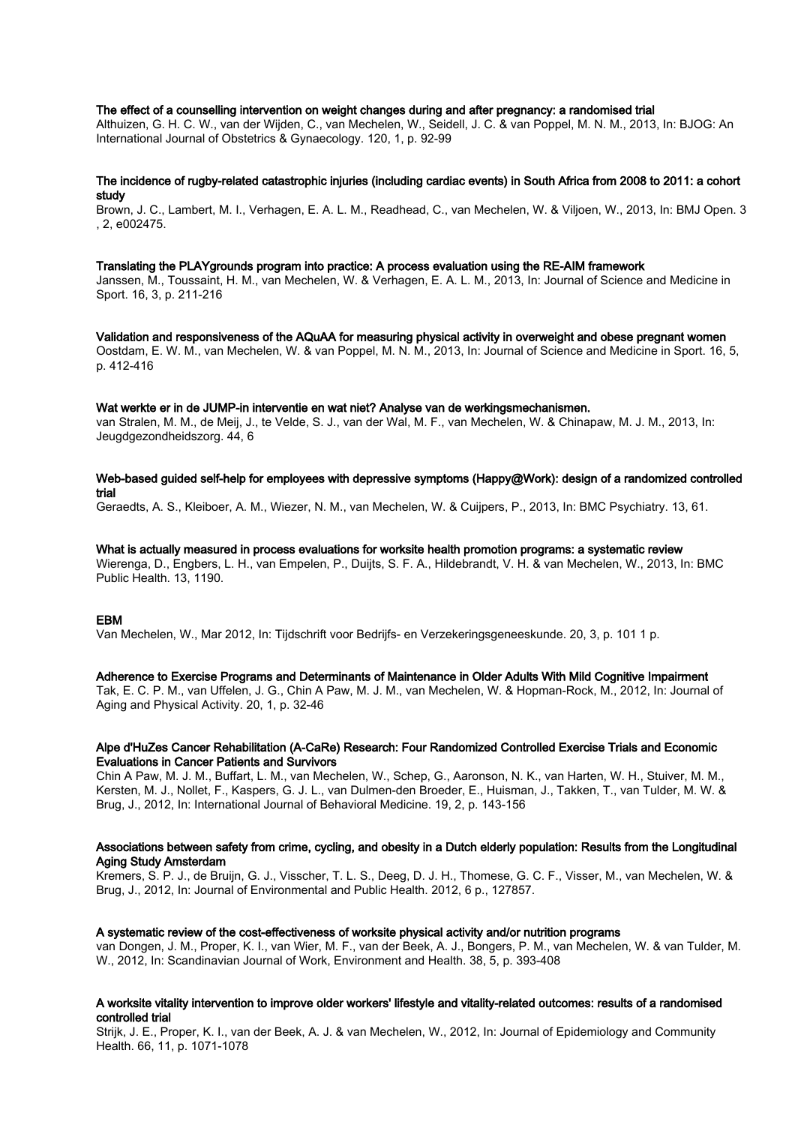# The effect of a counselling intervention on weight changes during and after pregnancy: a randomised trial

Althuizen, G. H. C. W., van der Wijden, C., van Mechelen, W., Seidell, J. C. & van Poppel, M. N. M., 2013, In: BJOG: An International Journal of Obstetrics & Gynaecology. 120, 1, p. 92-99

## The incidence of rugby-related catastrophic injuries (including cardiac events) in South Africa from 2008 to 2011: a cohort study

Brown, J. C., Lambert, M. I., Verhagen, E. A. L. M., Readhead, C., van Mechelen, W. & Viljoen, W., 2013, In: BMJ Open. 3 , 2, e002475.

#### Translating the PLAYgrounds program into practice: A process evaluation using the RE-AIM framework

Janssen, M., Toussaint, H. M., van Mechelen, W. & Verhagen, E. A. L. M., 2013, In: Journal of Science and Medicine in Sport. 16, 3, p. 211-216

Validation and responsiveness of the AQuAA for measuring physical activity in overweight and obese pregnant women Oostdam, E. W. M., van Mechelen, W. & van Poppel, M. N. M., 2013, In: Journal of Science and Medicine in Sport. 16, 5, p. 412-416

# Wat werkte er in de JUMP-in interventie en wat niet? Analyse van de werkingsmechanismen.

van Stralen, M. M., de Meij, J., te Velde, S. J., van der Wal, M. F., van Mechelen, W. & Chinapaw, M. J. M., 2013, In: Jeugdgezondheidszorg. 44, 6

# Web-based guided self-help for employees with depressive symptoms (Happy@Work): design of a randomized controlled trial

Geraedts, A. S., Kleiboer, A. M., Wiezer, N. M., van Mechelen, W. & Cuijpers, P., 2013, In: BMC Psychiatry. 13, 61.

# What is actually measured in process evaluations for worksite health promotion programs: a systematic review

Wierenga, D., Engbers, L. H., van Empelen, P., Duijts, S. F. A., Hildebrandt, V. H. & van Mechelen, W., 2013, In: BMC Public Health. 13, 1190.

# EBM

Van Mechelen, W., Mar 2012, In: Tijdschrift voor Bedrijfs- en Verzekeringsgeneeskunde. 20, 3, p. 101 1 p.

#### Adherence to Exercise Programs and Determinants of Maintenance in Older Adults With Mild Cognitive Impairment

Tak, E. C. P. M., van Uffelen, J. G., Chin A Paw, M. J. M., van Mechelen, W. & Hopman-Rock, M., 2012, In: Journal of Aging and Physical Activity. 20, 1, p. 32-46

# Alpe d'HuZes Cancer Rehabilitation (A-CaRe) Research: Four Randomized Controlled Exercise Trials and Economic Evaluations in Cancer Patients and Survivors

Chin A Paw, M. J. M., Buffart, L. M., van Mechelen, W., Schep, G., Aaronson, N. K., van Harten, W. H., Stuiver, M. M., Kersten, M. J., Nollet, F., Kaspers, G. J. L., van Dulmen-den Broeder, E., Huisman, J., Takken, T., van Tulder, M. W. & Brug, J., 2012, In: International Journal of Behavioral Medicine. 19, 2, p. 143-156

# Associations between safety from crime, cycling, and obesity in a Dutch elderly population: Results from the Longitudinal Aging Study Amsterdam

Kremers, S. P. J., de Bruijn, G. J., Visscher, T. L. S., Deeg, D. J. H., Thomese, G. C. F., Visser, M., van Mechelen, W. & Brug, J., 2012, In: Journal of Environmental and Public Health. 2012, 6 p., 127857.

#### A systematic review of the cost-effectiveness of worksite physical activity and/or nutrition programs

van Dongen, J. M., Proper, K. I., van Wier, M. F., van der Beek, A. J., Bongers, P. M., van Mechelen, W. & van Tulder, M. W., 2012, In: Scandinavian Journal of Work, Environment and Health. 38, 5, p. 393-408

# A worksite vitality intervention to improve older workers' lifestyle and vitality-related outcomes: results of a randomised controlled trial

Strijk, J. E., Proper, K. I., van der Beek, A. J. & van Mechelen, W., 2012, In: Journal of Epidemiology and Community Health. 66, 11, p. 1071-1078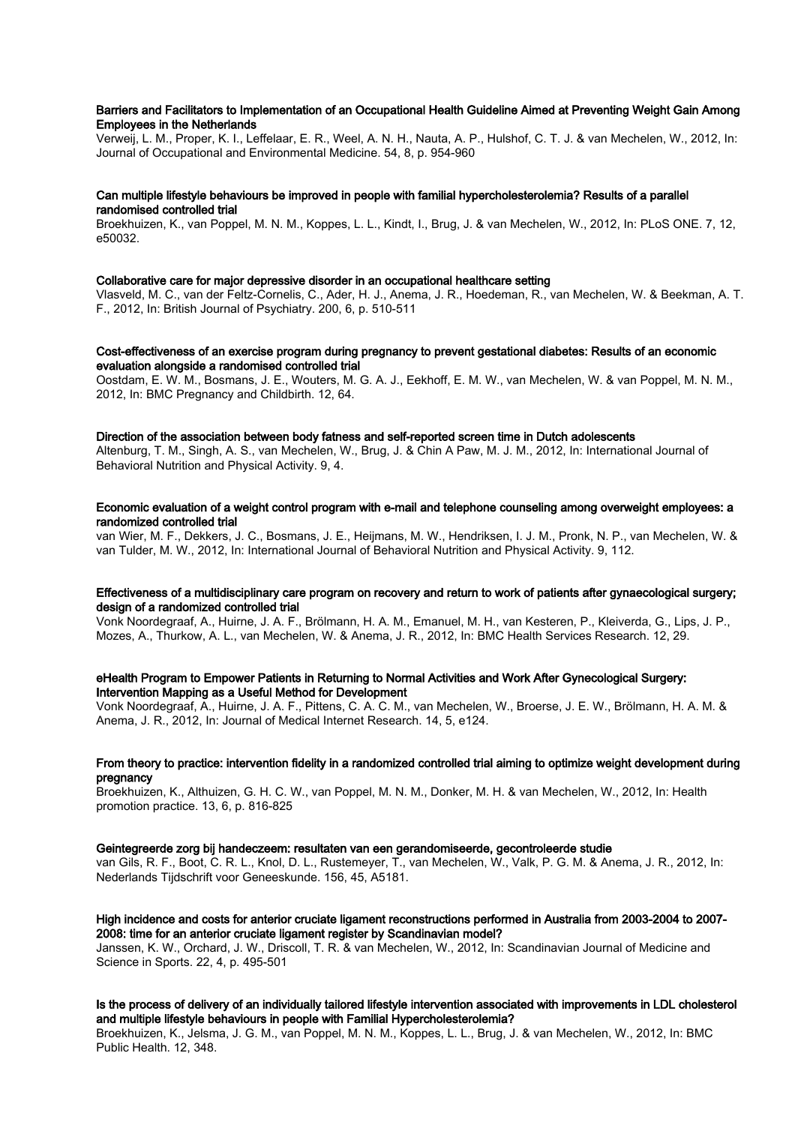# Barriers and Facilitators to Implementation of an Occupational Health Guideline Aimed at Preventing Weight Gain Among Employees in the Netherlands

Verweij, L. M., Proper, K. I., Leffelaar, E. R., Weel, A. N. H., Nauta, A. P., Hulshof, C. T. J. & van Mechelen, W., 2012, In: Journal of Occupational and Environmental Medicine. 54, 8, p. 954-960

# Can multiple lifestyle behaviours be improved in people with familial hypercholesterolemia? Results of a parallel randomised controlled trial

Broekhuizen, K., van Poppel, M. N. M., Koppes, L. L., Kindt, I., Brug, J. & van Mechelen, W., 2012, In: PLoS ONE. 7, 12, e50032.

#### Collaborative care for major depressive disorder in an occupational healthcare setting

Vlasveld, M. C., van der Feltz-Cornelis, C., Ader, H. J., Anema, J. R., Hoedeman, R., van Mechelen, W. & Beekman, A. T. F., 2012, In: British Journal of Psychiatry. 200, 6, p. 510-511

## Cost-effectiveness of an exercise program during pregnancy to prevent gestational diabetes: Results of an economic evaluation alongside a randomised controlled trial

Oostdam, E. W. M., Bosmans, J. E., Wouters, M. G. A. J., Eekhoff, E. M. W., van Mechelen, W. & van Poppel, M. N. M., 2012, In: BMC Pregnancy and Childbirth. 12, 64.

# Direction of the association between body fatness and self-reported screen time in Dutch adolescents

Altenburg, T. M., Singh, A. S., van Mechelen, W., Brug, J. & Chin A Paw, M. J. M., 2012, In: International Journal of Behavioral Nutrition and Physical Activity. 9, 4.

# Economic evaluation of a weight control program with e-mail and telephone counseling among overweight employees: a randomized controlled trial

van Wier, M. F., Dekkers, J. C., Bosmans, J. E., Heijmans, M. W., Hendriksen, I. J. M., Pronk, N. P., van Mechelen, W. & van Tulder, M. W., 2012, In: International Journal of Behavioral Nutrition and Physical Activity. 9, 112.

# Effectiveness of a multidisciplinary care program on recovery and return to work of patients after gynaecological surgery; design of a randomized controlled trial

Vonk Noordegraaf, A., Huirne, J. A. F., Brölmann, H. A. M., Emanuel, M. H., van Kesteren, P., Kleiverda, G., Lips, J. P., Mozes, A., Thurkow, A. L., van Mechelen, W. & Anema, J. R., 2012, In: BMC Health Services Research. 12, 29.

# eHealth Program to Empower Patients in Returning to Normal Activities and Work After Gynecological Surgery: Intervention Mapping as a Useful Method for Development

Vonk Noordegraaf, A., Huirne, J. A. F., Pittens, C. A. C. M., van Mechelen, W., Broerse, J. E. W., Brölmann, H. A. M. & Anema, J. R., 2012, In: Journal of Medical Internet Research. 14, 5, e124.

## From theory to practice: intervention fidelity in a randomized controlled trial aiming to optimize weight development during pregnancy

Broekhuizen, K., Althuizen, G. H. C. W., van Poppel, M. N. M., Donker, M. H. & van Mechelen, W., 2012, In: Health promotion practice. 13, 6, p. 816-825

#### Geintegreerde zorg bij handeczeem: resultaten van een gerandomiseerde, gecontroleerde studie

van Gils, R. F., Boot, C. R. L., Knol, D. L., Rustemeyer, T., van Mechelen, W., Valk, P. G. M. & Anema, J. R., 2012, In: Nederlands Tijdschrift voor Geneeskunde. 156, 45, A5181.

# High incidence and costs for anterior cruciate ligament reconstructions performed in Australia from 2003-2004 to 2007- 2008: time for an anterior cruciate ligament register by Scandinavian model?

Janssen, K. W., Orchard, J. W., Driscoll, T. R. & van Mechelen, W., 2012, In: Scandinavian Journal of Medicine and Science in Sports. 22, 4, p. 495-501

# Is the process of delivery of an individually tailored lifestyle intervention associated with improvements in LDL cholesterol and multiple lifestyle behaviours in people with Familial Hypercholesterolemia?

Broekhuizen, K., Jelsma, J. G. M., van Poppel, M. N. M., Koppes, L. L., Brug, J. & van Mechelen, W., 2012, In: BMC Public Health. 12, 348.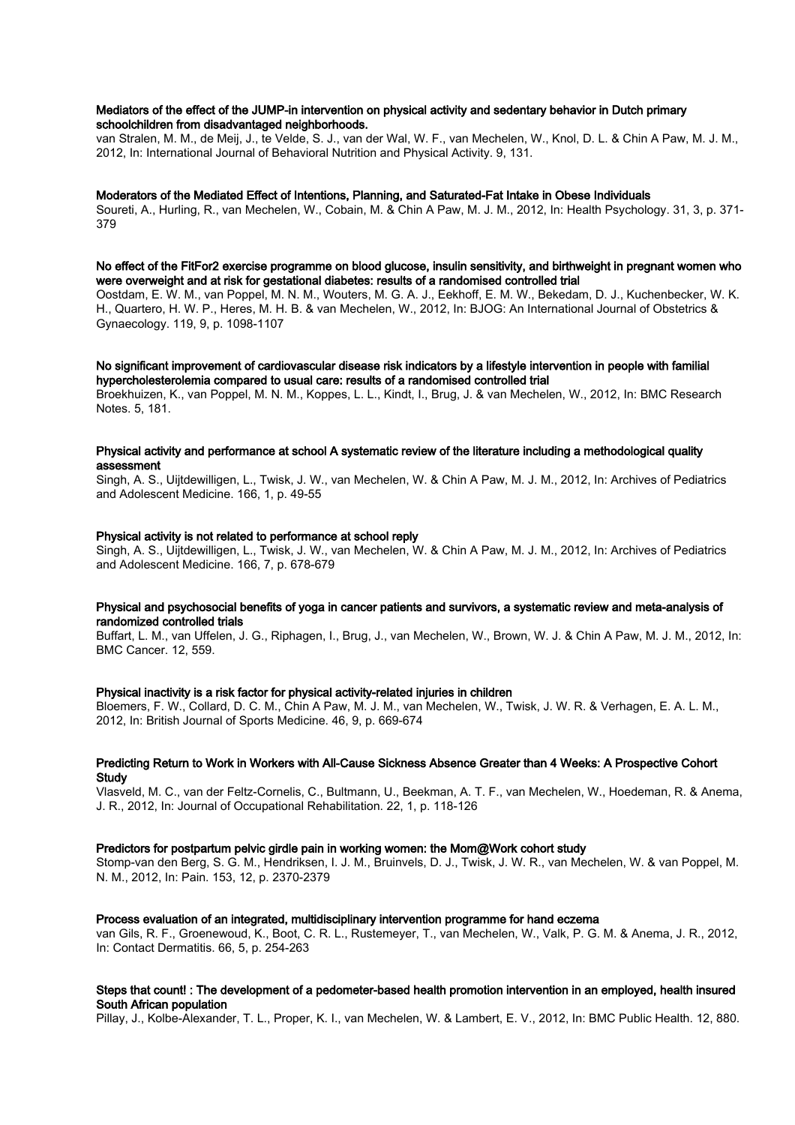# Mediators of the effect of the JUMP-in intervention on physical activity and sedentary behavior in Dutch primary schoolchildren from disadvantaged neighborhoods.

van Stralen, M. M., de Meij, J., te Velde, S. J., van der Wal, W. F., van Mechelen, W., Knol, D. L. & Chin A Paw, M. J. M., 2012, In: International Journal of Behavioral Nutrition and Physical Activity. 9, 131.

#### Moderators of the Mediated Effect of Intentions, Planning, and Saturated-Fat Intake in Obese Individuals

Soureti, A., Hurling, R., van Mechelen, W., Cobain, M. & Chin A Paw, M. J. M., 2012, In: Health Psychology. 31, 3, p. 371- 379

#### No effect of the FitFor2 exercise programme on blood glucose, insulin sensitivity, and birthweight in pregnant women who were overweight and at risk for gestational diabetes: results of a randomised controlled trial

Oostdam, E. W. M., van Poppel, M. N. M., Wouters, M. G. A. J., Eekhoff, E. M. W., Bekedam, D. J., Kuchenbecker, W. K. H., Quartero, H. W. P., Heres, M. H. B. & van Mechelen, W., 2012, In: BJOG: An International Journal of Obstetrics & Gynaecology. 119, 9, p. 1098-1107

## No significant improvement of cardiovascular disease risk indicators by a lifestyle intervention in people with familial hypercholesterolemia compared to usual care: results of a randomised controlled trial

Broekhuizen, K., van Poppel, M. N. M., Koppes, L. L., Kindt, I., Brug, J. & van Mechelen, W., 2012, In: BMC Research Notes. 5, 181.

# Physical activity and performance at school A systematic review of the literature including a methodological quality assessment

Singh, A. S., Uijtdewilligen, L., Twisk, J. W., van Mechelen, W. & Chin A Paw, M. J. M., 2012, In: Archives of Pediatrics and Adolescent Medicine. 166, 1, p. 49-55

## Physical activity is not related to performance at school reply

Singh, A. S., Uijtdewilligen, L., Twisk, J. W., van Mechelen, W. & Chin A Paw, M. J. M., 2012, In: Archives of Pediatrics and Adolescent Medicine. 166, 7, p. 678-679

# Physical and psychosocial benefits of yoga in cancer patients and survivors, a systematic review and meta-analysis of randomized controlled trials

Buffart, L. M., van Uffelen, J. G., Riphagen, I., Brug, J., van Mechelen, W., Brown, W. J. & Chin A Paw, M. J. M., 2012, In: BMC Cancer. 12, 559.

# Physical inactivity is a risk factor for physical activity-related injuries in children

Bloemers, F. W., Collard, D. C. M., Chin A Paw, M. J. M., van Mechelen, W., Twisk, J. W. R. & Verhagen, E. A. L. M., 2012, In: British Journal of Sports Medicine. 46, 9, p. 669-674

# Predicting Return to Work in Workers with All-Cause Sickness Absence Greater than 4 Weeks: A Prospective Cohort **Study**

Vlasveld, M. C., van der Feltz-Cornelis, C., Bultmann, U., Beekman, A. T. F., van Mechelen, W., Hoedeman, R. & Anema, J. R., 2012, In: Journal of Occupational Rehabilitation. 22, 1, p. 118-126

# Predictors for postpartum pelvic girdle pain in working women: the Mom@Work cohort study

Stomp-van den Berg, S. G. M., Hendriksen, I. J. M., Bruinvels, D. J., Twisk, J. W. R., van Mechelen, W. & van Poppel, M. N. M., 2012, In: Pain. 153, 12, p. 2370-2379

#### Process evaluation of an integrated, multidisciplinary intervention programme for hand eczema

van Gils, R. F., Groenewoud, K., Boot, C. R. L., Rustemeyer, T., van Mechelen, W., Valk, P. G. M. & Anema, J. R., 2012, In: Contact Dermatitis. 66, 5, p. 254-263

# Steps that count! : The development of a pedometer-based health promotion intervention in an employed, health insured South African population

Pillay, J., Kolbe-Alexander, T. L., Proper, K. I., van Mechelen, W. & Lambert, E. V., 2012, In: BMC Public Health. 12, 880.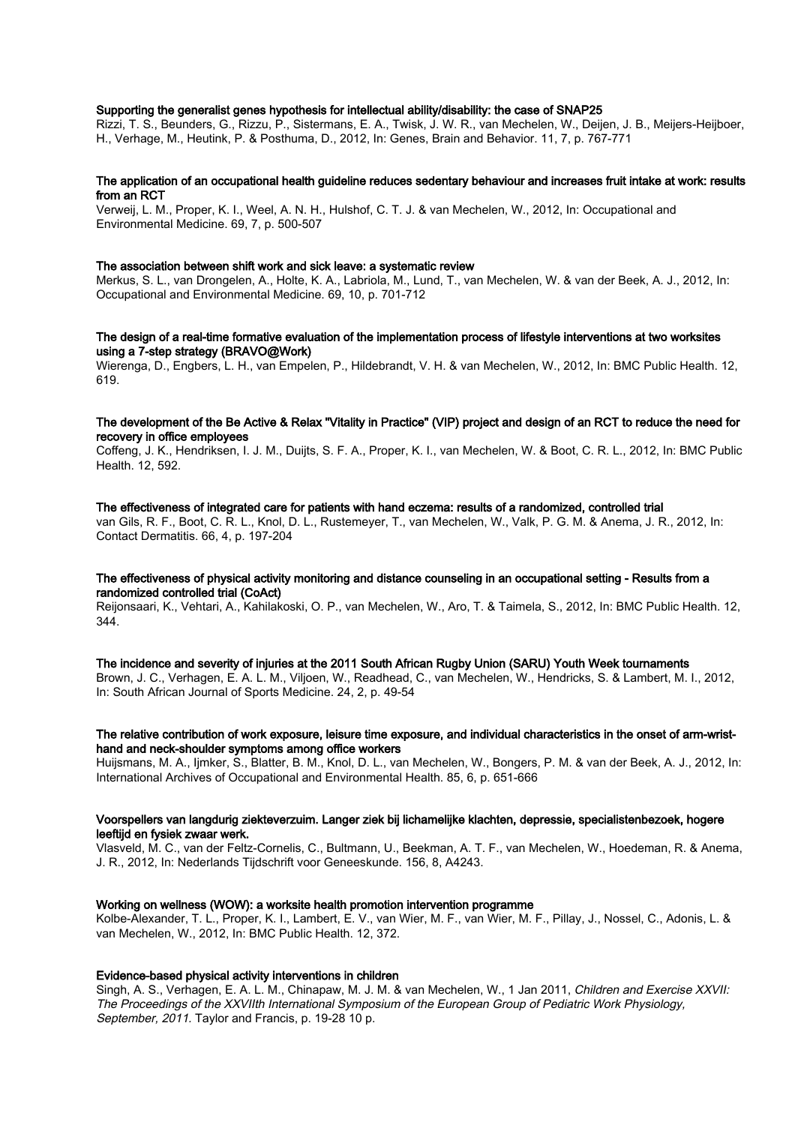# Supporting the generalist genes hypothesis for intellectual ability/disability: the case of SNAP25

Rizzi, T. S., Beunders, G., Rizzu, P., Sistermans, E. A., Twisk, J. W. R., van Mechelen, W., Deijen, J. B., Meijers-Heijboer, H., Verhage, M., Heutink, P. & Posthuma, D., 2012, In: Genes, Brain and Behavior. 11, 7, p. 767-771

#### The application of an occupational health guideline reduces sedentary behaviour and increases fruit intake at work: results from an RCT

Verweij, L. M., Proper, K. I., Weel, A. N. H., Hulshof, C. T. J. & van Mechelen, W., 2012, In: Occupational and Environmental Medicine. 69, 7, p. 500-507

#### The association between shift work and sick leave: a systematic review

Merkus, S. L., van Drongelen, A., Holte, K. A., Labriola, M., Lund, T., van Mechelen, W. & van der Beek, A. J., 2012, In: Occupational and Environmental Medicine. 69, 10, p. 701-712

#### The design of a real-time formative evaluation of the implementation process of lifestyle interventions at two worksites using a 7-step strategy (BRAVO@Work)

Wierenga, D., Engbers, L. H., van Empelen, P., Hildebrandt, V. H. & van Mechelen, W., 2012, In: BMC Public Health. 12, 619.

# The development of the Be Active & Relax "Vitality in Practice" (VIP) project and design of an RCT to reduce the need for recovery in office employees

Coffeng, J. K., Hendriksen, I. J. M., Duijts, S. F. A., Proper, K. I., van Mechelen, W. & Boot, C. R. L., 2012, In: BMC Public Health. 12, 592.

#### The effectiveness of integrated care for patients with hand eczema: results of a randomized, controlled trial

van Gils, R. F., Boot, C. R. L., Knol, D. L., Rustemeyer, T., van Mechelen, W., Valk, P. G. M. & Anema, J. R., 2012, In: Contact Dermatitis. 66, 4, p. 197-204

# The effectiveness of physical activity monitoring and distance counseling in an occupational setting - Results from a randomized controlled trial (CoAct)

Reijonsaari, K., Vehtari, A., Kahilakoski, O. P., van Mechelen, W., Aro, T. & Taimela, S., 2012, In: BMC Public Health. 12, 344.

#### The incidence and severity of injuries at the 2011 South African Rugby Union (SARU) Youth Week tournaments

Brown, J. C., Verhagen, E. A. L. M., Viljoen, W., Readhead, C., van Mechelen, W., Hendricks, S. & Lambert, M. I., 2012, In: South African Journal of Sports Medicine. 24, 2, p. 49-54

#### The relative contribution of work exposure, leisure time exposure, and individual characteristics in the onset of arm-wristhand and neck-shoulder symptoms among office workers

Huijsmans, M. A., Ijmker, S., Blatter, B. M., Knol, D. L., van Mechelen, W., Bongers, P. M. & van der Beek, A. J., 2012, In: International Archives of Occupational and Environmental Health. 85, 6, p. 651-666

#### Voorspellers van langdurig ziekteverzuim. Langer ziek bij lichamelijke klachten, depressie, specialistenbezoek, hogere leeftijd en fysiek zwaar werk.

Vlasveld, M. C., van der Feltz-Cornelis, C., Bultmann, U., Beekman, A. T. F., van Mechelen, W., Hoedeman, R. & Anema, J. R., 2012, In: Nederlands Tijdschrift voor Geneeskunde. 156, 8, A4243.

## Working on wellness (WOW): a worksite health promotion intervention programme

Kolbe-Alexander, T. L., Proper, K. I., Lambert, E. V., van Wier, M. F., van Wier, M. F., Pillay, J., Nossel, C., Adonis, L. & van Mechelen, W., 2012, In: BMC Public Health. 12, 372.

#### Evidence-based physical activity interventions in children

Singh, A. S., Verhagen, E. A. L. M., Chinapaw, M. J. M. & van Mechelen, W., 1 Jan 2011, Children and Exercise XXVII: The Proceedings of the XXVIIth International Symposium of the European Group of Pediatric Work Physiology, September, 2011. Taylor and Francis, p. 19-28 10 p.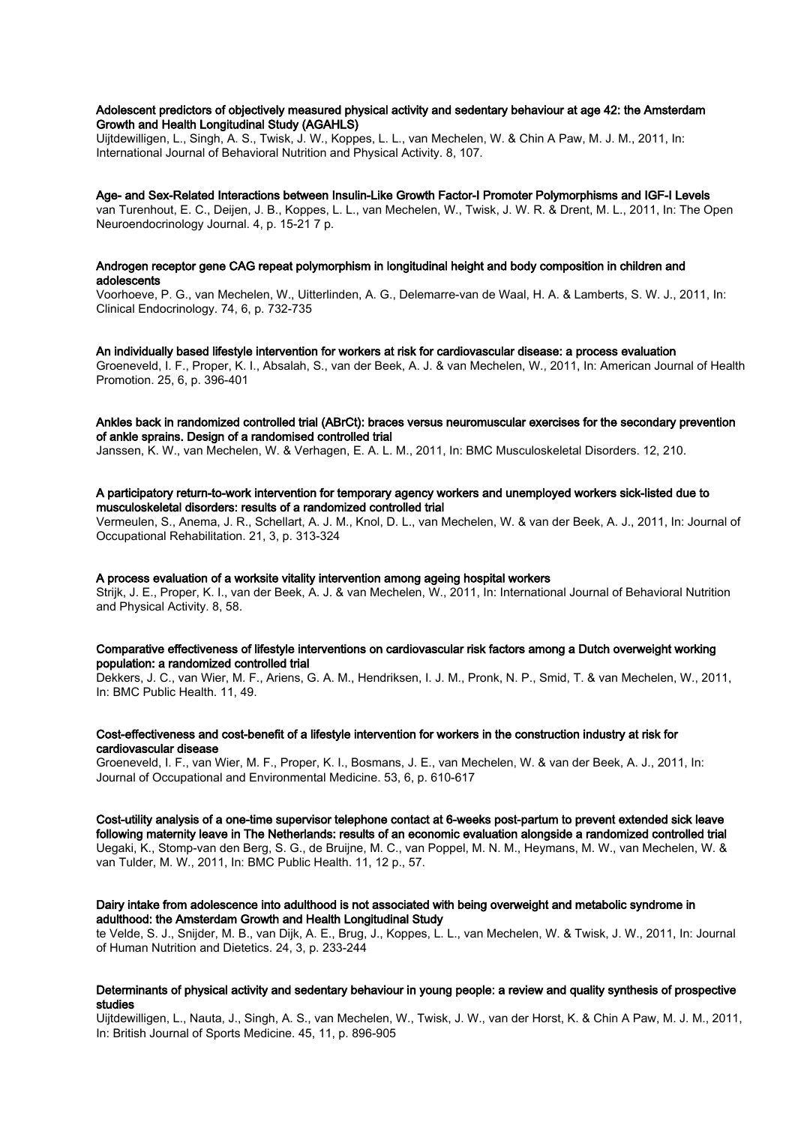# Adolescent predictors of objectively measured physical activity and sedentary behaviour at age 42: the Amsterdam Growth and Health Longitudinal Study (AGAHLS)

Uijtdewilligen, L., Singh, A. S., Twisk, J. W., Koppes, L. L., van Mechelen, W. & Chin A Paw, M. J. M., 2011, In: International Journal of Behavioral Nutrition and Physical Activity. 8, 107.

#### Age- and Sex-Related Interactions between Insulin-Like Growth Factor-I Promoter Polymorphisms and IGF-I Levels

van Turenhout, E. C., Deijen, J. B., Koppes, L. L., van Mechelen, W., Twisk, J. W. R. & Drent, M. L., 2011, In: The Open Neuroendocrinology Journal. 4, p. 15-21 7 p.

## Androgen receptor gene CAG repeat polymorphism in longitudinal height and body composition in children and adolescents

Voorhoeve, P. G., van Mechelen, W., Uitterlinden, A. G., Delemarre-van de Waal, H. A. & Lamberts, S. W. J., 2011, In: Clinical Endocrinology. 74, 6, p. 732-735

## An individually based lifestyle intervention for workers at risk for cardiovascular disease: a process evaluation

Groeneveld, I. F., Proper, K. I., Absalah, S., van der Beek, A. J. & van Mechelen, W., 2011, In: American Journal of Health Promotion. 25, 6, p. 396-401

# Ankles back in randomized controlled trial (ABrCt): braces versus neuromuscular exercises for the secondary prevention of ankle sprains. Design of a randomised controlled trial

Janssen, K. W., van Mechelen, W. & Verhagen, E. A. L. M., 2011, In: BMC Musculoskeletal Disorders. 12, 210.

#### A participatory return-to-work intervention for temporary agency workers and unemployed workers sick-listed due to musculoskeletal disorders: results of a randomized controlled trial

Vermeulen, S., Anema, J. R., Schellart, A. J. M., Knol, D. L., van Mechelen, W. & van der Beek, A. J., 2011, In: Journal of Occupational Rehabilitation. 21, 3, p. 313-324

# A process evaluation of a worksite vitality intervention among ageing hospital workers

Strijk, J. E., Proper, K. I., van der Beek, A. J. & van Mechelen, W., 2011, In: International Journal of Behavioral Nutrition and Physical Activity. 8, 58.

# Comparative effectiveness of lifestyle interventions on cardiovascular risk factors among a Dutch overweight working population: a randomized controlled trial

Dekkers, J. C., van Wier, M. F., Ariens, G. A. M., Hendriksen, I. J. M., Pronk, N. P., Smid, T. & van Mechelen, W., 2011, In: BMC Public Health. 11, 49.

## Cost-effectiveness and cost-benefit of a lifestyle intervention for workers in the construction industry at risk for cardiovascular disease

Groeneveld, I. F., van Wier, M. F., Proper, K. I., Bosmans, J. E., van Mechelen, W. & van der Beek, A. J., 2011, In: Journal of Occupational and Environmental Medicine. 53, 6, p. 610-617

Cost-utility analysis of a one-time supervisor telephone contact at 6-weeks post-partum to prevent extended sick leave following maternity leave in The Netherlands: results of an economic evaluation alongside a randomized controlled trial Uegaki, K., Stomp-van den Berg, S. G., de Bruijne, M. C., van Poppel, M. N. M., Heymans, M. W., van Mechelen, W. & van Tulder, M. W., 2011, In: BMC Public Health. 11, 12 p., 57.

# Dairy intake from adolescence into adulthood is not associated with being overweight and metabolic syndrome in adulthood: the Amsterdam Growth and Health Longitudinal Study

te Velde, S. J., Snijder, M. B., van Dijk, A. E., Brug, J., Koppes, L. L., van Mechelen, W. & Twisk, J. W., 2011, In: Journal of Human Nutrition and Dietetics. 24, 3, p. 233-244

# Determinants of physical activity and sedentary behaviour in young people: a review and quality synthesis of prospective studies

Uijtdewilligen, L., Nauta, J., Singh, A. S., van Mechelen, W., Twisk, J. W., van der Horst, K. & Chin A Paw, M. J. M., 2011, In: British Journal of Sports Medicine. 45, 11, p. 896-905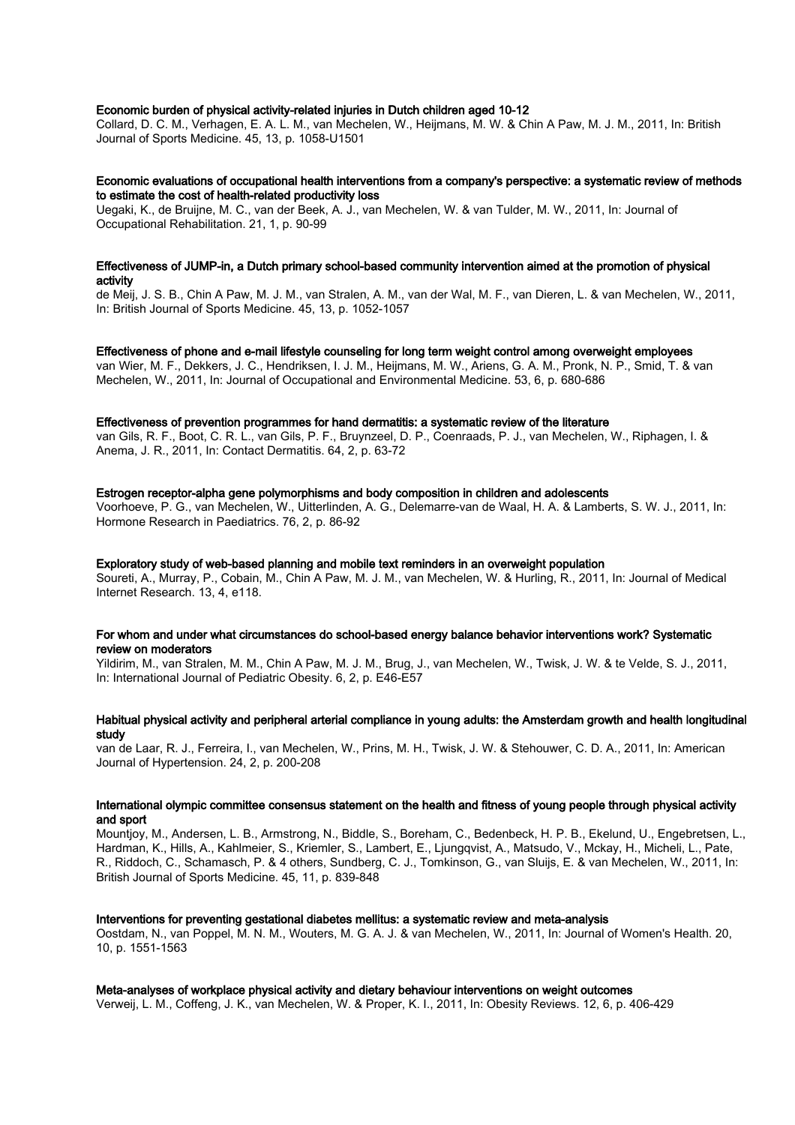# Economic burden of physical activity-related injuries in Dutch children aged 10-12

Collard, D. C. M., Verhagen, E. A. L. M., van Mechelen, W., Heijmans, M. W. & Chin A Paw, M. J. M., 2011, In: British Journal of Sports Medicine. 45, 13, p. 1058-U1501

#### Economic evaluations of occupational health interventions from a company's perspective: a systematic review of methods to estimate the cost of health-related productivity loss

Uegaki, K., de Bruijne, M. C., van der Beek, A. J., van Mechelen, W. & van Tulder, M. W., 2011, In: Journal of Occupational Rehabilitation. 21, 1, p. 90-99

#### Effectiveness of JUMP-in, a Dutch primary school-based community intervention aimed at the promotion of physical activity

de Meij, J. S. B., Chin A Paw, M. J. M., van Stralen, A. M., van der Wal, M. F., van Dieren, L. & van Mechelen, W., 2011, In: British Journal of Sports Medicine. 45, 13, p. 1052-1057

# Effectiveness of phone and e-mail lifestyle counseling for long term weight control among overweight employees

van Wier, M. F., Dekkers, J. C., Hendriksen, I. J. M., Heijmans, M. W., Ariens, G. A. M., Pronk, N. P., Smid, T. & van Mechelen, W., 2011, In: Journal of Occupational and Environmental Medicine. 53, 6, p. 680-686

#### Effectiveness of prevention programmes for hand dermatitis: a systematic review of the literature

van Gils, R. F., Boot, C. R. L., van Gils, P. F., Bruynzeel, D. P., Coenraads, P. J., van Mechelen, W., Riphagen, I. & Anema, J. R., 2011, In: Contact Dermatitis. 64, 2, p. 63-72

# Estrogen receptor-alpha gene polymorphisms and body composition in children and adolescents

Voorhoeve, P. G., van Mechelen, W., Uitterlinden, A. G., Delemarre-van de Waal, H. A. & Lamberts, S. W. J., 2011, In: Hormone Research in Paediatrics. 76, 2, p. 86-92

# Exploratory study of web-based planning and mobile text reminders in an overweight population

Soureti, A., Murray, P., Cobain, M., Chin A Paw, M. J. M., van Mechelen, W. & Hurling, R., 2011, In: Journal of Medical Internet Research. 13, 4, e118.

# For whom and under what circumstances do school-based energy balance behavior interventions work? Systematic review on moderators

Yildirim, M., van Stralen, M. M., Chin A Paw, M. J. M., Brug, J., van Mechelen, W., Twisk, J. W. & te Velde, S. J., 2011, In: International Journal of Pediatric Obesity. 6, 2, p. E46-E57

# Habitual physical activity and peripheral arterial compliance in young adults: the Amsterdam growth and health longitudinal study

van de Laar, R. J., Ferreira, I., van Mechelen, W., Prins, M. H., Twisk, J. W. & Stehouwer, C. D. A., 2011, In: American Journal of Hypertension. 24, 2, p. 200-208

## International olympic committee consensus statement on the health and fitness of young people through physical activity and sport

Mountjoy, M., Andersen, L. B., Armstrong, N., Biddle, S., Boreham, C., Bedenbeck, H. P. B., Ekelund, U., Engebretsen, L., Hardman, K., Hills, A., Kahlmeier, S., Kriemler, S., Lambert, E., Ljungqvist, A., Matsudo, V., Mckay, H., Micheli, L., Pate, R., Riddoch, C., Schamasch, P. & 4 others, Sundberg, C. J., Tomkinson, G., van Sluijs, E. & van Mechelen, W., 2011, In: British Journal of Sports Medicine. 45, 11, p. 839-848

# Interventions for preventing gestational diabetes mellitus: a systematic review and meta-analysis

Oostdam, N., van Poppel, M. N. M., Wouters, M. G. A. J. & van Mechelen, W., 2011, In: Journal of Women's Health. 20, 10, p. 1551-1563

# Meta-analyses of workplace physical activity and dietary behaviour interventions on weight outcomes

Verweij, L. M., Coffeng, J. K., van Mechelen, W. & Proper, K. I., 2011, In: Obesity Reviews. 12, 6, p. 406-429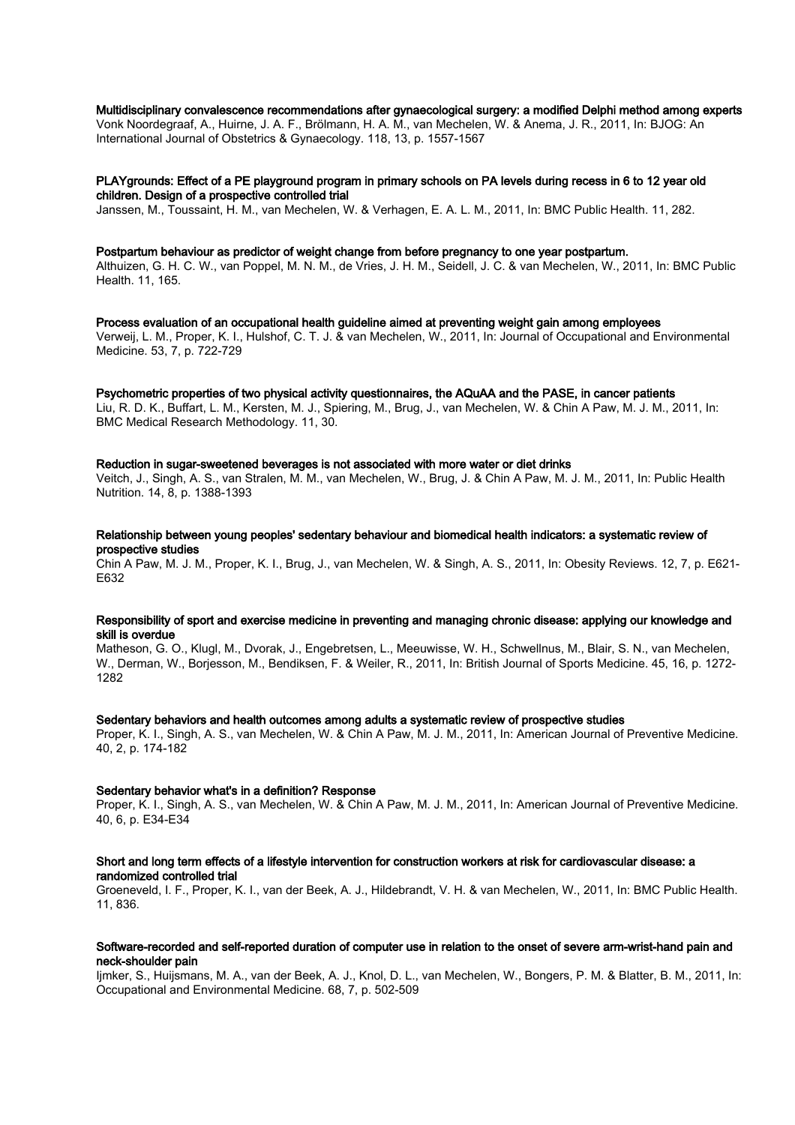# Multidisciplinary convalescence recommendations after gynaecological surgery: a modified Delphi method among experts

Vonk Noordegraaf, A., Huirne, J. A. F., Brölmann, H. A. M., van Mechelen, W. & Anema, J. R., 2011, In: BJOG: An International Journal of Obstetrics & Gynaecology. 118, 13, p. 1557-1567

# PLAYgrounds: Effect of a PE playground program in primary schools on PA levels during recess in 6 to 12 year old children. Design of a prospective controlled trial

Janssen, M., Toussaint, H. M., van Mechelen, W. & Verhagen, E. A. L. M., 2011, In: BMC Public Health. 11, 282.

#### Postpartum behaviour as predictor of weight change from before pregnancy to one year postpartum.

Althuizen, G. H. C. W., van Poppel, M. N. M., de Vries, J. H. M., Seidell, J. C. & van Mechelen, W., 2011, In: BMC Public Health. 11, 165.

Process evaluation of an occupational health guideline aimed at preventing weight gain among employees Verweij, L. M., Proper, K. I., Hulshof, C. T. J. & van Mechelen, W., 2011, In: Journal of Occupational and Environmental Medicine. 53, 7, p. 722-729

Psychometric properties of two physical activity questionnaires, the AQuAA and the PASE, in cancer patients Liu, R. D. K., Buffart, L. M., Kersten, M. J., Spiering, M., Brug, J., van Mechelen, W. & Chin A Paw, M. J. M., 2011, In: BMC Medical Research Methodology. 11, 30.

#### Reduction in sugar-sweetened beverages is not associated with more water or diet drinks

Veitch, J., Singh, A. S., van Stralen, M. M., van Mechelen, W., Brug, J. & Chin A Paw, M. J. M., 2011, In: Public Health Nutrition. 14, 8, p. 1388-1393

# Relationship between young peoples' sedentary behaviour and biomedical health indicators: a systematic review of prospective studies

Chin A Paw, M. J. M., Proper, K. I., Brug, J., van Mechelen, W. & Singh, A. S., 2011, In: Obesity Reviews. 12, 7, p. E621- E632

# Responsibility of sport and exercise medicine in preventing and managing chronic disease: applying our knowledge and skill is overdue

Matheson, G. O., Klugl, M., Dvorak, J., Engebretsen, L., Meeuwisse, W. H., Schwellnus, M., Blair, S. N., van Mechelen, W., Derman, W., Borjesson, M., Bendiksen, F. & Weiler, R., 2011, In: British Journal of Sports Medicine. 45, 16, p. 1272- 1282

#### Sedentary behaviors and health outcomes among adults a systematic review of prospective studies

Proper, K. I., Singh, A. S., van Mechelen, W. & Chin A Paw, M. J. M., 2011, In: American Journal of Preventive Medicine. 40, 2, p. 174-182

#### Sedentary behavior what's in a definition? Response

Proper, K. I., Singh, A. S., van Mechelen, W. & Chin A Paw, M. J. M., 2011, In: American Journal of Preventive Medicine. 40, 6, p. E34-E34

#### Short and long term effects of a lifestyle intervention for construction workers at risk for cardiovascular disease: a randomized controlled trial

Groeneveld, I. F., Proper, K. I., van der Beek, A. J., Hildebrandt, V. H. & van Mechelen, W., 2011, In: BMC Public Health. 11, 836.

## Software-recorded and self-reported duration of computer use in relation to the onset of severe arm-wrist-hand pain and neck-shoulder pain

Ijmker, S., Huijsmans, M. A., van der Beek, A. J., Knol, D. L., van Mechelen, W., Bongers, P. M. & Blatter, B. M., 2011, In: Occupational and Environmental Medicine. 68, 7, p. 502-509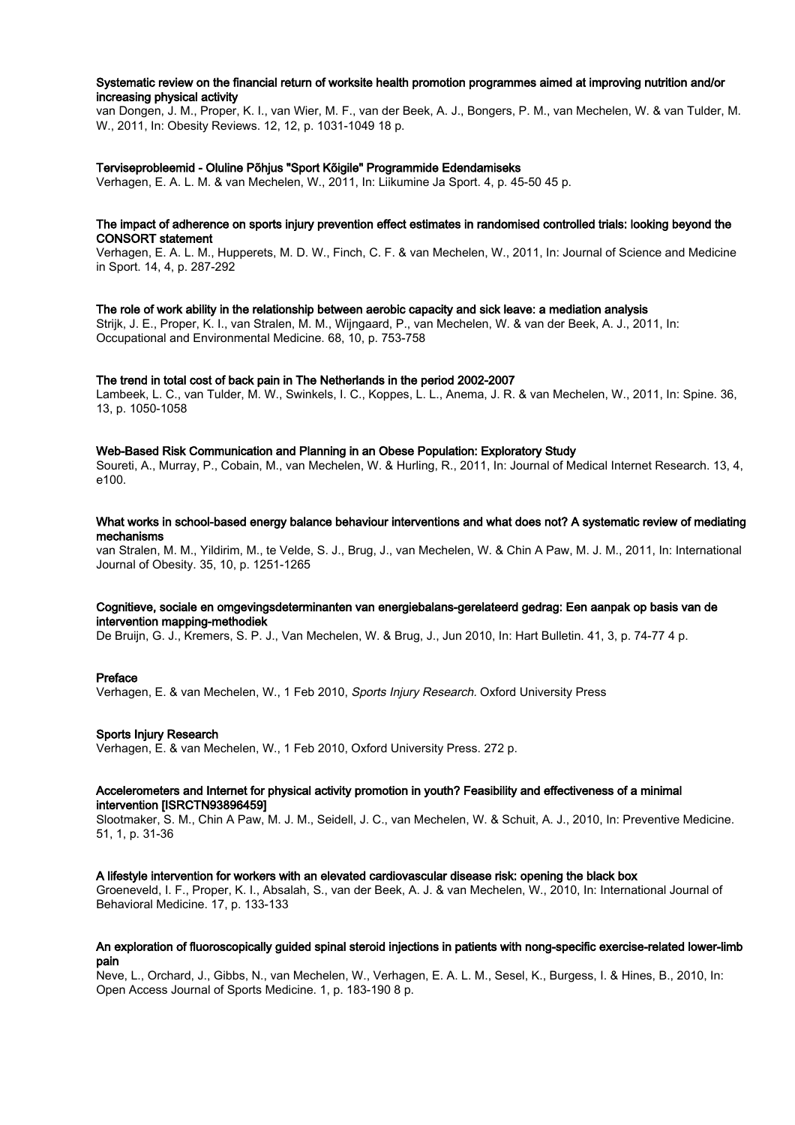# Systematic review on the financial return of worksite health promotion programmes aimed at improving nutrition and/or increasing physical activity

van Dongen, J. M., Proper, K. I., van Wier, M. F., van der Beek, A. J., Bongers, P. M., van Mechelen, W. & van Tulder, M. W., 2011, In: Obesity Reviews. 12, 12, p. 1031-1049 18 p.

# Terviseprobleemid - Oluline Põhjus "Sport Kõigile" Programmide Edendamiseks

Verhagen, E. A. L. M. & van Mechelen, W., 2011, In: Liikumine Ja Sport. 4, p. 45-50 45 p.

## The impact of adherence on sports injury prevention effect estimates in randomised controlled trials: looking beyond the CONSORT statement

Verhagen, E. A. L. M., Hupperets, M. D. W., Finch, C. F. & van Mechelen, W., 2011, In: Journal of Science and Medicine in Sport. 14, 4, p. 287-292

# The role of work ability in the relationship between aerobic capacity and sick leave: a mediation analysis

Strijk, J. E., Proper, K. I., van Stralen, M. M., Wijngaard, P., van Mechelen, W. & van der Beek, A. J., 2011, In: Occupational and Environmental Medicine. 68, 10, p. 753-758

#### The trend in total cost of back pain in The Netherlands in the period 2002-2007

Lambeek, L. C., van Tulder, M. W., Swinkels, I. C., Koppes, L. L., Anema, J. R. & van Mechelen, W., 2011, In: Spine. 36, 13, p. 1050-1058

## Web-Based Risk Communication and Planning in an Obese Population: Exploratory Study

Soureti, A., Murray, P., Cobain, M., van Mechelen, W. & Hurling, R., 2011, In: Journal of Medical Internet Research. 13, 4, e100.

# What works in school-based energy balance behaviour interventions and what does not? A systematic review of mediating mechanisms

van Stralen, M. M., Yildirim, M., te Velde, S. J., Brug, J., van Mechelen, W. & Chin A Paw, M. J. M., 2011, In: International Journal of Obesity. 35, 10, p. 1251-1265

#### Cognitieve, sociale en omgevingsdeterminanten van energiebalans-gerelateerd gedrag: Een aanpak op basis van de intervention mapping-methodiek

De Bruijn, G. J., Kremers, S. P. J., Van Mechelen, W. & Brug, J., Jun 2010, In: Hart Bulletin. 41, 3, p. 74-77 4 p.

#### Preface

Verhagen, E. & van Mechelen, W., 1 Feb 2010, Sports Injury Research. Oxford University Press

#### Sports Injury Research

Verhagen, E. & van Mechelen, W., 1 Feb 2010, Oxford University Press. 272 p.

# Accelerometers and Internet for physical activity promotion in youth? Feasibility and effectiveness of a minimal intervention [ISRCTN93896459]

Slootmaker, S. M., Chin A Paw, M. J. M., Seidell, J. C., van Mechelen, W. & Schuit, A. J., 2010, In: Preventive Medicine. 51, 1, p. 31-36

#### A lifestyle intervention for workers with an elevated cardiovascular disease risk: opening the black box

Groeneveld, I. F., Proper, K. I., Absalah, S., van der Beek, A. J. & van Mechelen, W., 2010, In: International Journal of Behavioral Medicine. 17, p. 133-133

## An exploration of fluoroscopically guided spinal steroid injections in patients with nong-specific exercise-related lower-limb pain

Neve, L., Orchard, J., Gibbs, N., van Mechelen, W., Verhagen, E. A. L. M., Sesel, K., Burgess, I. & Hines, B., 2010, In: Open Access Journal of Sports Medicine. 1, p. 183-190 8 p.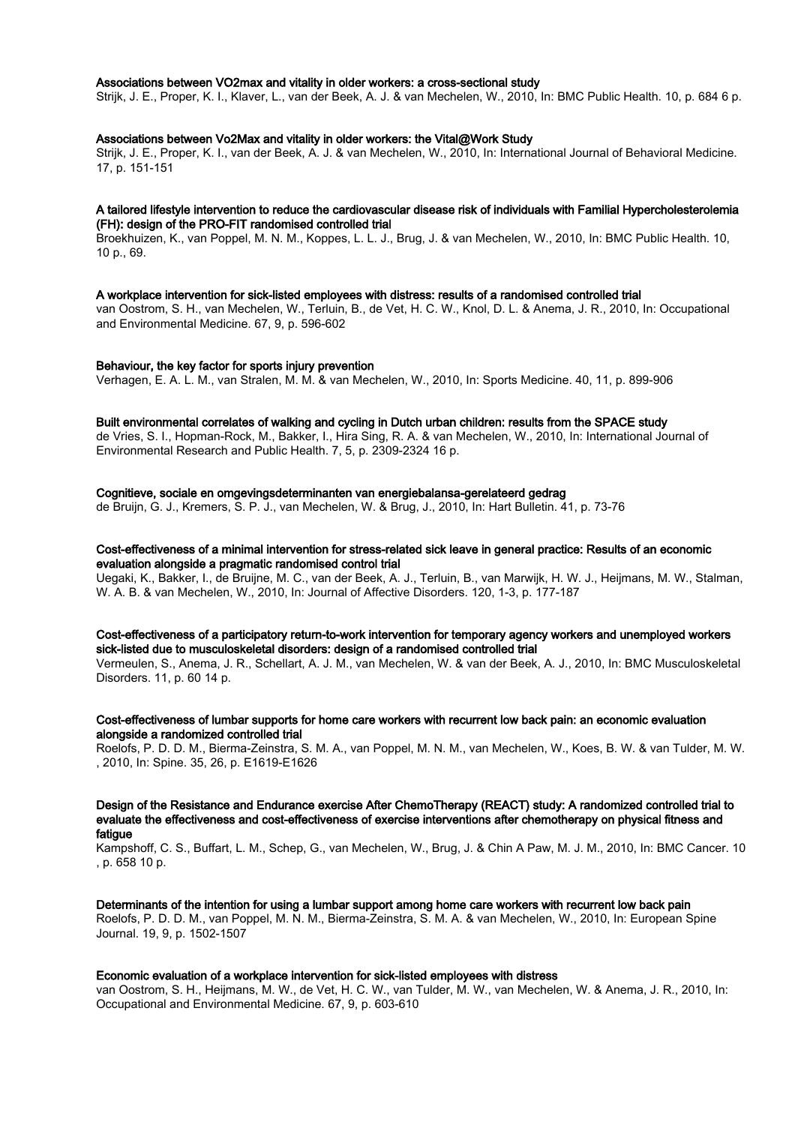## Associations between VO2max and vitality in older workers: a cross-sectional study

Strijk, J. E., Proper, K. I., Klaver, L., van der Beek, A. J. & van Mechelen, W., 2010, In: BMC Public Health. 10, p. 684 6 p.

#### Associations between Vo2Max and vitality in older workers: the Vital@Work Study

Strijk, J. E., Proper, K. I., van der Beek, A. J. & van Mechelen, W., 2010, In: International Journal of Behavioral Medicine. 17, p. 151-151

#### A tailored lifestyle intervention to reduce the cardiovascular disease risk of individuals with Familial Hypercholesterolemia (FH): design of the PRO-FIT randomised controlled trial

Broekhuizen, K., van Poppel, M. N. M., Koppes, L. L. J., Brug, J. & van Mechelen, W., 2010, In: BMC Public Health. 10, 10 p., 69.

#### A workplace intervention for sick-listed employees with distress: results of a randomised controlled trial

van Oostrom, S. H., van Mechelen, W., Terluin, B., de Vet, H. C. W., Knol, D. L. & Anema, J. R., 2010, In: Occupational and Environmental Medicine. 67, 9, p. 596-602

#### Behaviour, the key factor for sports injury prevention

Verhagen, E. A. L. M., van Stralen, M. M. & van Mechelen, W., 2010, In: Sports Medicine. 40, 11, p. 899-906

#### Built environmental correlates of walking and cycling in Dutch urban children: results from the SPACE study

de Vries, S. I., Hopman-Rock, M., Bakker, I., Hira Sing, R. A. & van Mechelen, W., 2010, In: International Journal of Environmental Research and Public Health. 7, 5, p. 2309-2324 16 p.

## Cognitieve, sociale en omgevingsdeterminanten van energiebalansa-gerelateerd gedrag

de Bruijn, G. J., Kremers, S. P. J., van Mechelen, W. & Brug, J., 2010, In: Hart Bulletin. 41, p. 73-76

## Cost-effectiveness of a minimal intervention for stress-related sick leave in general practice: Results of an economic evaluation alongside a pragmatic randomised control trial

Uegaki, K., Bakker, I., de Bruijne, M. C., van der Beek, A. J., Terluin, B., van Marwijk, H. W. J., Heijmans, M. W., Stalman, W. A. B. & van Mechelen, W., 2010, In: Journal of Affective Disorders. 120, 1-3, p. 177-187

#### Cost-effectiveness of a participatory return-to-work intervention for temporary agency workers and unemployed workers sick-listed due to musculoskeletal disorders: design of a randomised controlled trial

Vermeulen, S., Anema, J. R., Schellart, A. J. M., van Mechelen, W. & van der Beek, A. J., 2010, In: BMC Musculoskeletal Disorders. 11, p. 60 14 p.

## Cost-effectiveness of lumbar supports for home care workers with recurrent low back pain: an economic evaluation alongside a randomized controlled trial

Roelofs, P. D. D. M., Bierma-Zeinstra, S. M. A., van Poppel, M. N. M., van Mechelen, W., Koes, B. W. & van Tulder, M. W. , 2010, In: Spine. 35, 26, p. E1619-E1626

#### Design of the Resistance and Endurance exercise After ChemoTherapy (REACT) study: A randomized controlled trial to evaluate the effectiveness and cost-effectiveness of exercise interventions after chemotherapy on physical fitness and fatigue

Kampshoff, C. S., Buffart, L. M., Schep, G., van Mechelen, W., Brug, J. & Chin A Paw, M. J. M., 2010, In: BMC Cancer. 10 , p. 658 10 p.

#### Determinants of the intention for using a lumbar support among home care workers with recurrent low back pain

Roelofs, P. D. D. M., van Poppel, M. N. M., Bierma-Zeinstra, S. M. A. & van Mechelen, W., 2010, In: European Spine Journal. 19, 9, p. 1502-1507

# Economic evaluation of a workplace intervention for sick-listed employees with distress

van Oostrom, S. H., Heijmans, M. W., de Vet, H. C. W., van Tulder, M. W., van Mechelen, W. & Anema, J. R., 2010, In: Occupational and Environmental Medicine. 67, 9, p. 603-610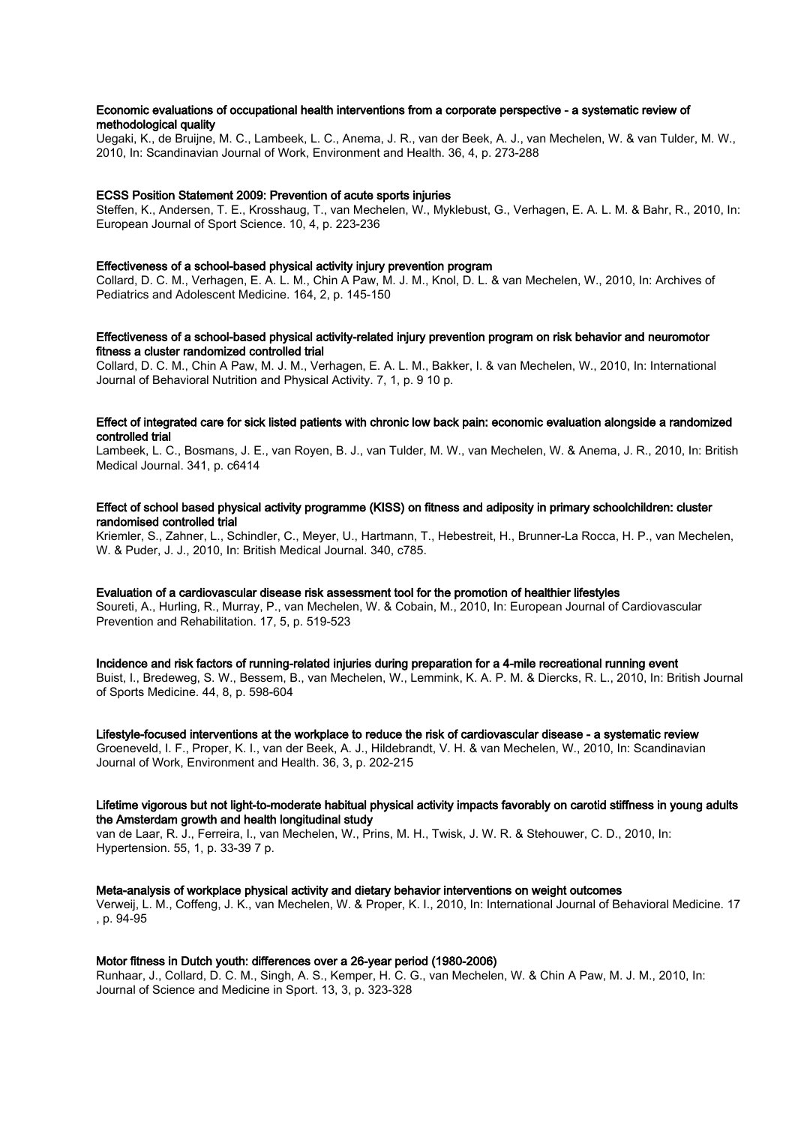# Economic evaluations of occupational health interventions from a corporate perspective - a systematic review of methodological quality

Uegaki, K., de Bruijne, M. C., Lambeek, L. C., Anema, J. R., van der Beek, A. J., van Mechelen, W. & van Tulder, M. W., 2010, In: Scandinavian Journal of Work, Environment and Health. 36, 4, p. 273-288

# ECSS Position Statement 2009: Prevention of acute sports injuries

Steffen, K., Andersen, T. E., Krosshaug, T., van Mechelen, W., Myklebust, G., Verhagen, E. A. L. M. & Bahr, R., 2010, In: European Journal of Sport Science. 10, 4, p. 223-236

#### Effectiveness of a school-based physical activity injury prevention program

Collard, D. C. M., Verhagen, E. A. L. M., Chin A Paw, M. J. M., Knol, D. L. & van Mechelen, W., 2010, In: Archives of Pediatrics and Adolescent Medicine. 164, 2, p. 145-150

# Effectiveness of a school-based physical activity-related injury prevention program on risk behavior and neuromotor fitness a cluster randomized controlled trial

Collard, D. C. M., Chin A Paw, M. J. M., Verhagen, E. A. L. M., Bakker, I. & van Mechelen, W., 2010, In: International Journal of Behavioral Nutrition and Physical Activity. 7, 1, p. 9 10 p.

# Effect of integrated care for sick listed patients with chronic low back pain: economic evaluation alongside a randomized controlled trial

Lambeek, L. C., Bosmans, J. E., van Royen, B. J., van Tulder, M. W., van Mechelen, W. & Anema, J. R., 2010, In: British Medical Journal. 341, p. c6414

# Effect of school based physical activity programme (KISS) on fitness and adiposity in primary schoolchildren: cluster randomised controlled trial

Kriemler, S., Zahner, L., Schindler, C., Meyer, U., Hartmann, T., Hebestreit, H., Brunner-La Rocca, H. P., van Mechelen, W. & Puder, J. J., 2010, In: British Medical Journal. 340, c785.

### Evaluation of a cardiovascular disease risk assessment tool for the promotion of healthier lifestyles

Soureti, A., Hurling, R., Murray, P., van Mechelen, W. & Cobain, M., 2010, In: European Journal of Cardiovascular Prevention and Rehabilitation. 17, 5, p. 519-523

#### Incidence and risk factors of running-related injuries during preparation for a 4-mile recreational running event

Buist, I., Bredeweg, S. W., Bessem, B., van Mechelen, W., Lemmink, K. A. P. M. & Diercks, R. L., 2010, In: British Journal of Sports Medicine. 44, 8, p. 598-604

#### Lifestyle-focused interventions at the workplace to reduce the risk of cardiovascular disease - a systematic review

Groeneveld, I. F., Proper, K. I., van der Beek, A. J., Hildebrandt, V. H. & van Mechelen, W., 2010, In: Scandinavian Journal of Work, Environment and Health. 36, 3, p. 202-215

## Lifetime vigorous but not light-to-moderate habitual physical activity impacts favorably on carotid stiffness in young adults the Amsterdam growth and health longitudinal study

van de Laar, R. J., Ferreira, I., van Mechelen, W., Prins, M. H., Twisk, J. W. R. & Stehouwer, C. D., 2010, In: Hypertension. 55, 1, p. 33-39 7 p.

# Meta-analysis of workplace physical activity and dietary behavior interventions on weight outcomes

Verweij, L. M., Coffeng, J. K., van Mechelen, W. & Proper, K. I., 2010, In: International Journal of Behavioral Medicine. 17 , p. 94-95

# Motor fitness in Dutch youth: differences over a 26-year period (1980-2006)

Runhaar, J., Collard, D. C. M., Singh, A. S., Kemper, H. C. G., van Mechelen, W. & Chin A Paw, M. J. M., 2010, In: Journal of Science and Medicine in Sport. 13, 3, p. 323-328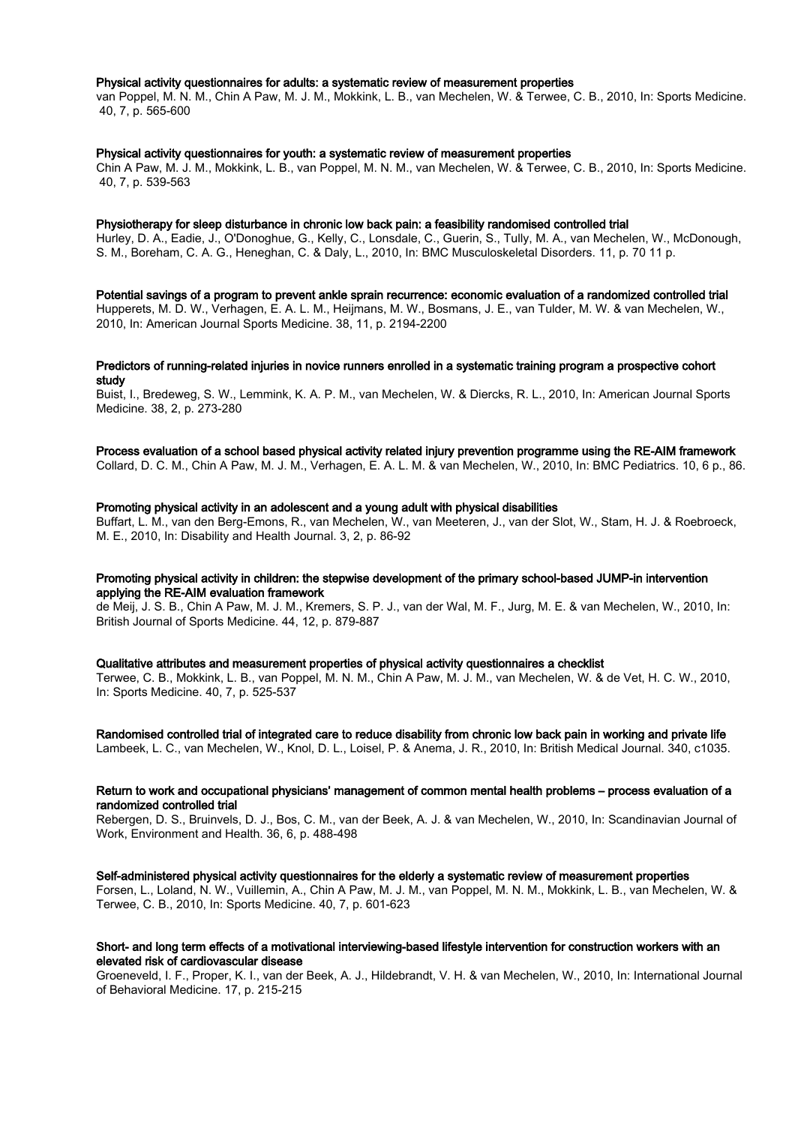#### Physical activity questionnaires for adults: a systematic review of measurement properties

van Poppel, M. N. M., Chin A Paw, M. J. M., Mokkink, L. B., van Mechelen, W. & Terwee, C. B., 2010, In: Sports Medicine. 40, 7, p. 565-600

#### Physical activity questionnaires for youth: a systematic review of measurement properties

Chin A Paw, M. J. M., Mokkink, L. B., van Poppel, M. N. M., van Mechelen, W. & Terwee, C. B., 2010, In: Sports Medicine. 40, 7, p. 539-563

#### Physiotherapy for sleep disturbance in chronic low back pain: a feasibility randomised controlled trial

Hurley, D. A., Eadie, J., O'Donoghue, G., Kelly, C., Lonsdale, C., Guerin, S., Tully, M. A., van Mechelen, W., McDonough, S. M., Boreham, C. A. G., Heneghan, C. & Daly, L., 2010, In: BMC Musculoskeletal Disorders. 11, p. 70 11 p.

#### Potential savings of a program to prevent ankle sprain recurrence: economic evaluation of a randomized controlled trial Hupperets, M. D. W., Verhagen, E. A. L. M., Heijmans, M. W., Bosmans, J. E., van Tulder, M. W. & van Mechelen, W.,

2010, In: American Journal Sports Medicine. 38, 11, p. 2194-2200

# Predictors of running-related injuries in novice runners enrolled in a systematic training program a prospective cohort study

Buist, I., Bredeweg, S. W., Lemmink, K. A. P. M., van Mechelen, W. & Diercks, R. L., 2010, In: American Journal Sports Medicine. 38, 2, p. 273-280

# Process evaluation of a school based physical activity related injury prevention programme using the RE-AIM framework

Collard, D. C. M., Chin A Paw, M. J. M., Verhagen, E. A. L. M. & van Mechelen, W., 2010, In: BMC Pediatrics. 10, 6 p., 86.

#### Promoting physical activity in an adolescent and a young adult with physical disabilities

Buffart, L. M., van den Berg-Emons, R., van Mechelen, W., van Meeteren, J., van der Slot, W., Stam, H. J. & Roebroeck, M. E., 2010, In: Disability and Health Journal. 3, 2, p. 86-92

## Promoting physical activity in children: the stepwise development of the primary school-based JUMP-in intervention applying the RE-AIM evaluation framework

de Meij, J. S. B., Chin A Paw, M. J. M., Kremers, S. P. J., van der Wal, M. F., Jurg, M. E. & van Mechelen, W., 2010, In: British Journal of Sports Medicine. 44, 12, p. 879-887

#### Qualitative attributes and measurement properties of physical activity questionnaires a checklist

Terwee, C. B., Mokkink, L. B., van Poppel, M. N. M., Chin A Paw, M. J. M., van Mechelen, W. & de Vet, H. C. W., 2010, In: Sports Medicine. 40, 7, p. 525-537

#### Randomised controlled trial of integrated care to reduce disability from chronic low back pain in working and private life Lambeek, L. C., van Mechelen, W., Knol, D. L., Loisel, P. & Anema, J. R., 2010, In: British Medical Journal. 340, c1035.

## Return to work and occupational physicians' management of common mental health problems – process evaluation of a randomized controlled trial

Rebergen, D. S., Bruinvels, D. J., Bos, C. M., van der Beek, A. J. & van Mechelen, W., 2010, In: Scandinavian Journal of Work, Environment and Health. 36, 6, p. 488-498

#### Self-administered physical activity questionnaires for the elderly a systematic review of measurement properties

Forsen, L., Loland, N. W., Vuillemin, A., Chin A Paw, M. J. M., van Poppel, M. N. M., Mokkink, L. B., van Mechelen, W. & Terwee, C. B., 2010, In: Sports Medicine. 40, 7, p. 601-623

# Short- and long term effects of a motivational interviewing-based lifestyle intervention for construction workers with an elevated risk of cardiovascular disease

Groeneveld, I. F., Proper, K. I., van der Beek, A. J., Hildebrandt, V. H. & van Mechelen, W., 2010, In: International Journal of Behavioral Medicine. 17, p. 215-215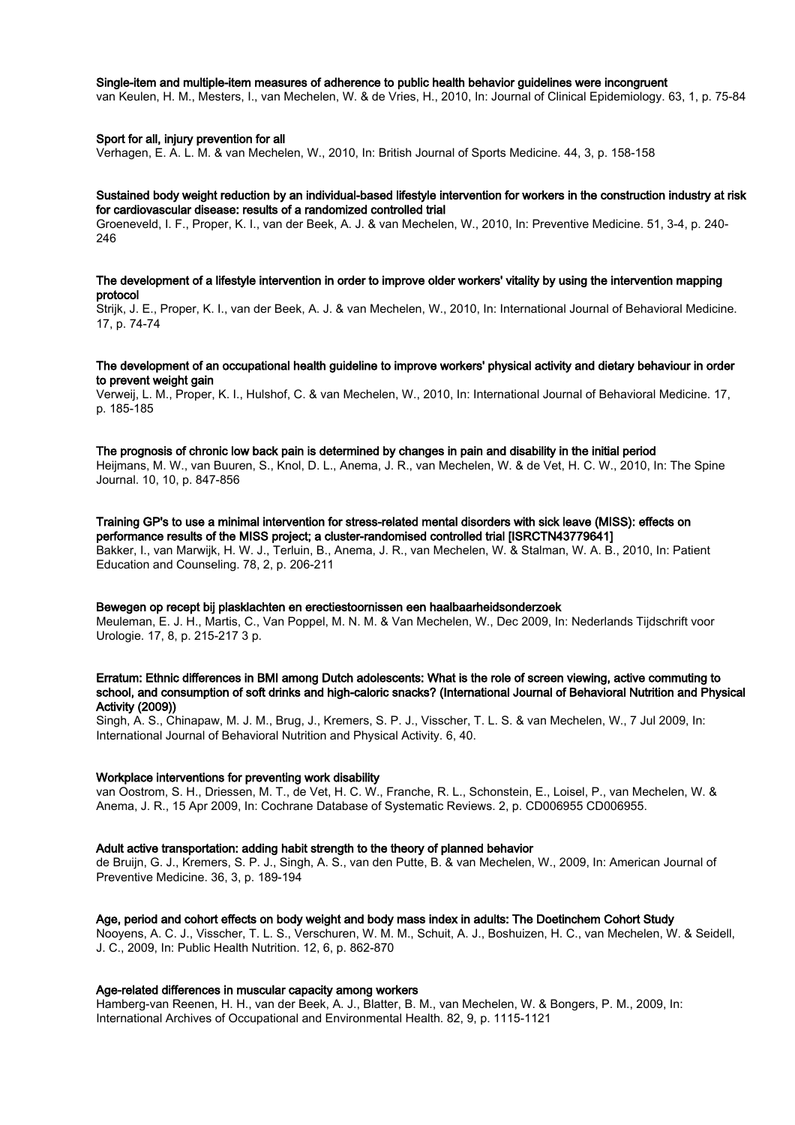# Single-item and multiple-item measures of adherence to public health behavior guidelines were incongruent

van Keulen, H. M., Mesters, I., van Mechelen, W. & de Vries, H., 2010, In: Journal of Clinical Epidemiology. 63, 1, p. 75-84

## Sport for all, injury prevention for all

Verhagen, E. A. L. M. & van Mechelen, W., 2010, In: British Journal of Sports Medicine. 44, 3, p. 158-158

## Sustained body weight reduction by an individual-based lifestyle intervention for workers in the construction industry at risk for cardiovascular disease: results of a randomized controlled trial

Groeneveld, I. F., Proper, K. I., van der Beek, A. J. & van Mechelen, W., 2010, In: Preventive Medicine. 51, 3-4, p. 240- 246

## The development of a lifestyle intervention in order to improve older workers' vitality by using the intervention mapping protocol

Strijk, J. E., Proper, K. I., van der Beek, A. J. & van Mechelen, W., 2010, In: International Journal of Behavioral Medicine. 17, p. 74-74

# The development of an occupational health guideline to improve workers' physical activity and dietary behaviour in order to prevent weight gain

Verweij, L. M., Proper, K. I., Hulshof, C. & van Mechelen, W., 2010, In: International Journal of Behavioral Medicine. 17, p. 185-185

# The prognosis of chronic low back pain is determined by changes in pain and disability in the initial period

Heijmans, M. W., van Buuren, S., Knol, D. L., Anema, J. R., van Mechelen, W. & de Vet, H. C. W., 2010, In: The Spine Journal. 10, 10, p. 847-856

# Training GP's to use a minimal intervention for stress-related mental disorders with sick leave (MISS): effects on performance results of the MISS project; a cluster-randomised controlled trial [ISRCTN43779641]

Bakker, I., van Marwijk, H. W. J., Terluin, B., Anema, J. R., van Mechelen, W. & Stalman, W. A. B., 2010, In: Patient Education and Counseling. 78, 2, p. 206-211

#### Bewegen op recept bij plasklachten en erectiestoornissen een haalbaarheidsonderzoek

Meuleman, E. J. H., Martis, C., Van Poppel, M. N. M. & Van Mechelen, W., Dec 2009, In: Nederlands Tijdschrift voor Urologie. 17, 8, p. 215-217 3 p.

# Erratum: Ethnic differences in BMI among Dutch adolescents: What is the role of screen viewing, active commuting to school, and consumption of soft drinks and high-caloric snacks? (International Journal of Behavioral Nutrition and Physical Activity (2009))

Singh, A. S., Chinapaw, M. J. M., Brug, J., Kremers, S. P. J., Visscher, T. L. S. & van Mechelen, W., 7 Jul 2009, In: International Journal of Behavioral Nutrition and Physical Activity. 6, 40.

# Workplace interventions for preventing work disability

van Oostrom, S. H., Driessen, M. T., de Vet, H. C. W., Franche, R. L., Schonstein, E., Loisel, P., van Mechelen, W. & Anema, J. R., 15 Apr 2009, In: Cochrane Database of Systematic Reviews. 2, p. CD006955 CD006955.

#### Adult active transportation: adding habit strength to the theory of planned behavior

de Bruijn, G. J., Kremers, S. P. J., Singh, A. S., van den Putte, B. & van Mechelen, W., 2009, In: American Journal of Preventive Medicine. 36, 3, p. 189-194

# Age, period and cohort effects on body weight and body mass index in adults: The Doetinchem Cohort Study

Nooyens, A. C. J., Visscher, T. L. S., Verschuren, W. M. M., Schuit, A. J., Boshuizen, H. C., van Mechelen, W. & Seidell, J. C., 2009, In: Public Health Nutrition. 12, 6, p. 862-870

### Age-related differences in muscular capacity among workers

Hamberg-van Reenen, H. H., van der Beek, A. J., Blatter, B. M., van Mechelen, W. & Bongers, P. M., 2009, In: International Archives of Occupational and Environmental Health. 82, 9, p. 1115-1121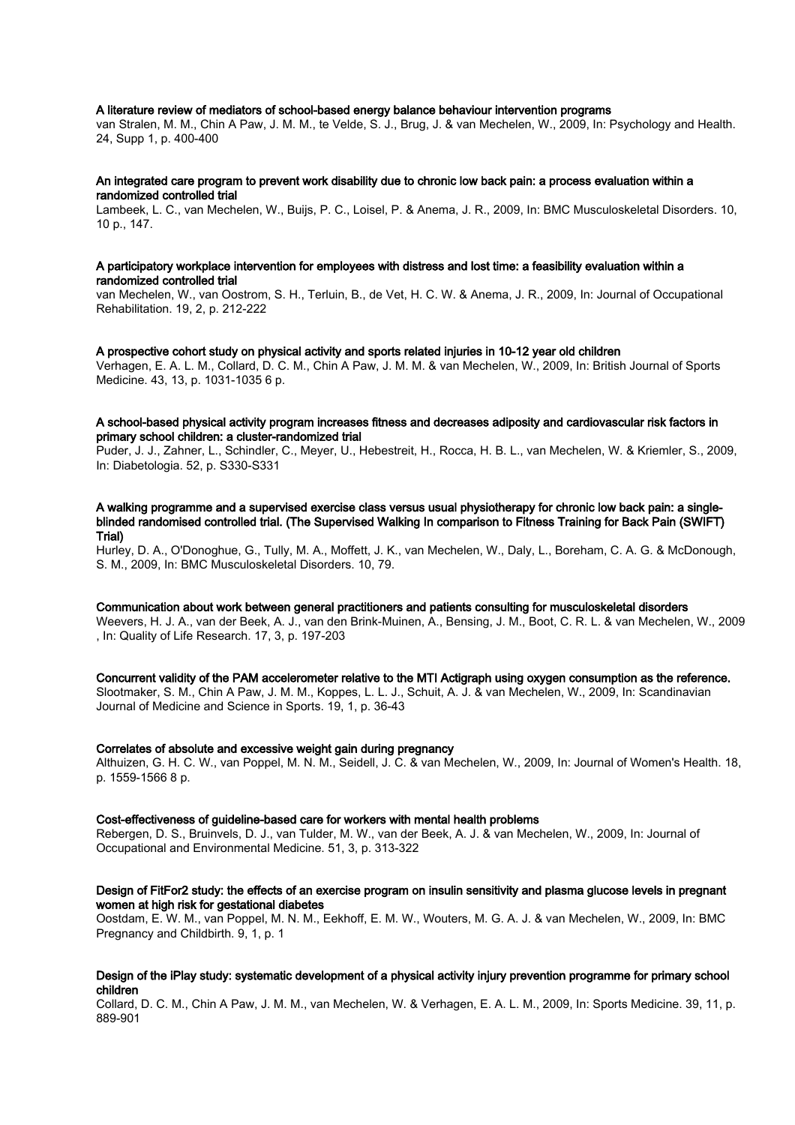# A literature review of mediators of school-based energy balance behaviour intervention programs

van Stralen, M. M., Chin A Paw, J. M. M., te Velde, S. J., Brug, J. & van Mechelen, W., 2009, In: Psychology and Health. 24, Supp 1, p. 400-400

#### An integrated care program to prevent work disability due to chronic low back pain: a process evaluation within a randomized controlled trial

Lambeek, L. C., van Mechelen, W., Buijs, P. C., Loisel, P. & Anema, J. R., 2009, In: BMC Musculoskeletal Disorders. 10, 10 p., 147.

#### A participatory workplace intervention for employees with distress and lost time: a feasibility evaluation within a randomized controlled trial

van Mechelen, W., van Oostrom, S. H., Terluin, B., de Vet, H. C. W. & Anema, J. R., 2009, In: Journal of Occupational Rehabilitation. 19, 2, p. 212-222

#### A prospective cohort study on physical activity and sports related injuries in 10-12 year old children

Verhagen, E. A. L. M., Collard, D. C. M., Chin A Paw, J. M. M. & van Mechelen, W., 2009, In: British Journal of Sports Medicine. 43, 13, p. 1031-1035 6 p.

# A school-based physical activity program increases fitness and decreases adiposity and cardiovascular risk factors in primary school children: a cluster-randomized trial

Puder, J. J., Zahner, L., Schindler, C., Meyer, U., Hebestreit, H., Rocca, H. B. L., van Mechelen, W. & Kriemler, S., 2009, In: Diabetologia. 52, p. S330-S331

## A walking programme and a supervised exercise class versus usual physiotherapy for chronic low back pain: a singleblinded randomised controlled trial. (The Supervised Walking In comparison to Fitness Training for Back Pain (SWIFT) Trial)

Hurley, D. A., O'Donoghue, G., Tully, M. A., Moffett, J. K., van Mechelen, W., Daly, L., Boreham, C. A. G. & McDonough, S. M., 2009, In: BMC Musculoskeletal Disorders. 10, 79.

# Communication about work between general practitioners and patients consulting for musculoskeletal disorders

Weevers, H. J. A., van der Beek, A. J., van den Brink-Muinen, A., Bensing, J. M., Boot, C. R. L. & van Mechelen, W., 2009 , In: Quality of Life Research. 17, 3, p. 197-203

# Concurrent validity of the PAM accelerometer relative to the MTI Actigraph using oxygen consumption as the reference.

Slootmaker, S. M., Chin A Paw, J. M. M., Koppes, L. L. J., Schuit, A. J. & van Mechelen, W., 2009, In: Scandinavian Journal of Medicine and Science in Sports. 19, 1, p. 36-43

#### Correlates of absolute and excessive weight gain during pregnancy

Althuizen, G. H. C. W., van Poppel, M. N. M., Seidell, J. C. & van Mechelen, W., 2009, In: Journal of Women's Health. 18, p. 1559-1566 8 p.

## Cost-effectiveness of guideline-based care for workers with mental health problems

Rebergen, D. S., Bruinvels, D. J., van Tulder, M. W., van der Beek, A. J. & van Mechelen, W., 2009, In: Journal of Occupational and Environmental Medicine. 51, 3, p. 313-322

# Design of FitFor2 study: the effects of an exercise program on insulin sensitivity and plasma glucose levels in pregnant women at high risk for gestational diabetes

Oostdam, E. W. M., van Poppel, M. N. M., Eekhoff, E. M. W., Wouters, M. G. A. J. & van Mechelen, W., 2009, In: BMC Pregnancy and Childbirth. 9, 1, p. 1

# Design of the iPlay study: systematic development of a physical activity injury prevention programme for primary school children

Collard, D. C. M., Chin A Paw, J. M. M., van Mechelen, W. & Verhagen, E. A. L. M., 2009, In: Sports Medicine. 39, 11, p. 889-901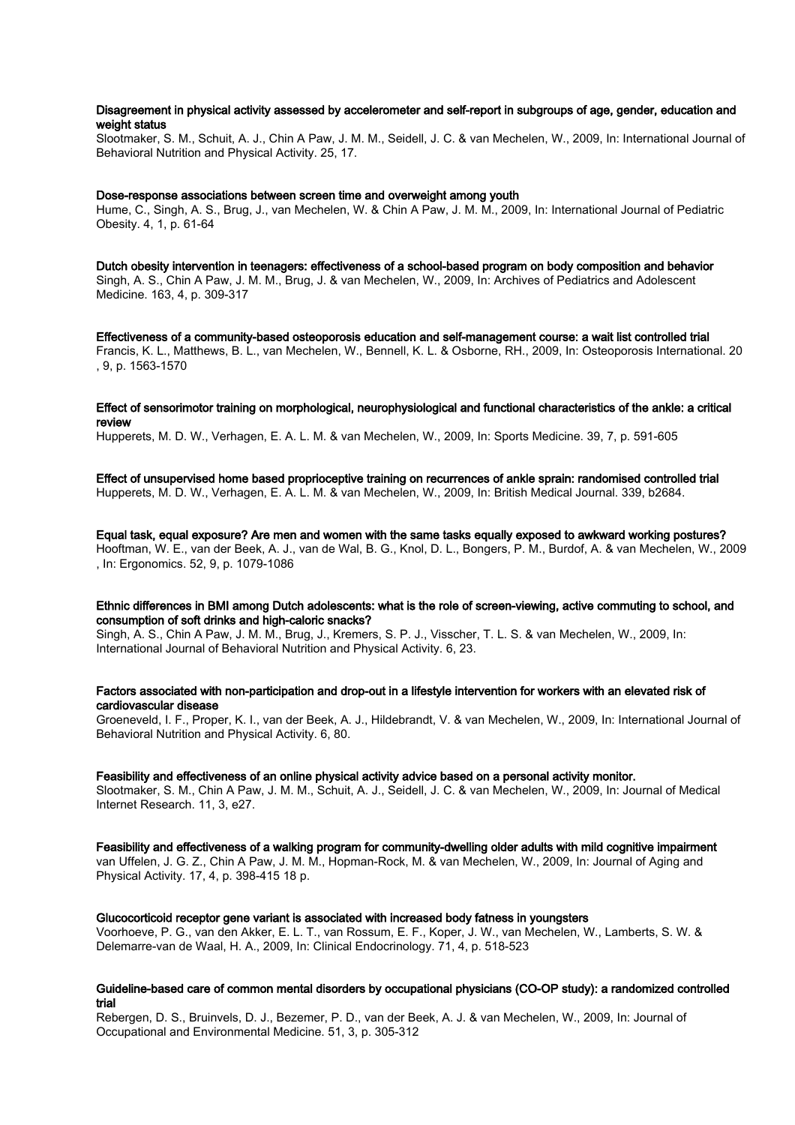# Disagreement in physical activity assessed by accelerometer and self-report in subgroups of age, gender, education and weight status

Slootmaker, S. M., Schuit, A. J., Chin A Paw, J. M. M., Seidell, J. C. & van Mechelen, W., 2009, In: International Journal of Behavioral Nutrition and Physical Activity. 25, 17.

## Dose-response associations between screen time and overweight among youth

Hume, C., Singh, A. S., Brug, J., van Mechelen, W. & Chin A Paw, J. M. M., 2009, In: International Journal of Pediatric Obesity. 4, 1, p. 61-64

Dutch obesity intervention in teenagers: effectiveness of a school-based program on body composition and behavior Singh, A. S., Chin A Paw, J. M. M., Brug, J. & van Mechelen, W., 2009, In: Archives of Pediatrics and Adolescent Medicine. 163, 4, p. 309-317

Effectiveness of a community-based osteoporosis education and self-management course: a wait list controlled trial Francis, K. L., Matthews, B. L., van Mechelen, W., Bennell, K. L. & Osborne, RH., 2009, In: Osteoporosis International. 20 , 9, p. 1563-1570

## Effect of sensorimotor training on morphological, neurophysiological and functional characteristics of the ankle: a critical review

Hupperets, M. D. W., Verhagen, E. A. L. M. & van Mechelen, W., 2009, In: Sports Medicine. 39, 7, p. 591-605

Effect of unsupervised home based proprioceptive training on recurrences of ankle sprain: randomised controlled trial Hupperets, M. D. W., Verhagen, E. A. L. M. & van Mechelen, W., 2009, In: British Medical Journal. 339, b2684.

Equal task, equal exposure? Are men and women with the same tasks equally exposed to awkward working postures? Hooftman, W. E., van der Beek, A. J., van de Wal, B. G., Knol, D. L., Bongers, P. M., Burdof, A. & van Mechelen, W., 2009 , In: Ergonomics. 52, 9, p. 1079-1086

# Ethnic differences in BMI among Dutch adolescents: what is the role of screen-viewing, active commuting to school, and consumption of soft drinks and high-caloric snacks?

Singh, A. S., Chin A Paw, J. M. M., Brug, J., Kremers, S. P. J., Visscher, T. L. S. & van Mechelen, W., 2009, In: International Journal of Behavioral Nutrition and Physical Activity. 6, 23.

## Factors associated with non-participation and drop-out in a lifestyle intervention for workers with an elevated risk of cardiovascular disease

Groeneveld, I. F., Proper, K. I., van der Beek, A. J., Hildebrandt, V. & van Mechelen, W., 2009, In: International Journal of Behavioral Nutrition and Physical Activity. 6, 80.

#### Feasibility and effectiveness of an online physical activity advice based on a personal activity monitor.

Slootmaker, S. M., Chin A Paw, J. M. M., Schuit, A. J., Seidell, J. C. & van Mechelen, W., 2009, In: Journal of Medical Internet Research. 11, 3, e27.

Feasibility and effectiveness of a walking program for community-dwelling older adults with mild cognitive impairment van Uffelen, J. G. Z., Chin A Paw, J. M. M., Hopman-Rock, M. & van Mechelen, W., 2009, In: Journal of Aging and Physical Activity. 17, 4, p. 398-415 18 p.

# Glucocorticoid receptor gene variant is associated with increased body fatness in youngsters

Voorhoeve, P. G., van den Akker, E. L. T., van Rossum, E. F., Koper, J. W., van Mechelen, W., Lamberts, S. W. & Delemarre-van de Waal, H. A., 2009, In: Clinical Endocrinology. 71, 4, p. 518-523

## Guideline-based care of common mental disorders by occupational physicians (CO-OP study): a randomized controlled trial

Rebergen, D. S., Bruinvels, D. J., Bezemer, P. D., van der Beek, A. J. & van Mechelen, W., 2009, In: Journal of Occupational and Environmental Medicine. 51, 3, p. 305-312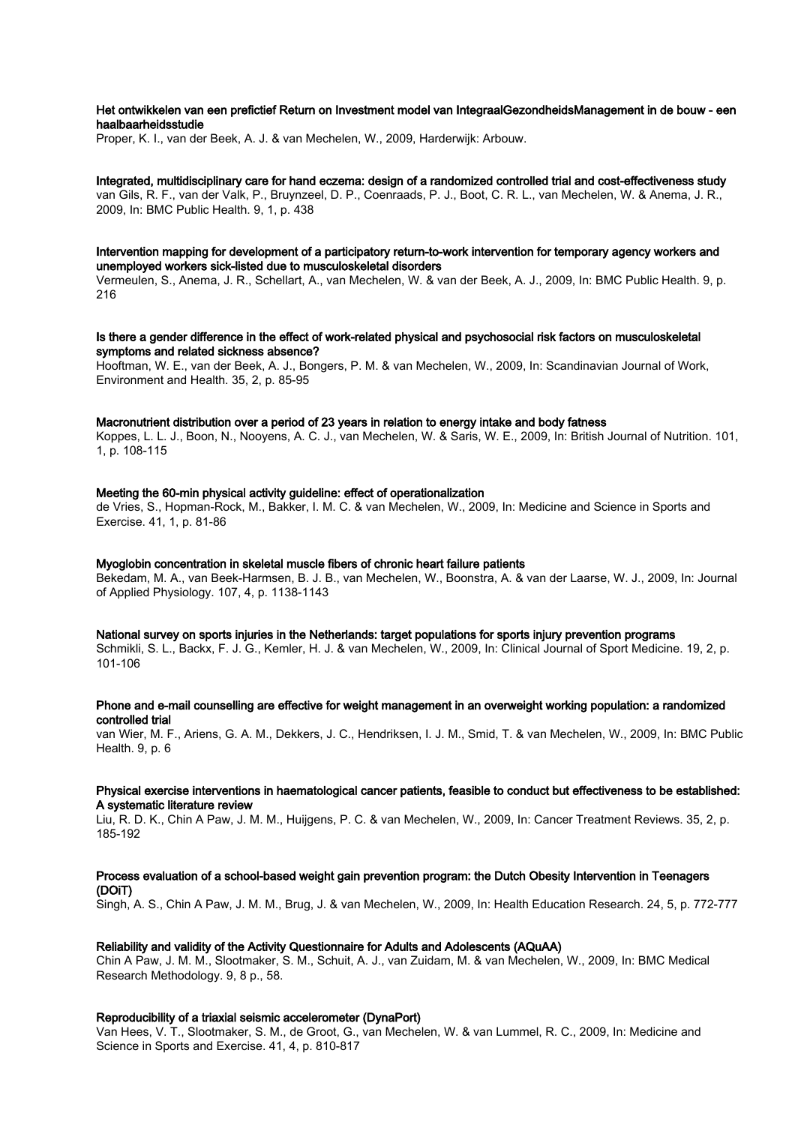# Het ontwikkelen van een prefictief Return on Investment model van IntegraalGezondheidsManagement in de bouw - een haalbaarheidsstudie

Proper, K. I., van der Beek, A. J. & van Mechelen, W., 2009, Harderwijk: Arbouw.

Integrated, multidisciplinary care for hand eczema: design of a randomized controlled trial and cost-effectiveness study van Gils, R. F., van der Valk, P., Bruynzeel, D. P., Coenraads, P. J., Boot, C. R. L., van Mechelen, W. & Anema, J. R., 2009, In: BMC Public Health. 9, 1, p. 438

# Intervention mapping for development of a participatory return-to-work intervention for temporary agency workers and unemployed workers sick-listed due to musculoskeletal disorders

Vermeulen, S., Anema, J. R., Schellart, A., van Mechelen, W. & van der Beek, A. J., 2009, In: BMC Public Health. 9, p. 216

## Is there a gender difference in the effect of work-related physical and psychosocial risk factors on musculoskeletal symptoms and related sickness absence?

Hooftman, W. E., van der Beek, A. J., Bongers, P. M. & van Mechelen, W., 2009, In: Scandinavian Journal of Work, Environment and Health. 35, 2, p. 85-95

#### Macronutrient distribution over a period of 23 years in relation to energy intake and body fatness

Koppes, L. L. J., Boon, N., Nooyens, A. C. J., van Mechelen, W. & Saris, W. E., 2009, In: British Journal of Nutrition. 101, 1, p. 108-115

# Meeting the 60-min physical activity guideline: effect of operationalization

de Vries, S., Hopman-Rock, M., Bakker, I. M. C. & van Mechelen, W., 2009, In: Medicine and Science in Sports and Exercise. 41, 1, p. 81-86

#### Myoglobin concentration in skeletal muscle fibers of chronic heart failure patients

Bekedam, M. A., van Beek-Harmsen, B. J. B., van Mechelen, W., Boonstra, A. & van der Laarse, W. J., 2009, In: Journal of Applied Physiology. 107, 4, p. 1138-1143

## National survey on sports injuries in the Netherlands: target populations for sports injury prevention programs

Schmikli, S. L., Backx, F. J. G., Kemler, H. J. & van Mechelen, W., 2009, In: Clinical Journal of Sport Medicine. 19, 2, p. 101-106

# Phone and e-mail counselling are effective for weight management in an overweight working population: a randomized controlled trial

van Wier, M. F., Ariens, G. A. M., Dekkers, J. C., Hendriksen, I. J. M., Smid, T. & van Mechelen, W., 2009, In: BMC Public Health. 9, p. 6

#### Physical exercise interventions in haematological cancer patients, feasible to conduct but effectiveness to be established: A systematic literature review

Liu, R. D. K., Chin A Paw, J. M. M., Huijgens, P. C. & van Mechelen, W., 2009, In: Cancer Treatment Reviews. 35, 2, p. 185-192

# Process evaluation of a school-based weight gain prevention program: the Dutch Obesity Intervention in Teenagers (DOiT)

Singh, A. S., Chin A Paw, J. M. M., Brug, J. & van Mechelen, W., 2009, In: Health Education Research. 24, 5, p. 772-777

## Reliability and validity of the Activity Questionnaire for Adults and Adolescents (AQuAA)

Chin A Paw, J. M. M., Slootmaker, S. M., Schuit, A. J., van Zuidam, M. & van Mechelen, W., 2009, In: BMC Medical Research Methodology. 9, 8 p., 58.

# Reproducibility of a triaxial seismic accelerometer (DynaPort)

Van Hees, V. T., Slootmaker, S. M., de Groot, G., van Mechelen, W. & van Lummel, R. C., 2009, In: Medicine and Science in Sports and Exercise. 41, 4, p. 810-817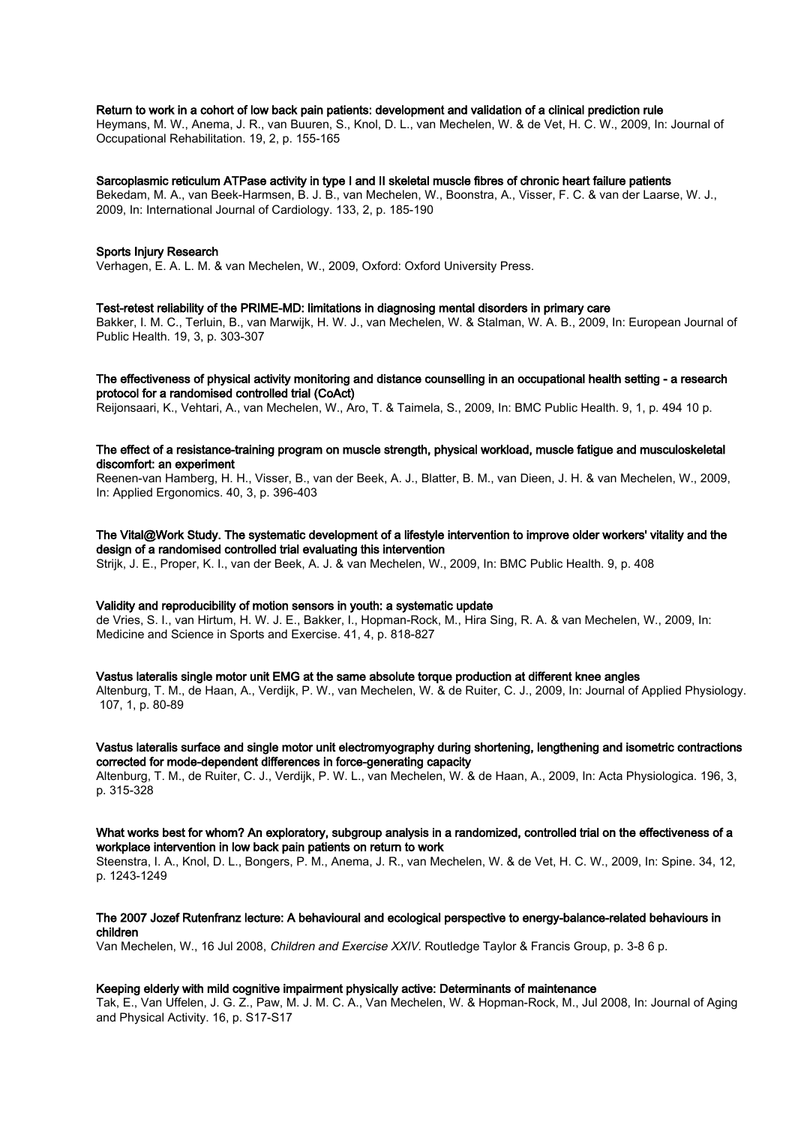# Return to work in a cohort of low back pain patients: development and validation of a clinical prediction rule

Heymans, M. W., Anema, J. R., van Buuren, S., Knol, D. L., van Mechelen, W. & de Vet, H. C. W., 2009, In: Journal of Occupational Rehabilitation. 19, 2, p. 155-165

# Sarcoplasmic reticulum ATPase activity in type I and II skeletal muscle fibres of chronic heart failure patients

Bekedam, M. A., van Beek-Harmsen, B. J. B., van Mechelen, W., Boonstra, A., Visser, F. C. & van der Laarse, W. J., 2009, In: International Journal of Cardiology. 133, 2, p. 185-190

#### Sports Injury Research

Verhagen, E. A. L. M. & van Mechelen, W., 2009, Oxford: Oxford University Press.

#### Test-retest reliability of the PRIME-MD: limitations in diagnosing mental disorders in primary care

Bakker, I. M. C., Terluin, B., van Marwijk, H. W. J., van Mechelen, W. & Stalman, W. A. B., 2009, In: European Journal of Public Health. 19, 3, p. 303-307

# The effectiveness of physical activity monitoring and distance counselling in an occupational health setting - a research protocol for a randomised controlled trial (CoAct)

Reijonsaari, K., Vehtari, A., van Mechelen, W., Aro, T. & Taimela, S., 2009, In: BMC Public Health. 9, 1, p. 494 10 p.

# The effect of a resistance-training program on muscle strength, physical workload, muscle fatigue and musculoskeletal discomfort: an experiment

Reenen-van Hamberg, H. H., Visser, B., van der Beek, A. J., Blatter, B. M., van Dieen, J. H. & van Mechelen, W., 2009, In: Applied Ergonomics. 40, 3, p. 396-403

# The Vital@Work Study. The systematic development of a lifestyle intervention to improve older workers' vitality and the design of a randomised controlled trial evaluating this intervention

Strijk, J. E., Proper, K. I., van der Beek, A. J. & van Mechelen, W., 2009, In: BMC Public Health. 9, p. 408

# Validity and reproducibility of motion sensors in youth: a systematic update

de Vries, S. I., van Hirtum, H. W. J. E., Bakker, I., Hopman-Rock, M., Hira Sing, R. A. & van Mechelen, W., 2009, In: Medicine and Science in Sports and Exercise. 41, 4, p. 818-827

# Vastus lateralis single motor unit EMG at the same absolute torque production at different knee angles

Altenburg, T. M., de Haan, A., Verdijk, P. W., van Mechelen, W. & de Ruiter, C. J., 2009, In: Journal of Applied Physiology. 107, 1, p. 80-89

# Vastus lateralis surface and single motor unit electromyography during shortening, lengthening and isometric contractions corrected for mode-dependent differences in force-generating capacity

Altenburg, T. M., de Ruiter, C. J., Verdijk, P. W. L., van Mechelen, W. & de Haan, A., 2009, In: Acta Physiologica. 196, 3, p. 315-328

#### What works best for whom? An exploratory, subgroup analysis in a randomized, controlled trial on the effectiveness of a workplace intervention in low back pain patients on return to work

Steenstra, I. A., Knol, D. L., Bongers, P. M., Anema, J. R., van Mechelen, W. & de Vet, H. C. W., 2009, In: Spine. 34, 12, p. 1243-1249

## The 2007 Jozef Rutenfranz lecture: A behavioural and ecological perspective to energy-balance-related behaviours in children

Van Mechelen, W., 16 Jul 2008, Children and Exercise XXIV. Routledge Taylor & Francis Group, p. 3-8 6 p.

# Keeping elderly with mild cognitive impairment physically active: Determinants of maintenance

Tak, E., Van Uffelen, J. G. Z., Paw, M. J. M. C. A., Van Mechelen, W. & Hopman-Rock, M., Jul 2008, In: Journal of Aging and Physical Activity. 16, p. S17-S17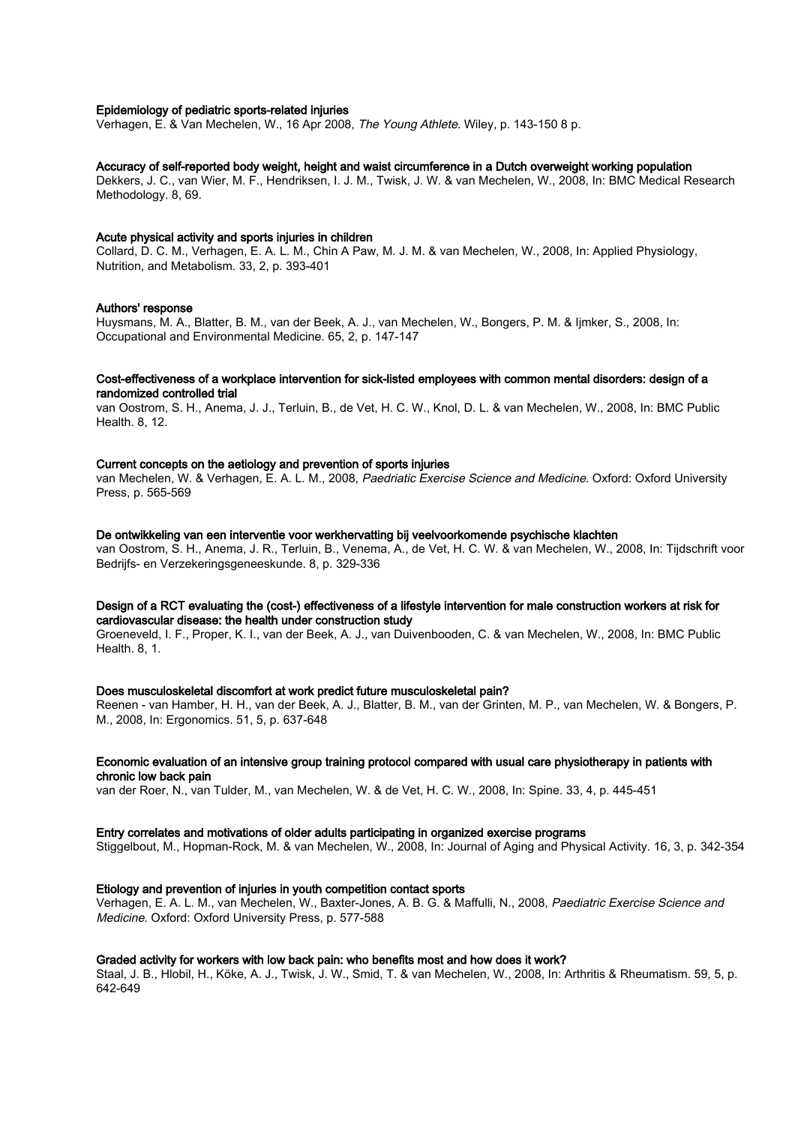# Epidemiology of pediatric sports-related injuries

Verhagen, E. & Van Mechelen, W., 16 Apr 2008, The Young Athlete. Wiley, p. 143-150 8 p.

# Accuracy of self-reported body weight, height and waist circumference in a Dutch overweight working population

Dekkers, J. C., van Wier, M. F., Hendriksen, I. J. M., Twisk, J. W. & van Mechelen, W., 2008, In: BMC Medical Research Methodology. 8, 69.

#### Acute physical activity and sports injuries in children

Collard, D. C. M., Verhagen, E. A. L. M., Chin A Paw, M. J. M. & van Mechelen, W., 2008, In: Applied Physiology, Nutrition, and Metabolism. 33, 2, p. 393-401

#### Authors' response

Huysmans, M. A., Blatter, B. M., van der Beek, A. J., van Mechelen, W., Bongers, P. M. & Ijmker, S., 2008, In: Occupational and Environmental Medicine. 65, 2, p. 147-147

# Cost-effectiveness of a workplace intervention for sick-listed employees with common mental disorders: design of a randomized controlled trial

van Oostrom, S. H., Anema, J. J., Terluin, B., de Vet, H. C. W., Knol, D. L. & van Mechelen, W., 2008, In: BMC Public Health. 8, 12.

## Current concepts on the aetiology and prevention of sports injuries

van Mechelen, W. & Verhagen, E. A. L. M., 2008, Paedriatic Exercise Science and Medicine. Oxford: Oxford University Press, p. 565-569

#### De ontwikkeling van een interventie voor werkhervatting bij veelvoorkomende psychische klachten

van Oostrom, S. H., Anema, J. R., Terluin, B., Venema, A., de Vet, H. C. W. & van Mechelen, W., 2008, In: Tijdschrift voor Bedrijfs- en Verzekeringsgeneeskunde. 8, p. 329-336

# Design of a RCT evaluating the (cost-) effectiveness of a lifestyle intervention for male construction workers at risk for cardiovascular disease: the health under construction study

Groeneveld, I. F., Proper, K. I., van der Beek, A. J., van Duivenbooden, C. & van Mechelen, W., 2008, In: BMC Public Health. 8, 1.

#### Does musculoskeletal discomfort at work predict future musculoskeletal pain?

Reenen - van Hamber, H. H., van der Beek, A. J., Blatter, B. M., van der Grinten, M. P., van Mechelen, W. & Bongers, P. M., 2008, In: Ergonomics. 51, 5, p. 637-648

#### Economic evaluation of an intensive group training protocol compared with usual care physiotherapy in patients with chronic low back pain

van der Roer, N., van Tulder, M., van Mechelen, W. & de Vet, H. C. W., 2008, In: Spine. 33, 4, p. 445-451

#### Entry correlates and motivations of older adults participating in organized exercise programs

Stiggelbout, M., Hopman-Rock, M. & van Mechelen, W., 2008, In: Journal of Aging and Physical Activity. 16, 3, p. 342-354

## Etiology and prevention of injuries in youth competition contact sports

Verhagen, E. A. L. M., van Mechelen, W., Baxter-Jones, A. B. G. & Maffulli, N., 2008, Paediatric Exercise Science and Medicine. Oxford: Oxford University Press, p. 577-588

#### Graded activity for workers with low back pain: who benefits most and how does it work?

Staal, J. B., Hlobil, H., Köke, A. J., Twisk, J. W., Smid, T. & van Mechelen, W., 2008, In: Arthritis & Rheumatism. 59, 5, p. 642-649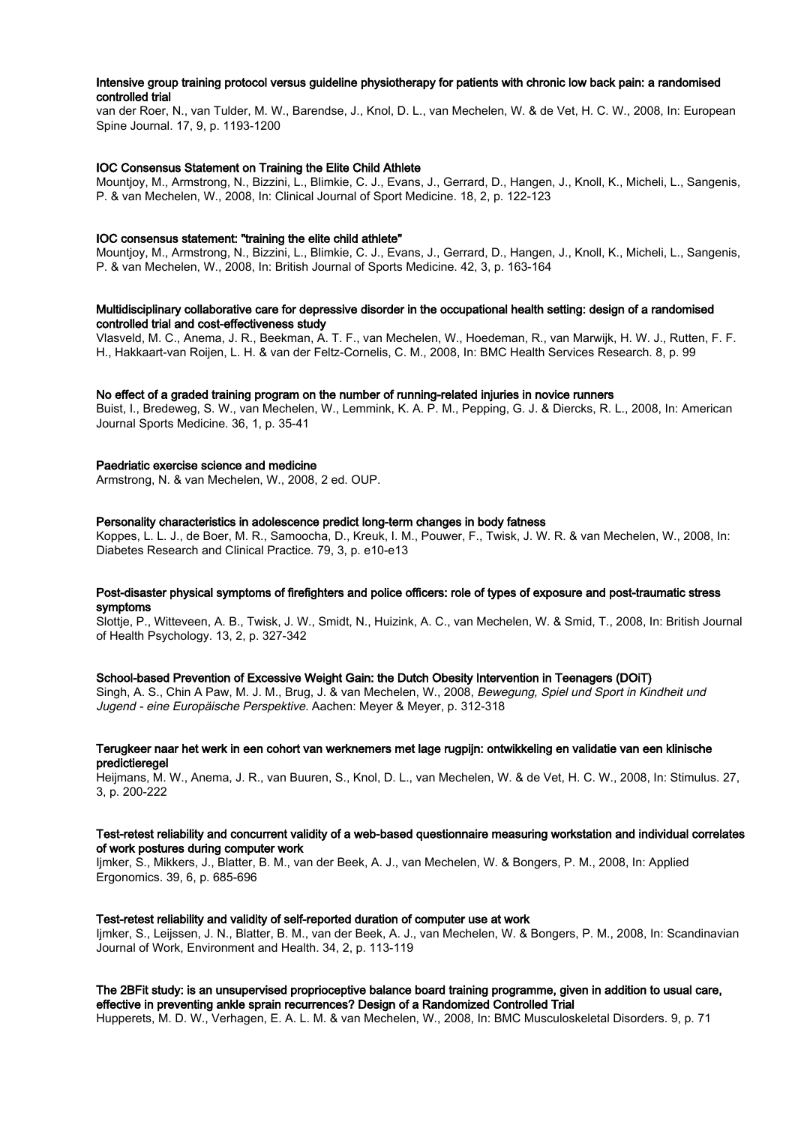# Intensive group training protocol versus guideline physiotherapy for patients with chronic low back pain: a randomised controlled trial

van der Roer, N., van Tulder, M. W., Barendse, J., Knol, D. L., van Mechelen, W. & de Vet, H. C. W., 2008, In: European Spine Journal. 17, 9, p. 1193-1200

# IOC Consensus Statement on Training the Elite Child Athlete

Mountjoy, M., Armstrong, N., Bizzini, L., Blimkie, C. J., Evans, J., Gerrard, D., Hangen, J., Knoll, K., Micheli, L., Sangenis, P. & van Mechelen, W., 2008, In: Clinical Journal of Sport Medicine. 18, 2, p. 122-123

#### IOC consensus statement: "training the elite child athlete"

Mountjoy, M., Armstrong, N., Bizzini, L., Blimkie, C. J., Evans, J., Gerrard, D., Hangen, J., Knoll, K., Micheli, L., Sangenis, P. & van Mechelen, W., 2008, In: British Journal of Sports Medicine. 42, 3, p. 163-164

# Multidisciplinary collaborative care for depressive disorder in the occupational health setting: design of a randomised controlled trial and cost-effectiveness study

Vlasveld, M. C., Anema, J. R., Beekman, A. T. F., van Mechelen, W., Hoedeman, R., van Marwijk, H. W. J., Rutten, F. F. H., Hakkaart-van Roijen, L. H. & van der Feltz-Cornelis, C. M., 2008, In: BMC Health Services Research. 8, p. 99

#### No effect of a graded training program on the number of running-related injuries in novice runners

Buist, I., Bredeweg, S. W., van Mechelen, W., Lemmink, K. A. P. M., Pepping, G. J. & Diercks, R. L., 2008, In: American Journal Sports Medicine. 36, 1, p. 35-41

#### Paedriatic exercise science and medicine

Armstrong, N. & van Mechelen, W., 2008, 2 ed. OUP.

### Personality characteristics in adolescence predict long-term changes in body fatness

Koppes, L. L. J., de Boer, M. R., Samoocha, D., Kreuk, I. M., Pouwer, F., Twisk, J. W. R. & van Mechelen, W., 2008, In: Diabetes Research and Clinical Practice. 79, 3, p. e10-e13

# Post-disaster physical symptoms of firefighters and police officers: role of types of exposure and post-traumatic stress symptoms

Slottje, P., Witteveen, A. B., Twisk, J. W., Smidt, N., Huizink, A. C., van Mechelen, W. & Smid, T., 2008, In: British Journal of Health Psychology. 13, 2, p. 327-342

# School-based Prevention of Excessive Weight Gain: the Dutch Obesity Intervention in Teenagers (DOiT)

Singh, A. S., Chin A Paw, M. J. M., Brug, J. & van Mechelen, W., 2008, Bewegung, Spiel und Sport in Kindheit und Jugend - eine Europäische Perspektive. Aachen: Meyer & Meyer, p. 312-318

## Terugkeer naar het werk in een cohort van werknemers met lage rugpijn: ontwikkeling en validatie van een klinische predictieregel

Heijmans, M. W., Anema, J. R., van Buuren, S., Knol, D. L., van Mechelen, W. & de Vet, H. C. W., 2008, In: Stimulus. 27, 3, p. 200-222

# Test-retest reliability and concurrent validity of a web-based questionnaire measuring workstation and individual correlates of work postures during computer work

Ijmker, S., Mikkers, J., Blatter, B. M., van der Beek, A. J., van Mechelen, W. & Bongers, P. M., 2008, In: Applied Ergonomics. 39, 6, p. 685-696

# Test-retest reliability and validity of self-reported duration of computer use at work

Ijmker, S., Leijssen, J. N., Blatter, B. M., van der Beek, A. J., van Mechelen, W. & Bongers, P. M., 2008, In: Scandinavian Journal of Work, Environment and Health. 34, 2, p. 113-119

# The 2BFit study: is an unsupervised proprioceptive balance board training programme, given in addition to usual care, effective in preventing ankle sprain recurrences? Design of a Randomized Controlled Trial

Hupperets, M. D. W., Verhagen, E. A. L. M. & van Mechelen, W., 2008, In: BMC Musculoskeletal Disorders. 9, p. 71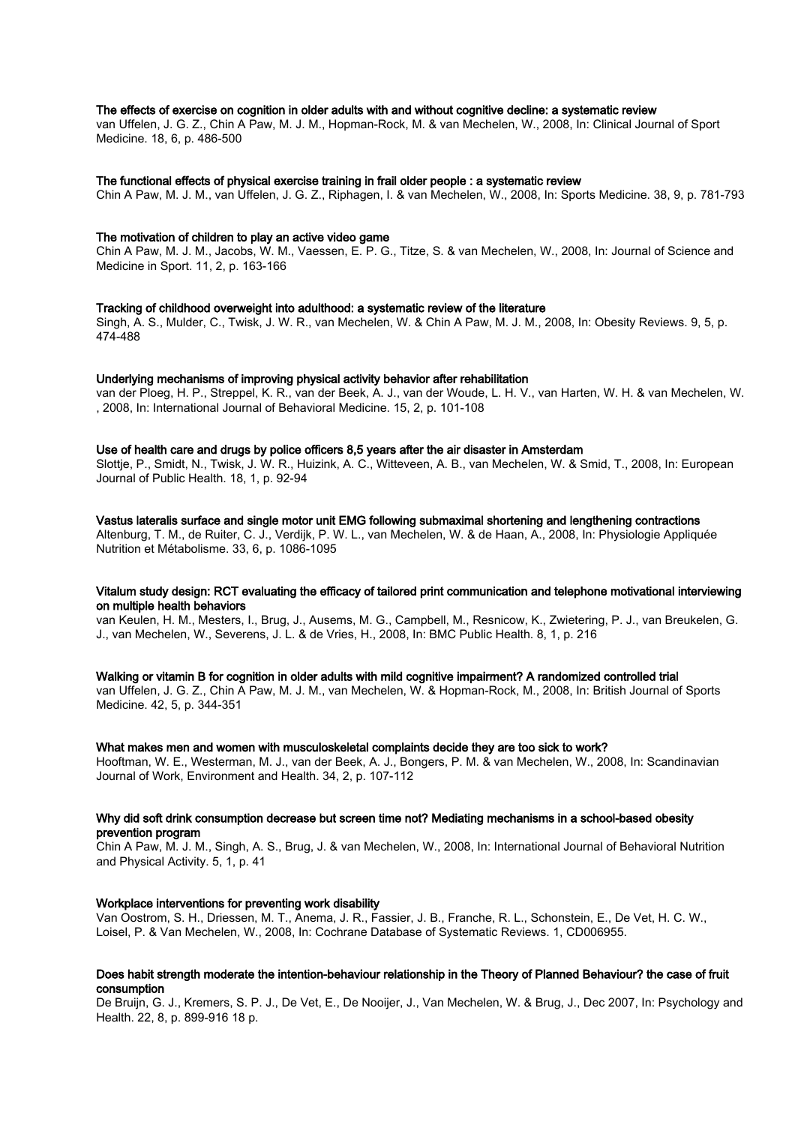#### The effects of exercise on cognition in older adults with and without cognitive decline: a systematic review

van Uffelen, J. G. Z., Chin A Paw, M. J. M., Hopman-Rock, M. & van Mechelen, W., 2008, In: Clinical Journal of Sport Medicine. 18, 6, p. 486-500

#### The functional effects of physical exercise training in frail older people : a systematic review

Chin A Paw, M. J. M., van Uffelen, J. G. Z., Riphagen, I. & van Mechelen, W., 2008, In: Sports Medicine. 38, 9, p. 781-793

#### The motivation of children to play an active video game

Chin A Paw, M. J. M., Jacobs, W. M., Vaessen, E. P. G., Titze, S. & van Mechelen, W., 2008, In: Journal of Science and Medicine in Sport. 11, 2, p. 163-166

## Tracking of childhood overweight into adulthood: a systematic review of the literature

Singh, A. S., Mulder, C., Twisk, J. W. R., van Mechelen, W. & Chin A Paw, M. J. M., 2008, In: Obesity Reviews. 9, 5, p. 474-488

#### Underlying mechanisms of improving physical activity behavior after rehabilitation

van der Ploeg, H. P., Streppel, K. R., van der Beek, A. J., van der Woude, L. H. V., van Harten, W. H. & van Mechelen, W. , 2008, In: International Journal of Behavioral Medicine. 15, 2, p. 101-108

#### Use of health care and drugs by police officers 8,5 years after the air disaster in Amsterdam

Slottje, P., Smidt, N., Twisk, J. W. R., Huizink, A. C., Witteveen, A. B., van Mechelen, W. & Smid, T., 2008, In: European Journal of Public Health. 18, 1, p. 92-94

#### Vastus lateralis surface and single motor unit EMG following submaximal shortening and lengthening contractions

Altenburg, T. M., de Ruiter, C. J., Verdijk, P. W. L., van Mechelen, W. & de Haan, A., 2008, In: Physiologie Appliquée Nutrition et Métabolisme. 33, 6, p. 1086-1095

# Vitalum study design: RCT evaluating the efficacy of tailored print communication and telephone motivational interviewing on multiple health behaviors

van Keulen, H. M., Mesters, I., Brug, J., Ausems, M. G., Campbell, M., Resnicow, K., Zwietering, P. J., van Breukelen, G. J., van Mechelen, W., Severens, J. L. & de Vries, H., 2008, In: BMC Public Health. 8, 1, p. 216

#### Walking or vitamin B for cognition in older adults with mild cognitive impairment? A randomized controlled trial

van Uffelen, J. G. Z., Chin A Paw, M. J. M., van Mechelen, W. & Hopman-Rock, M., 2008, In: British Journal of Sports Medicine. 42, 5, p. 344-351

#### What makes men and women with musculoskeletal complaints decide they are too sick to work?

Hooftman, W. E., Westerman, M. J., van der Beek, A. J., Bongers, P. M. & van Mechelen, W., 2008, In: Scandinavian Journal of Work, Environment and Health. 34, 2, p. 107-112

#### Why did soft drink consumption decrease but screen time not? Mediating mechanisms in a school-based obesity prevention program

Chin A Paw, M. J. M., Singh, A. S., Brug, J. & van Mechelen, W., 2008, In: International Journal of Behavioral Nutrition and Physical Activity. 5, 1, p. 41

#### Workplace interventions for preventing work disability

Van Oostrom, S. H., Driessen, M. T., Anema, J. R., Fassier, J. B., Franche, R. L., Schonstein, E., De Vet, H. C. W., Loisel, P. & Van Mechelen, W., 2008, In: Cochrane Database of Systematic Reviews. 1, CD006955.

#### Does habit strength moderate the intention-behaviour relationship in the Theory of Planned Behaviour? the case of fruit consumption

De Bruijn, G. J., Kremers, S. P. J., De Vet, E., De Nooijer, J., Van Mechelen, W. & Brug, J., Dec 2007, In: Psychology and Health. 22, 8, p. 899-916 18 p.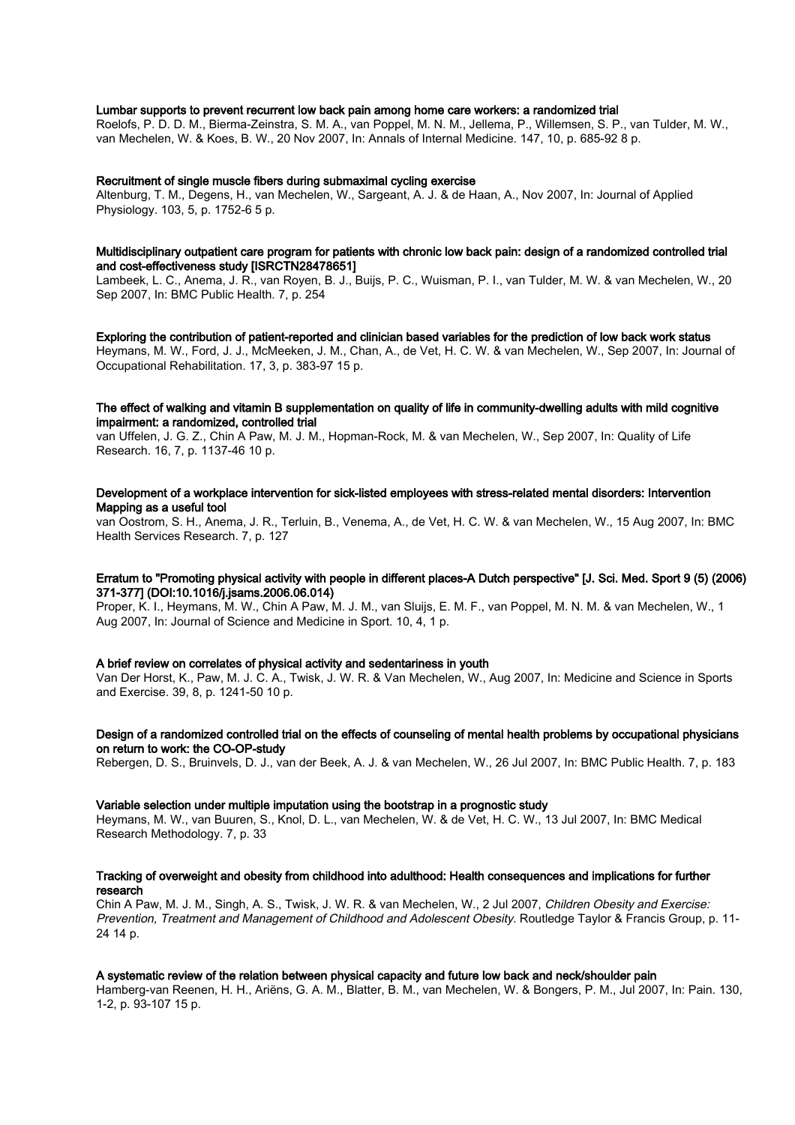# Lumbar supports to prevent recurrent low back pain among home care workers: a randomized trial

Roelofs, P. D. D. M., Bierma-Zeinstra, S. M. A., van Poppel, M. N. M., Jellema, P., Willemsen, S. P., van Tulder, M. W., van Mechelen, W. & Koes, B. W., 20 Nov 2007, In: Annals of Internal Medicine. 147, 10, p. 685-92 8 p.

#### Recruitment of single muscle fibers during submaximal cycling exercise

Altenburg, T. M., Degens, H., van Mechelen, W., Sargeant, A. J. & de Haan, A., Nov 2007, In: Journal of Applied Physiology. 103, 5, p. 1752-6 5 p.

## Multidisciplinary outpatient care program for patients with chronic low back pain: design of a randomized controlled trial and cost-effectiveness study [ISRCTN28478651]

Lambeek, L. C., Anema, J. R., van Royen, B. J., Buijs, P. C., Wuisman, P. I., van Tulder, M. W. & van Mechelen, W., 20 Sep 2007, In: BMC Public Health. 7, p. 254

#### Exploring the contribution of patient-reported and clinician based variables for the prediction of low back work status

Heymans, M. W., Ford, J. J., McMeeken, J. M., Chan, A., de Vet, H. C. W. & van Mechelen, W., Sep 2007, In: Journal of Occupational Rehabilitation. 17, 3, p. 383-97 15 p.

# The effect of walking and vitamin B supplementation on quality of life in community-dwelling adults with mild cognitive impairment: a randomized, controlled trial

van Uffelen, J. G. Z., Chin A Paw, M. J. M., Hopman-Rock, M. & van Mechelen, W., Sep 2007, In: Quality of Life Research. 16, 7, p. 1137-46 10 p.

## Development of a workplace intervention for sick-listed employees with stress-related mental disorders: Intervention Mapping as a useful tool

van Oostrom, S. H., Anema, J. R., Terluin, B., Venema, A., de Vet, H. C. W. & van Mechelen, W., 15 Aug 2007, In: BMC Health Services Research. 7, p. 127

# Erratum to "Promoting physical activity with people in different places-A Dutch perspective" [J. Sci. Med. Sport 9 (5) (2006) 371-377] (DOI:10.1016/j.jsams.2006.06.014)

Proper, K. I., Heymans, M. W., Chin A Paw, M. J. M., van Sluijs, E. M. F., van Poppel, M. N. M. & van Mechelen, W., 1 Aug 2007, In: Journal of Science and Medicine in Sport. 10, 4, 1 p.

#### A brief review on correlates of physical activity and sedentariness in youth

Van Der Horst, K., Paw, M. J. C. A., Twisk, J. W. R. & Van Mechelen, W., Aug 2007, In: Medicine and Science in Sports and Exercise. 39, 8, p. 1241-50 10 p.

# Design of a randomized controlled trial on the effects of counseling of mental health problems by occupational physicians on return to work: the CO-OP-study

Rebergen, D. S., Bruinvels, D. J., van der Beek, A. J. & van Mechelen, W., 26 Jul 2007, In: BMC Public Health. 7, p. 183

#### Variable selection under multiple imputation using the bootstrap in a prognostic study

Heymans, M. W., van Buuren, S., Knol, D. L., van Mechelen, W. & de Vet, H. C. W., 13 Jul 2007, In: BMC Medical Research Methodology. 7, p. 33

# Tracking of overweight and obesity from childhood into adulthood: Health consequences and implications for further research

Chin A Paw, M. J. M., Singh, A. S., Twisk, J. W. R. & van Mechelen, W., 2 Jul 2007, Children Obesity and Exercise: Prevention, Treatment and Management of Childhood and Adolescent Obesity. Routledge Taylor & Francis Group, p. 11- 24 14 p.

# A systematic review of the relation between physical capacity and future low back and neck/shoulder pain

Hamberg-van Reenen, H. H., Ariëns, G. A. M., Blatter, B. M., van Mechelen, W. & Bongers, P. M., Jul 2007, In: Pain. 130, 1-2, p. 93-107 15 p.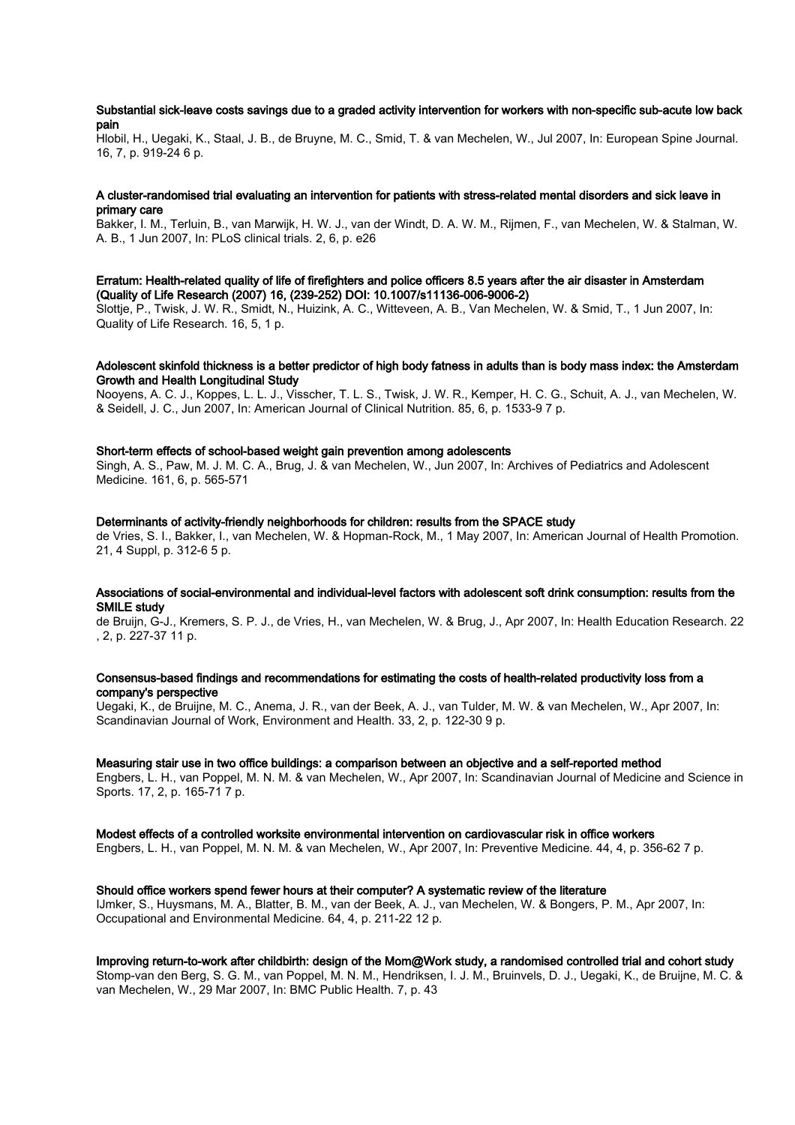# Substantial sick-leave costs savings due to a graded activity intervention for workers with non-specific sub-acute low back pain

Hlobil, H., Uegaki, K., Staal, J. B., de Bruyne, M. C., Smid, T. & van Mechelen, W., Jul 2007, In: European Spine Journal. 16, 7, p. 919-24 6 p.

# A cluster-randomised trial evaluating an intervention for patients with stress-related mental disorders and sick leave in primary care

Bakker, I. M., Terluin, B., van Marwijk, H. W. J., van der Windt, D. A. W. M., Rijmen, F., van Mechelen, W. & Stalman, W. A. B., 1 Jun 2007, In: PLoS clinical trials. 2, 6, p. e26

# Erratum: Health-related quality of life of firefighters and police officers 8.5 years after the air disaster in Amsterdam (Quality of Life Research (2007) 16, (239-252) DOI: 10.1007/s11136-006-9006-2)

Slottje, P., Twisk, J. W. R., Smidt, N., Huizink, A. C., Witteveen, A. B., Van Mechelen, W. & Smid, T., 1 Jun 2007, In: Quality of Life Research. 16, 5, 1 p.

# Adolescent skinfold thickness is a better predictor of high body fatness in adults than is body mass index: the Amsterdam Growth and Health Longitudinal Study

Nooyens, A. C. J., Koppes, L. L. J., Visscher, T. L. S., Twisk, J. W. R., Kemper, H. C. G., Schuit, A. J., van Mechelen, W. & Seidell, J. C., Jun 2007, In: American Journal of Clinical Nutrition. 85, 6, p. 1533-9 7 p.

#### Short-term effects of school-based weight gain prevention among adolescents

Singh, A. S., Paw, M. J. M. C. A., Brug, J. & van Mechelen, W., Jun 2007, In: Archives of Pediatrics and Adolescent Medicine. 161, 6, p. 565-571

# Determinants of activity-friendly neighborhoods for children: results from the SPACE study

de Vries, S. I., Bakker, I., van Mechelen, W. & Hopman-Rock, M., 1 May 2007, In: American Journal of Health Promotion. 21, 4 Suppl, p. 312-6 5 p.

# Associations of social-environmental and individual-level factors with adolescent soft drink consumption: results from the SMILE study

de Bruijn, G-J., Kremers, S. P. J., de Vries, H., van Mechelen, W. & Brug, J., Apr 2007, In: Health Education Research. 22 , 2, p. 227-37 11 p.

# Consensus-based findings and recommendations for estimating the costs of health-related productivity loss from a company's perspective

Uegaki, K., de Bruijne, M. C., Anema, J. R., van der Beek, A. J., van Tulder, M. W. & van Mechelen, W., Apr 2007, In: Scandinavian Journal of Work, Environment and Health. 33, 2, p. 122-30 9 p.

# Measuring stair use in two office buildings: a comparison between an objective and a self-reported method

Engbers, L. H., van Poppel, M. N. M. & van Mechelen, W., Apr 2007, In: Scandinavian Journal of Medicine and Science in Sports. 17, 2, p. 165-71 7 p.

Modest effects of a controlled worksite environmental intervention on cardiovascular risk in office workers

Engbers, L. H., van Poppel, M. N. M. & van Mechelen, W., Apr 2007, In: Preventive Medicine. 44, 4, p. 356-62 7 p.

# Should office workers spend fewer hours at their computer? A systematic review of the literature

IJmker, S., Huysmans, M. A., Blatter, B. M., van der Beek, A. J., van Mechelen, W. & Bongers, P. M., Apr 2007, In: Occupational and Environmental Medicine. 64, 4, p. 211-22 12 p.

# Improving return-to-work after childbirth: design of the Mom@Work study, a randomised controlled trial and cohort study

Stomp-van den Berg, S. G. M., van Poppel, M. N. M., Hendriksen, I. J. M., Bruinvels, D. J., Uegaki, K., de Bruijne, M. C. & van Mechelen, W., 29 Mar 2007, In: BMC Public Health. 7, p. 43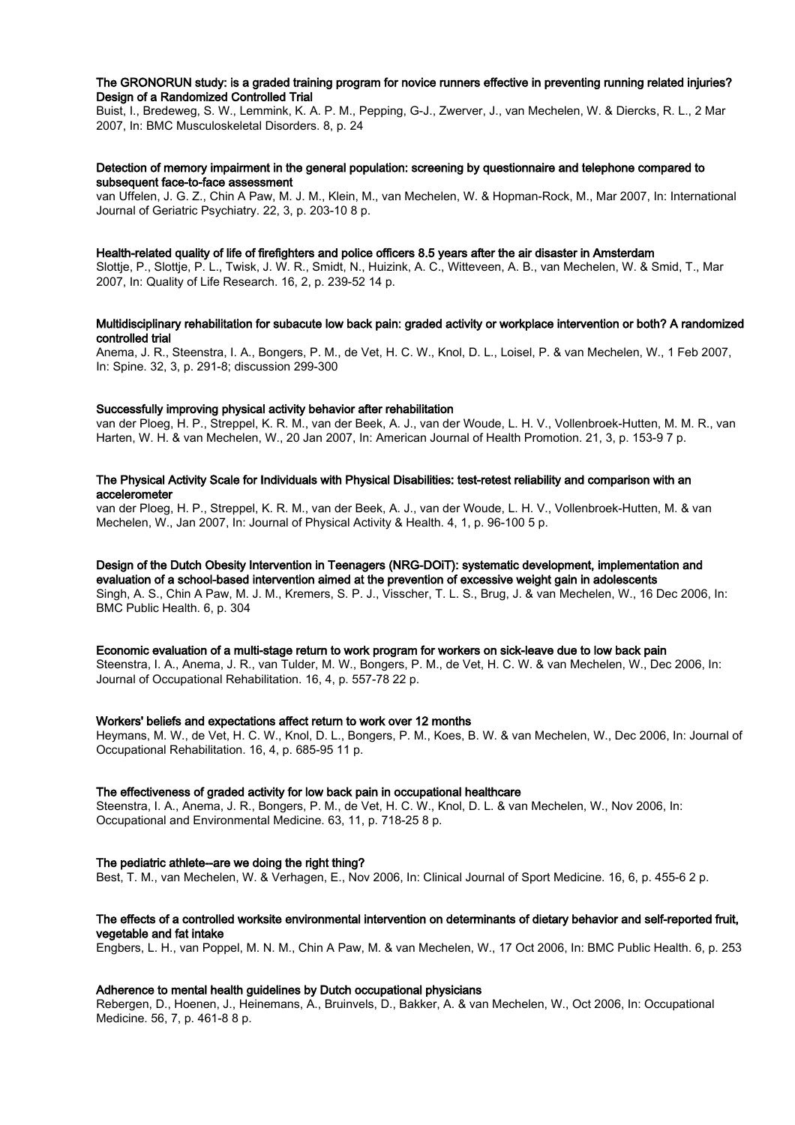# The GRONORUN study: is a graded training program for novice runners effective in preventing running related injuries? Design of a Randomized Controlled Trial

Buist, I., Bredeweg, S. W., Lemmink, K. A. P. M., Pepping, G-J., Zwerver, J., van Mechelen, W. & Diercks, R. L., 2 Mar 2007, In: BMC Musculoskeletal Disorders. 8, p. 24

# Detection of memory impairment in the general population: screening by questionnaire and telephone compared to subsequent face-to-face assessment

van Uffelen, J. G. Z., Chin A Paw, M. J. M., Klein, M., van Mechelen, W. & Hopman-Rock, M., Mar 2007, In: International Journal of Geriatric Psychiatry. 22, 3, p. 203-10 8 p.

# Health-related quality of life of firefighters and police officers 8.5 years after the air disaster in Amsterdam

Slottje, P., Slottje, P. L., Twisk, J. W. R., Smidt, N., Huizink, A. C., Witteveen, A. B., van Mechelen, W. & Smid, T., Mar 2007, In: Quality of Life Research. 16, 2, p. 239-52 14 p.

# Multidisciplinary rehabilitation for subacute low back pain: graded activity or workplace intervention or both? A randomized controlled trial

Anema, J. R., Steenstra, I. A., Bongers, P. M., de Vet, H. C. W., Knol, D. L., Loisel, P. & van Mechelen, W., 1 Feb 2007, In: Spine. 32, 3, p. 291-8; discussion 299-300

#### Successfully improving physical activity behavior after rehabilitation

van der Ploeg, H. P., Streppel, K. R. M., van der Beek, A. J., van der Woude, L. H. V., Vollenbroek-Hutten, M. M. R., van Harten, W. H. & van Mechelen, W., 20 Jan 2007, In: American Journal of Health Promotion. 21, 3, p. 153-9 7 p.

# The Physical Activity Scale for Individuals with Physical Disabilities: test-retest reliability and comparison with an accelerometer

van der Ploeg, H. P., Streppel, K. R. M., van der Beek, A. J., van der Woude, L. H. V., Vollenbroek-Hutten, M. & van Mechelen, W., Jan 2007, In: Journal of Physical Activity & Health. 4, 1, p. 96-100 5 p.

# Design of the Dutch Obesity Intervention in Teenagers (NRG-DOiT): systematic development, implementation and

evaluation of a school-based intervention aimed at the prevention of excessive weight gain in adolescents Singh, A. S., Chin A Paw, M. J. M., Kremers, S. P. J., Visscher, T. L. S., Brug, J. & van Mechelen, W., 16 Dec 2006, In: BMC Public Health. 6, p. 304

## Economic evaluation of a multi-stage return to work program for workers on sick-leave due to low back pain

Steenstra, I. A., Anema, J. R., van Tulder, M. W., Bongers, P. M., de Vet, H. C. W. & van Mechelen, W., Dec 2006, In: Journal of Occupational Rehabilitation. 16, 4, p. 557-78 22 p.

#### Workers' beliefs and expectations affect return to work over 12 months

Heymans, M. W., de Vet, H. C. W., Knol, D. L., Bongers, P. M., Koes, B. W. & van Mechelen, W., Dec 2006, In: Journal of Occupational Rehabilitation. 16, 4, p. 685-95 11 p.

#### The effectiveness of graded activity for low back pain in occupational healthcare

Steenstra, I. A., Anema, J. R., Bongers, P. M., de Vet, H. C. W., Knol, D. L. & van Mechelen, W., Nov 2006, In: Occupational and Environmental Medicine. 63, 11, p. 718-25 8 p.

#### The pediatric athlete--are we doing the right thing?

Best, T. M., van Mechelen, W. & Verhagen, E., Nov 2006, In: Clinical Journal of Sport Medicine. 16, 6, p. 455-6 2 p.

# The effects of a controlled worksite environmental intervention on determinants of dietary behavior and self-reported fruit, vegetable and fat intake

Engbers, L. H., van Poppel, M. N. M., Chin A Paw, M. & van Mechelen, W., 17 Oct 2006, In: BMC Public Health. 6, p. 253

#### Adherence to mental health guidelines by Dutch occupational physicians

Rebergen, D., Hoenen, J., Heinemans, A., Bruinvels, D., Bakker, A. & van Mechelen, W., Oct 2006, In: Occupational Medicine. 56, 7, p. 461-8 8 p.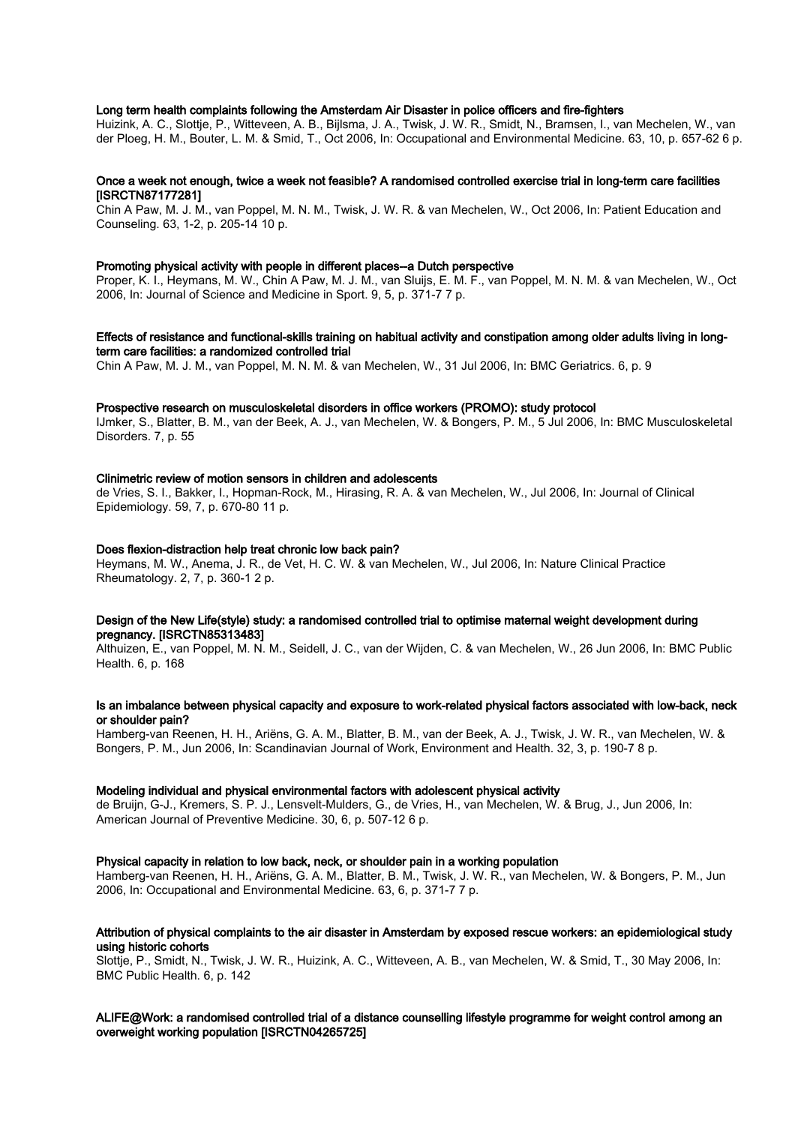# Long term health complaints following the Amsterdam Air Disaster in police officers and fire-fighters

Huizink, A. C., Slottje, P., Witteveen, A. B., Bijlsma, J. A., Twisk, J. W. R., Smidt, N., Bramsen, I., van Mechelen, W., van der Ploeg, H. M., Bouter, L. M. & Smid, T., Oct 2006, In: Occupational and Environmental Medicine. 63, 10, p. 657-62 6 p.

# Once a week not enough, twice a week not feasible? A randomised controlled exercise trial in long-term care facilities [ISRCTN87177281]

Chin A Paw, M. J. M., van Poppel, M. N. M., Twisk, J. W. R. & van Mechelen, W., Oct 2006, In: Patient Education and Counseling. 63, 1-2, p. 205-14 10 p.

#### Promoting physical activity with people in different places--a Dutch perspective

Proper, K. I., Heymans, M. W., Chin A Paw, M. J. M., van Sluijs, E. M. F., van Poppel, M. N. M. & van Mechelen, W., Oct 2006, In: Journal of Science and Medicine in Sport. 9, 5, p. 371-7 7 p.

## Effects of resistance and functional-skills training on habitual activity and constipation among older adults living in longterm care facilities: a randomized controlled trial

Chin A Paw, M. J. M., van Poppel, M. N. M. & van Mechelen, W., 31 Jul 2006, In: BMC Geriatrics. 6, p. 9

#### Prospective research on musculoskeletal disorders in office workers (PROMO): study protocol

IJmker, S., Blatter, B. M., van der Beek, A. J., van Mechelen, W. & Bongers, P. M., 5 Jul 2006, In: BMC Musculoskeletal Disorders. 7, p. 55

#### Clinimetric review of motion sensors in children and adolescents

de Vries, S. I., Bakker, I., Hopman-Rock, M., Hirasing, R. A. & van Mechelen, W., Jul 2006, In: Journal of Clinical Epidemiology. 59, 7, p. 670-80 11 p.

#### Does flexion-distraction help treat chronic low back pain?

Heymans, M. W., Anema, J. R., de Vet, H. C. W. & van Mechelen, W., Jul 2006, In: Nature Clinical Practice Rheumatology. 2, 7, p. 360-1 2 p.

# Design of the New Life(style) study: a randomised controlled trial to optimise maternal weight development during pregnancy. [ISRCTN85313483]

Althuizen, E., van Poppel, M. N. M., Seidell, J. C., van der Wijden, C. & van Mechelen, W., 26 Jun 2006, In: BMC Public Health. 6, p. 168

# Is an imbalance between physical capacity and exposure to work-related physical factors associated with low-back, neck or shoulder pain?

Hamberg-van Reenen, H. H., Ariëns, G. A. M., Blatter, B. M., van der Beek, A. J., Twisk, J. W. R., van Mechelen, W. & Bongers, P. M., Jun 2006, In: Scandinavian Journal of Work, Environment and Health. 32, 3, p. 190-7 8 p.

#### Modeling individual and physical environmental factors with adolescent physical activity

de Bruijn, G-J., Kremers, S. P. J., Lensvelt-Mulders, G., de Vries, H., van Mechelen, W. & Brug, J., Jun 2006, In: American Journal of Preventive Medicine. 30, 6, p. 507-12 6 p.

# Physical capacity in relation to low back, neck, or shoulder pain in a working population

Hamberg-van Reenen, H. H., Ariëns, G. A. M., Blatter, B. M., Twisk, J. W. R., van Mechelen, W. & Bongers, P. M., Jun 2006, In: Occupational and Environmental Medicine. 63, 6, p. 371-7 7 p.

# Attribution of physical complaints to the air disaster in Amsterdam by exposed rescue workers: an epidemiological study using historic cohorts

Slottje, P., Smidt, N., Twisk, J. W. R., Huizink, A. C., Witteveen, A. B., van Mechelen, W. & Smid, T., 30 May 2006, In: BMC Public Health. 6, p. 142

# ALIFE@Work: a randomised controlled trial of a distance counselling lifestyle programme for weight control among an overweight working population [ISRCTN04265725]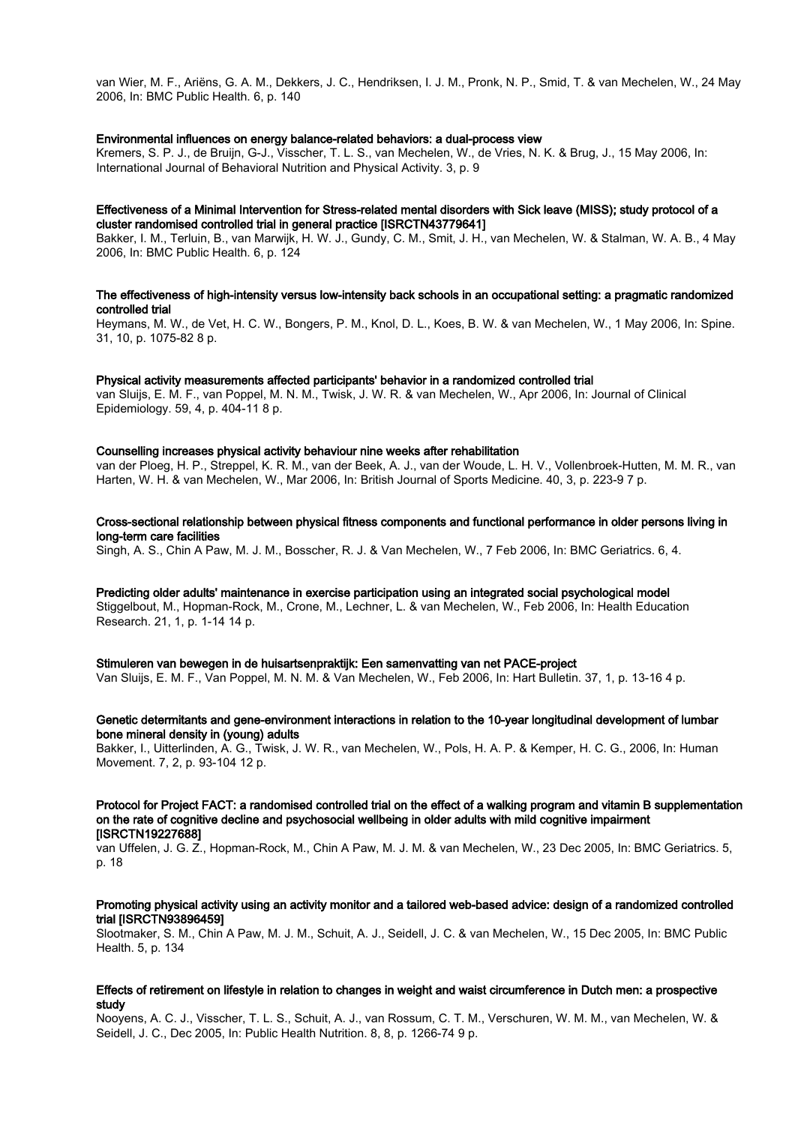van Wier, M. F., Ariëns, G. A. M., Dekkers, J. C., Hendriksen, I. J. M., Pronk, N. P., Smid, T. & van Mechelen, W., 24 May 2006, In: BMC Public Health. 6, p. 140

#### Environmental influences on energy balance-related behaviors: a dual-process view

Kremers, S. P. J., de Bruijn, G-J., Visscher, T. L. S., van Mechelen, W., de Vries, N. K. & Brug, J., 15 May 2006, In: International Journal of Behavioral Nutrition and Physical Activity. 3, p. 9

#### Effectiveness of a Minimal Intervention for Stress-related mental disorders with Sick leave (MISS); study protocol of a cluster randomised controlled trial in general practice [ISRCTN43779641]

Bakker, I. M., Terluin, B., van Marwijk, H. W. J., Gundy, C. M., Smit, J. H., van Mechelen, W. & Stalman, W. A. B., 4 May 2006, In: BMC Public Health. 6, p. 124

# The effectiveness of high-intensity versus low-intensity back schools in an occupational setting: a pragmatic randomized controlled trial

Heymans, M. W., de Vet, H. C. W., Bongers, P. M., Knol, D. L., Koes, B. W. & van Mechelen, W., 1 May 2006, In: Spine. 31, 10, p. 1075-82 8 p.

#### Physical activity measurements affected participants' behavior in a randomized controlled trial

van Sluijs, E. M. F., van Poppel, M. N. M., Twisk, J. W. R. & van Mechelen, W., Apr 2006, In: Journal of Clinical Epidemiology. 59, 4, p. 404-11 8 p.

#### Counselling increases physical activity behaviour nine weeks after rehabilitation

van der Ploeg, H. P., Streppel, K. R. M., van der Beek, A. J., van der Woude, L. H. V., Vollenbroek-Hutten, M. M. R., van Harten, W. H. & van Mechelen, W., Mar 2006, In: British Journal of Sports Medicine. 40, 3, p. 223-9 7 p.

Cross-sectional relationship between physical fitness components and functional performance in older persons living in long-term care facilities

Singh, A. S., Chin A Paw, M. J. M., Bosscher, R. J. & Van Mechelen, W., 7 Feb 2006, In: BMC Geriatrics. 6, 4.

Predicting older adults' maintenance in exercise participation using an integrated social psychological model Stiggelbout, M., Hopman-Rock, M., Crone, M., Lechner, L. & van Mechelen, W., Feb 2006, In: Health Education Research. 21, 1, p. 1-14 14 p.

#### Stimuleren van bewegen in de huisartsenpraktijk: Een samenvatting van net PACE-project

Van Sluijs, E. M. F., Van Poppel, M. N. M. & Van Mechelen, W., Feb 2006, In: Hart Bulletin. 37, 1, p. 13-16 4 p.

# Genetic determitants and gene-environment interactions in relation to the 10-year longitudinal development of lumbar bone mineral density in (young) adults

Bakker, I., Uitterlinden, A. G., Twisk, J. W. R., van Mechelen, W., Pols, H. A. P. & Kemper, H. C. G., 2006, In: Human Movement. 7, 2, p. 93-104 12 p.

#### Protocol for Project FACT: a randomised controlled trial on the effect of a walking program and vitamin B supplementation on the rate of cognitive decline and psychosocial wellbeing in older adults with mild cognitive impairment [ISRCTN19227688]

van Uffelen, J. G. Z., Hopman-Rock, M., Chin A Paw, M. J. M. & van Mechelen, W., 23 Dec 2005, In: BMC Geriatrics. 5, p. 18

## Promoting physical activity using an activity monitor and a tailored web-based advice: design of a randomized controlled trial [ISRCTN93896459]

Slootmaker, S. M., Chin A Paw, M. J. M., Schuit, A. J., Seidell, J. C. & van Mechelen, W., 15 Dec 2005, In: BMC Public Health. 5, p. 134

# Effects of retirement on lifestyle in relation to changes in weight and waist circumference in Dutch men: a prospective study

Nooyens, A. C. J., Visscher, T. L. S., Schuit, A. J., van Rossum, C. T. M., Verschuren, W. M. M., van Mechelen, W. & Seidell, J. C., Dec 2005, In: Public Health Nutrition. 8, 8, p. 1266-74 9 p.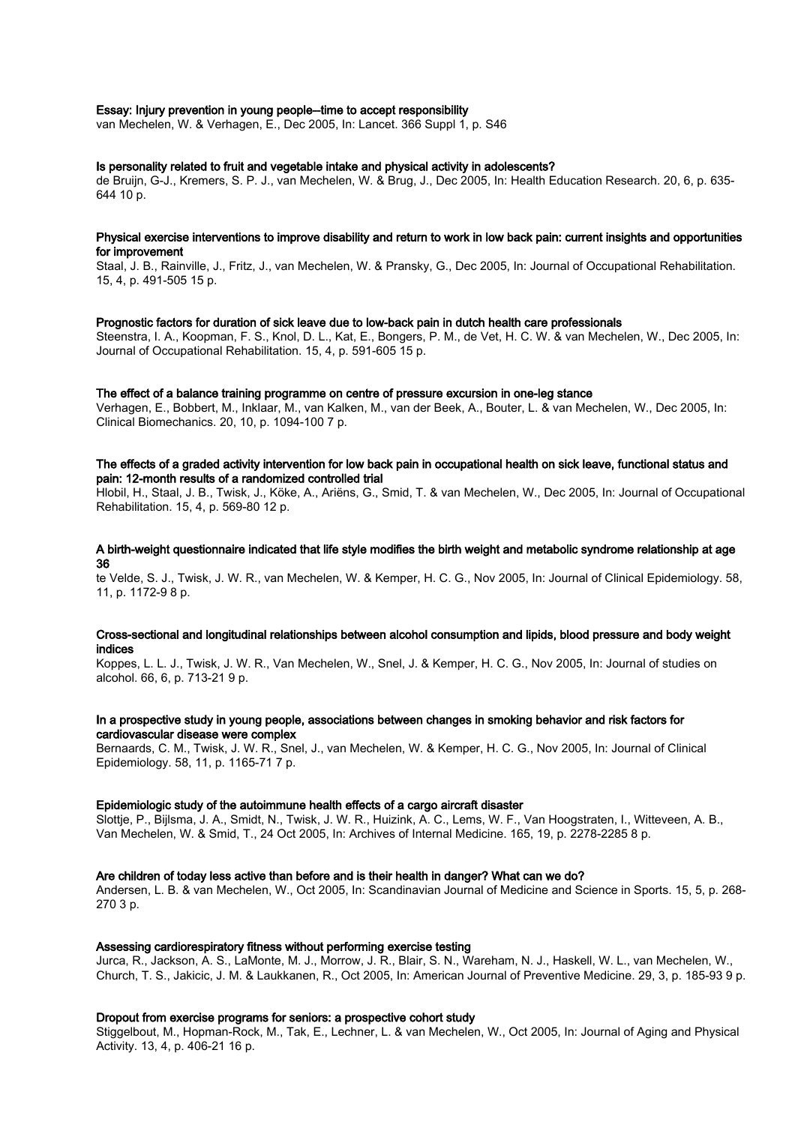# Essay: Injury prevention in young people--time to accept responsibility

van Mechelen, W. & Verhagen, E., Dec 2005, In: Lancet. 366 Suppl 1, p. S46

# Is personality related to fruit and vegetable intake and physical activity in adolescents?

de Bruijn, G-J., Kremers, S. P. J., van Mechelen, W. & Brug, J., Dec 2005, In: Health Education Research. 20, 6, p. 635- 644 10 p.

## Physical exercise interventions to improve disability and return to work in low back pain: current insights and opportunities for improvement

Staal, J. B., Rainville, J., Fritz, J., van Mechelen, W. & Pransky, G., Dec 2005, In: Journal of Occupational Rehabilitation. 15, 4, p. 491-505 15 p.

#### Prognostic factors for duration of sick leave due to low-back pain in dutch health care professionals

Steenstra, I. A., Koopman, F. S., Knol, D. L., Kat, E., Bongers, P. M., de Vet, H. C. W. & van Mechelen, W., Dec 2005, In: Journal of Occupational Rehabilitation. 15, 4, p. 591-605 15 p.

#### The effect of a balance training programme on centre of pressure excursion in one-leg stance

Verhagen, E., Bobbert, M., Inklaar, M., van Kalken, M., van der Beek, A., Bouter, L. & van Mechelen, W., Dec 2005, In: Clinical Biomechanics. 20, 10, p. 1094-100 7 p.

# The effects of a graded activity intervention for low back pain in occupational health on sick leave, functional status and pain: 12-month results of a randomized controlled trial

Hlobil, H., Staal, J. B., Twisk, J., Köke, A., Ariëns, G., Smid, T. & van Mechelen, W., Dec 2005, In: Journal of Occupational Rehabilitation. 15, 4, p. 569-80 12 p.

# A birth-weight questionnaire indicated that life style modifies the birth weight and metabolic syndrome relationship at age 36

te Velde, S. J., Twisk, J. W. R., van Mechelen, W. & Kemper, H. C. G., Nov 2005, In: Journal of Clinical Epidemiology. 58, 11, p. 1172-9 8 p.

# Cross-sectional and longitudinal relationships between alcohol consumption and lipids, blood pressure and body weight indices

Koppes, L. L. J., Twisk, J. W. R., Van Mechelen, W., Snel, J. & Kemper, H. C. G., Nov 2005, In: Journal of studies on alcohol. 66, 6, p. 713-21 9 p.

# In a prospective study in young people, associations between changes in smoking behavior and risk factors for cardiovascular disease were complex

Bernaards, C. M., Twisk, J. W. R., Snel, J., van Mechelen, W. & Kemper, H. C. G., Nov 2005, In: Journal of Clinical Epidemiology. 58, 11, p. 1165-71 7 p.

#### Epidemiologic study of the autoimmune health effects of a cargo aircraft disaster

Slottje, P., Bijlsma, J. A., Smidt, N., Twisk, J. W. R., Huizink, A. C., Lems, W. F., Van Hoogstraten, I., Witteveen, A. B., Van Mechelen, W. & Smid, T., 24 Oct 2005, In: Archives of Internal Medicine. 165, 19, p. 2278-2285 8 p.

#### Are children of today less active than before and is their health in danger? What can we do?

Andersen, L. B. & van Mechelen, W., Oct 2005, In: Scandinavian Journal of Medicine and Science in Sports. 15, 5, p. 268- 270 3 p.

# Assessing cardiorespiratory fitness without performing exercise testing

Jurca, R., Jackson, A. S., LaMonte, M. J., Morrow, J. R., Blair, S. N., Wareham, N. J., Haskell, W. L., van Mechelen, W., Church, T. S., Jakicic, J. M. & Laukkanen, R., Oct 2005, In: American Journal of Preventive Medicine. 29, 3, p. 185-93 9 p.

# Dropout from exercise programs for seniors: a prospective cohort study

Stiggelbout, M., Hopman-Rock, M., Tak, E., Lechner, L. & van Mechelen, W., Oct 2005, In: Journal of Aging and Physical Activity. 13, 4, p. 406-21 16 p.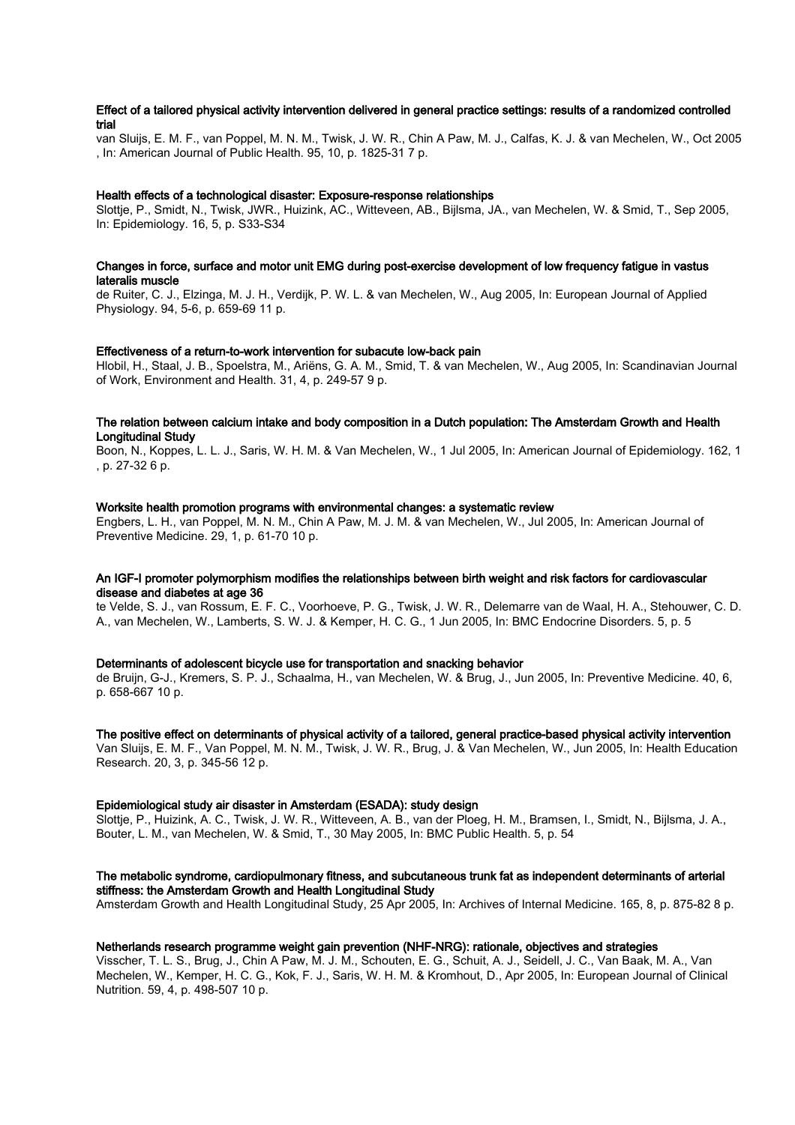# Effect of a tailored physical activity intervention delivered in general practice settings: results of a randomized controlled trial

van Sluijs, E. M. F., van Poppel, M. N. M., Twisk, J. W. R., Chin A Paw, M. J., Calfas, K. J. & van Mechelen, W., Oct 2005 , In: American Journal of Public Health. 95, 10, p. 1825-31 7 p.

#### Health effects of a technological disaster: Exposure-response relationships

Slottje, P., Smidt, N., Twisk, JWR., Huizink, AC., Witteveen, AB., Bijlsma, JA., van Mechelen, W. & Smid, T., Sep 2005, In: Epidemiology. 16, 5, p. S33-S34

## Changes in force, surface and motor unit EMG during post-exercise development of low frequency fatigue in vastus lateralis muscle

de Ruiter, C. J., Elzinga, M. J. H., Verdijk, P. W. L. & van Mechelen, W., Aug 2005, In: European Journal of Applied Physiology. 94, 5-6, p. 659-69 11 p.

## Effectiveness of a return-to-work intervention for subacute low-back pain

Hlobil, H., Staal, J. B., Spoelstra, M., Ariëns, G. A. M., Smid, T. & van Mechelen, W., Aug 2005, In: Scandinavian Journal of Work, Environment and Health. 31, 4, p. 249-57 9 p.

# The relation between calcium intake and body composition in a Dutch population: The Amsterdam Growth and Health Longitudinal Study

Boon, N., Koppes, L. L. J., Saris, W. H. M. & Van Mechelen, W., 1 Jul 2005, In: American Journal of Epidemiology. 162, 1 , p. 27-32 6 p.

#### Worksite health promotion programs with environmental changes: a systematic review

Engbers, L. H., van Poppel, M. N. M., Chin A Paw, M. J. M. & van Mechelen, W., Jul 2005, In: American Journal of Preventive Medicine. 29, 1, p. 61-70 10 p.

# An IGF-I promoter polymorphism modifies the relationships between birth weight and risk factors for cardiovascular disease and diabetes at age 36

te Velde, S. J., van Rossum, E. F. C., Voorhoeve, P. G., Twisk, J. W. R., Delemarre van de Waal, H. A., Stehouwer, C. D. A., van Mechelen, W., Lamberts, S. W. J. & Kemper, H. C. G., 1 Jun 2005, In: BMC Endocrine Disorders. 5, p. 5

#### Determinants of adolescent bicycle use for transportation and snacking behavior

de Bruijn, G-J., Kremers, S. P. J., Schaalma, H., van Mechelen, W. & Brug, J., Jun 2005, In: Preventive Medicine. 40, 6, p. 658-667 10 p.

#### The positive effect on determinants of physical activity of a tailored, general practice-based physical activity intervention

Van Sluijs, E. M. F., Van Poppel, M. N. M., Twisk, J. W. R., Brug, J. & Van Mechelen, W., Jun 2005, In: Health Education Research. 20, 3, p. 345-56 12 p.

#### Epidemiological study air disaster in Amsterdam (ESADA): study design

Slottje, P., Huizink, A. C., Twisk, J. W. R., Witteveen, A. B., van der Ploeg, H. M., Bramsen, I., Smidt, N., Bijlsma, J. A., Bouter, L. M., van Mechelen, W. & Smid, T., 30 May 2005, In: BMC Public Health. 5, p. 54

# The metabolic syndrome, cardiopulmonary fitness, and subcutaneous trunk fat as independent determinants of arterial stiffness: the Amsterdam Growth and Health Longitudinal Study

Amsterdam Growth and Health Longitudinal Study, 25 Apr 2005, In: Archives of Internal Medicine. 165, 8, p. 875-82 8 p.

# Netherlands research programme weight gain prevention (NHF-NRG): rationale, objectives and strategies

Visscher, T. L. S., Brug, J., Chin A Paw, M. J. M., Schouten, E. G., Schuit, A. J., Seidell, J. C., Van Baak, M. A., Van Mechelen, W., Kemper, H. C. G., Kok, F. J., Saris, W. H. M. & Kromhout, D., Apr 2005, In: European Journal of Clinical Nutrition. 59, 4, p. 498-507 10 p.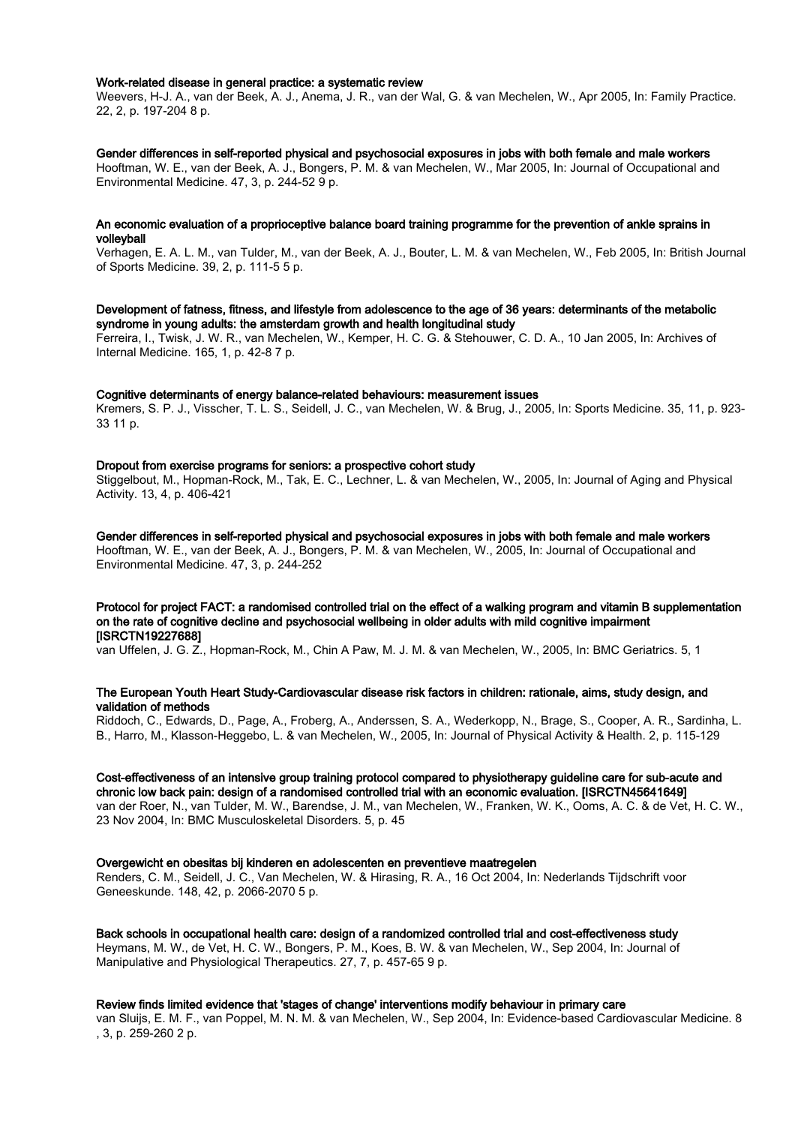#### Work-related disease in general practice: a systematic review

Weevers, H-J. A., van der Beek, A. J., Anema, J. R., van der Wal, G. & van Mechelen, W., Apr 2005, In: Family Practice. 22, 2, p. 197-204 8 p.

#### Gender differences in self-reported physical and psychosocial exposures in jobs with both female and male workers

Hooftman, W. E., van der Beek, A. J., Bongers, P. M. & van Mechelen, W., Mar 2005, In: Journal of Occupational and Environmental Medicine. 47, 3, p. 244-52 9 p.

#### An economic evaluation of a proprioceptive balance board training programme for the prevention of ankle sprains in volleyball

Verhagen, E. A. L. M., van Tulder, M., van der Beek, A. J., Bouter, L. M. & van Mechelen, W., Feb 2005, In: British Journal of Sports Medicine. 39, 2, p. 111-5 5 p.

# Development of fatness, fitness, and lifestyle from adolescence to the age of 36 years: determinants of the metabolic syndrome in young adults: the amsterdam growth and health longitudinal study

Ferreira, I., Twisk, J. W. R., van Mechelen, W., Kemper, H. C. G. & Stehouwer, C. D. A., 10 Jan 2005, In: Archives of Internal Medicine. 165, 1, p. 42-8 7 p.

#### Cognitive determinants of energy balance-related behaviours: measurement issues

Kremers, S. P. J., Visscher, T. L. S., Seidell, J. C., van Mechelen, W. & Brug, J., 2005, In: Sports Medicine. 35, 11, p. 923- 33 11 p.

# Dropout from exercise programs for seniors: a prospective cohort study

Stiggelbout, M., Hopman-Rock, M., Tak, E. C., Lechner, L. & van Mechelen, W., 2005, In: Journal of Aging and Physical Activity. 13, 4, p. 406-421

Gender differences in self-reported physical and psychosocial exposures in jobs with both female and male workers Hooftman, W. E., van der Beek, A. J., Bongers, P. M. & van Mechelen, W., 2005, In: Journal of Occupational and Environmental Medicine. 47, 3, p. 244-252

# Protocol for project FACT: a randomised controlled trial on the effect of a walking program and vitamin B supplementation on the rate of cognitive decline and psychosocial wellbeing in older adults with mild cognitive impairment [ISRCTN19227688]

van Uffelen, J. G. Z., Hopman-Rock, M., Chin A Paw, M. J. M. & van Mechelen, W., 2005, In: BMC Geriatrics. 5, 1

# The European Youth Heart Study-Cardiovascular disease risk factors in children: rationale, aims, study design, and validation of methods

Riddoch, C., Edwards, D., Page, A., Froberg, A., Anderssen, S. A., Wederkopp, N., Brage, S., Cooper, A. R., Sardinha, L. B., Harro, M., Klasson-Heggebo, L. & van Mechelen, W., 2005, In: Journal of Physical Activity & Health. 2, p. 115-129

#### Cost-effectiveness of an intensive group training protocol compared to physiotherapy guideline care for sub-acute and chronic low back pain: design of a randomised controlled trial with an economic evaluation. [ISRCTN45641649]

van der Roer, N., van Tulder, M. W., Barendse, J. M., van Mechelen, W., Franken, W. K., Ooms, A. C. & de Vet, H. C. W., 23 Nov 2004, In: BMC Musculoskeletal Disorders. 5, p. 45

#### Overgewicht en obesitas bij kinderen en adolescenten en preventieve maatregelen

Renders, C. M., Seidell, J. C., Van Mechelen, W. & Hirasing, R. A., 16 Oct 2004, In: Nederlands Tijdschrift voor Geneeskunde. 148, 42, p. 2066-2070 5 p.

#### Back schools in occupational health care: design of a randomized controlled trial and cost-effectiveness study

Heymans, M. W., de Vet, H. C. W., Bongers, P. M., Koes, B. W. & van Mechelen, W., Sep 2004, In: Journal of Manipulative and Physiological Therapeutics. 27, 7, p. 457-65 9 p.

#### Review finds limited evidence that 'stages of change' interventions modify behaviour in primary care

van Sluijs, E. M. F., van Poppel, M. N. M. & van Mechelen, W., Sep 2004, In: Evidence-based Cardiovascular Medicine. 8 , 3, p. 259-260 2 p.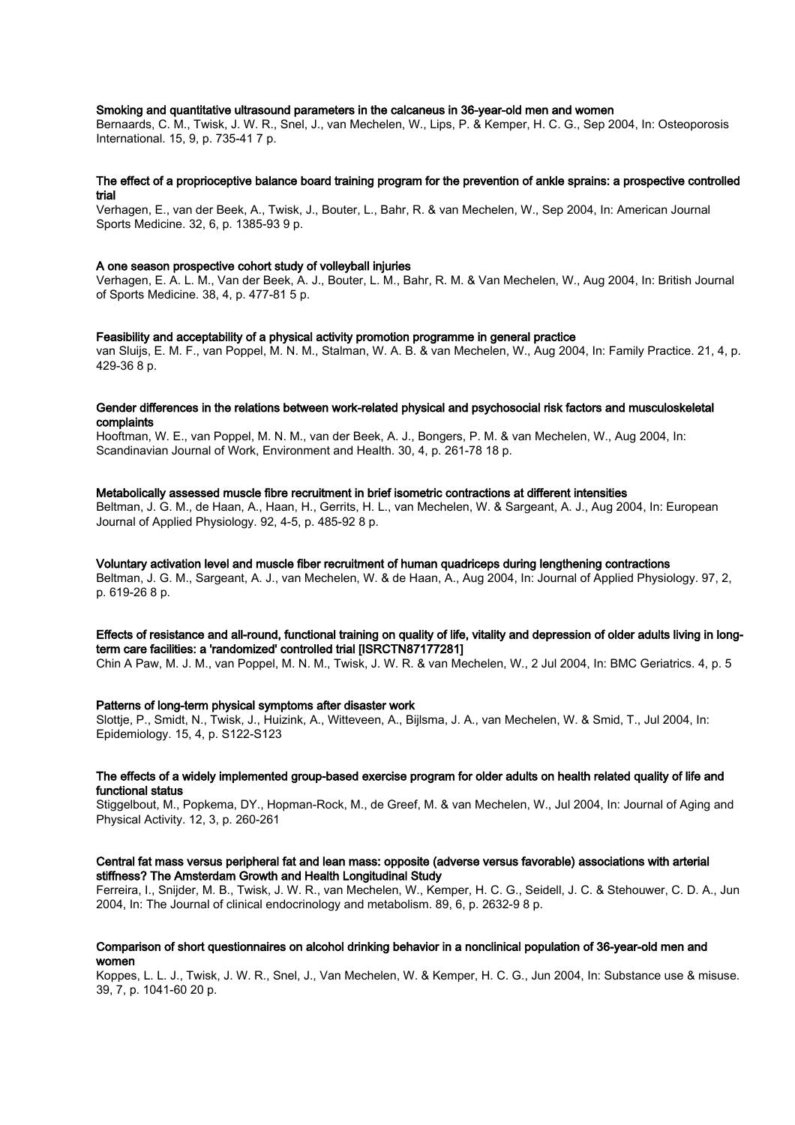## Smoking and quantitative ultrasound parameters in the calcaneus in 36-year-old men and women

Bernaards, C. M., Twisk, J. W. R., Snel, J., van Mechelen, W., Lips, P. & Kemper, H. C. G., Sep 2004, In: Osteoporosis International. 15, 9, p. 735-41 7 p.

#### The effect of a proprioceptive balance board training program for the prevention of ankle sprains: a prospective controlled trial

Verhagen, E., van der Beek, A., Twisk, J., Bouter, L., Bahr, R. & van Mechelen, W., Sep 2004, In: American Journal Sports Medicine. 32, 6, p. 1385-93 9 p.

#### A one season prospective cohort study of volleyball injuries

Verhagen, E. A. L. M., Van der Beek, A. J., Bouter, L. M., Bahr, R. M. & Van Mechelen, W., Aug 2004, In: British Journal of Sports Medicine. 38, 4, p. 477-81 5 p.

#### Feasibility and acceptability of a physical activity promotion programme in general practice

van Sluijs, E. M. F., van Poppel, M. N. M., Stalman, W. A. B. & van Mechelen, W., Aug 2004, In: Family Practice. 21, 4, p. 429-36 8 p.

## Gender differences in the relations between work-related physical and psychosocial risk factors and musculoskeletal complaints

Hooftman, W. E., van Poppel, M. N. M., van der Beek, A. J., Bongers, P. M. & van Mechelen, W., Aug 2004, In: Scandinavian Journal of Work, Environment and Health. 30, 4, p. 261-78 18 p.

#### Metabolically assessed muscle fibre recruitment in brief isometric contractions at different intensities

Beltman, J. G. M., de Haan, A., Haan, H., Gerrits, H. L., van Mechelen, W. & Sargeant, A. J., Aug 2004, In: European Journal of Applied Physiology. 92, 4-5, p. 485-92 8 p.

#### Voluntary activation level and muscle fiber recruitment of human quadriceps during lengthening contractions

Beltman, J. G. M., Sargeant, A. J., van Mechelen, W. & de Haan, A., Aug 2004, In: Journal of Applied Physiology. 97, 2, p. 619-26 8 p.

#### Effects of resistance and all-round, functional training on quality of life, vitality and depression of older adults living in longterm care facilities: a 'randomized' controlled trial [ISRCTN87177281]

Chin A Paw, M. J. M., van Poppel, M. N. M., Twisk, J. W. R. & van Mechelen, W., 2 Jul 2004, In: BMC Geriatrics. 4, p. 5

#### Patterns of long-term physical symptoms after disaster work

Slottje, P., Smidt, N., Twisk, J., Huizink, A., Witteveen, A., Bijlsma, J. A., van Mechelen, W. & Smid, T., Jul 2004, In: Epidemiology. 15, 4, p. S122-S123

#### The effects of a widely implemented group-based exercise program for older adults on health related quality of life and functional status

Stiggelbout, M., Popkema, DY., Hopman-Rock, M., de Greef, M. & van Mechelen, W., Jul 2004, In: Journal of Aging and Physical Activity. 12, 3, p. 260-261

#### Central fat mass versus peripheral fat and lean mass: opposite (adverse versus favorable) associations with arterial stiffness? The Amsterdam Growth and Health Longitudinal Study

Ferreira, I., Snijder, M. B., Twisk, J. W. R., van Mechelen, W., Kemper, H. C. G., Seidell, J. C. & Stehouwer, C. D. A., Jun 2004, In: The Journal of clinical endocrinology and metabolism. 89, 6, p. 2632-9 8 p.

## Comparison of short questionnaires on alcohol drinking behavior in a nonclinical population of 36-year-old men and women

Koppes, L. L. J., Twisk, J. W. R., Snel, J., Van Mechelen, W. & Kemper, H. C. G., Jun 2004, In: Substance use & misuse. 39, 7, p. 1041-60 20 p.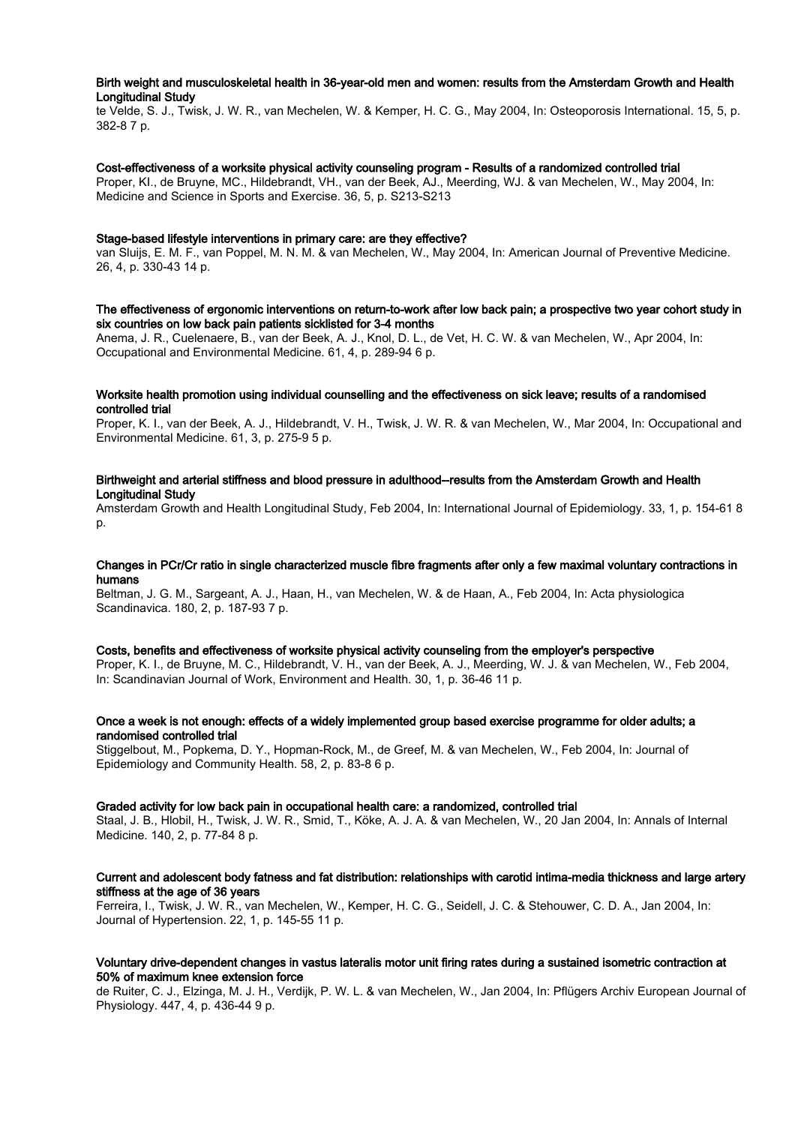# Birth weight and musculoskeletal health in 36-year-old men and women: results from the Amsterdam Growth and Health Longitudinal Study

te Velde, S. J., Twisk, J. W. R., van Mechelen, W. & Kemper, H. C. G., May 2004, In: Osteoporosis International. 15, 5, p. 382-8 7 p.

# Cost-effectiveness of a worksite physical activity counseling program - Results of a randomized controlled trial

Proper, KI., de Bruyne, MC., Hildebrandt, VH., van der Beek, AJ., Meerding, WJ. & van Mechelen, W., May 2004, In: Medicine and Science in Sports and Exercise. 36, 5, p. S213-S213

#### Stage-based lifestyle interventions in primary care: are they effective?

van Sluijs, E. M. F., van Poppel, M. N. M. & van Mechelen, W., May 2004, In: American Journal of Preventive Medicine. 26, 4, p. 330-43 14 p.

# The effectiveness of ergonomic interventions on return-to-work after low back pain; a prospective two year cohort study in six countries on low back pain patients sicklisted for 3-4 months

Anema, J. R., Cuelenaere, B., van der Beek, A. J., Knol, D. L., de Vet, H. C. W. & van Mechelen, W., Apr 2004, In: Occupational and Environmental Medicine. 61, 4, p. 289-94 6 p.

#### Worksite health promotion using individual counselling and the effectiveness on sick leave; results of a randomised controlled trial

Proper, K. I., van der Beek, A. J., Hildebrandt, V. H., Twisk, J. W. R. & van Mechelen, W., Mar 2004, In: Occupational and Environmental Medicine. 61, 3, p. 275-9 5 p.

## Birthweight and arterial stiffness and blood pressure in adulthood--results from the Amsterdam Growth and Health Longitudinal Study

Amsterdam Growth and Health Longitudinal Study, Feb 2004, In: International Journal of Epidemiology. 33, 1, p. 154-61 8  $\mathsf{D}$ .

## Changes in PCr/Cr ratio in single characterized muscle fibre fragments after only a few maximal voluntary contractions in humans

Beltman, J. G. M., Sargeant, A. J., Haan, H., van Mechelen, W. & de Haan, A., Feb 2004, In: Acta physiologica Scandinavica. 180, 2, p. 187-93 7 p.

# Costs, benefits and effectiveness of worksite physical activity counseling from the employer's perspective

Proper, K. I., de Bruyne, M. C., Hildebrandt, V. H., van der Beek, A. J., Meerding, W. J. & van Mechelen, W., Feb 2004, In: Scandinavian Journal of Work, Environment and Health. 30, 1, p. 36-46 11 p.

# Once a week is not enough: effects of a widely implemented group based exercise programme for older adults; a randomised controlled trial

Stiggelbout, M., Popkema, D. Y., Hopman-Rock, M., de Greef, M. & van Mechelen, W., Feb 2004, In: Journal of Epidemiology and Community Health. 58, 2, p. 83-8 6 p.

#### Graded activity for low back pain in occupational health care: a randomized, controlled trial

Staal, J. B., Hlobil, H., Twisk, J. W. R., Smid, T., Köke, A. J. A. & van Mechelen, W., 20 Jan 2004, In: Annals of Internal Medicine. 140, 2, p. 77-84 8 p.

# Current and adolescent body fatness and fat distribution: relationships with carotid intima-media thickness and large artery stiffness at the age of 36 years

Ferreira, I., Twisk, J. W. R., van Mechelen, W., Kemper, H. C. G., Seidell, J. C. & Stehouwer, C. D. A., Jan 2004, In: Journal of Hypertension. 22, 1, p. 145-55 11 p.

#### Voluntary drive-dependent changes in vastus lateralis motor unit firing rates during a sustained isometric contraction at 50% of maximum knee extension force

de Ruiter, C. J., Elzinga, M. J. H., Verdijk, P. W. L. & van Mechelen, W., Jan 2004, In: Pflügers Archiv European Journal of Physiology. 447, 4, p. 436-44 9 p.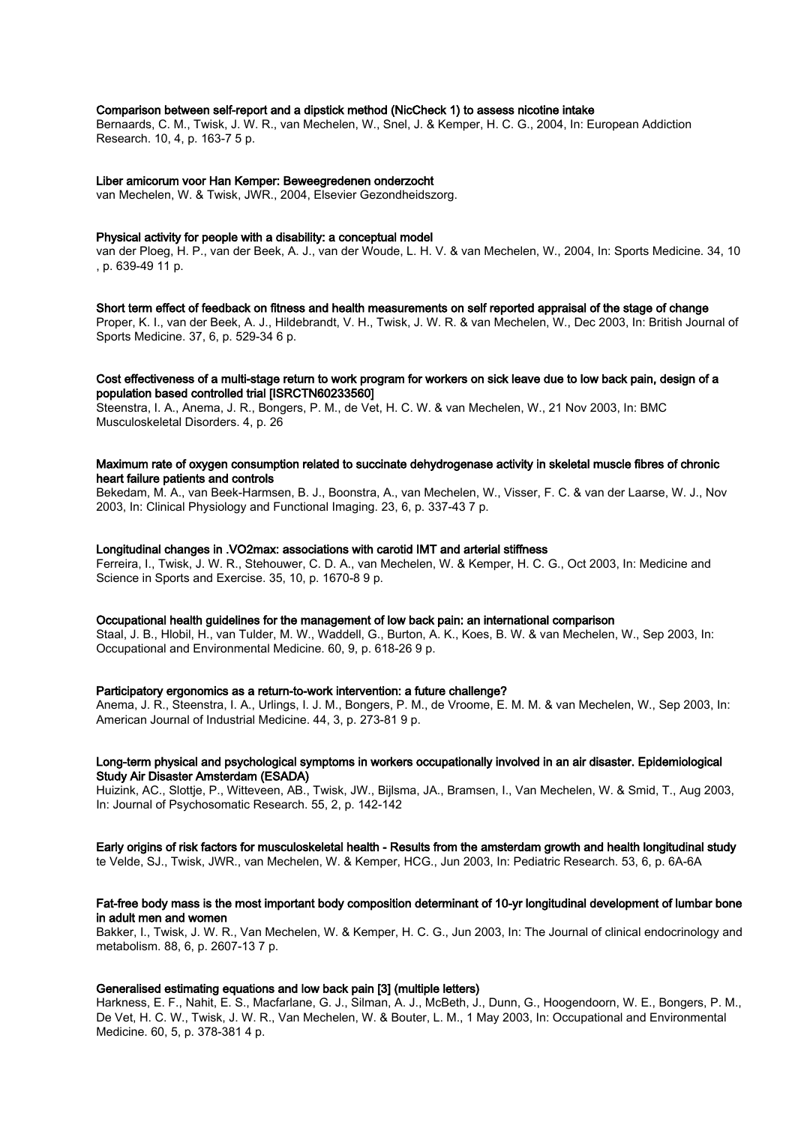# Comparison between self-report and a dipstick method (NicCheck 1) to assess nicotine intake

Bernaards, C. M., Twisk, J. W. R., van Mechelen, W., Snel, J. & Kemper, H. C. G., 2004, In: European Addiction Research. 10, 4, p. 163-7 5 p.

#### Liber amicorum voor Han Kemper: Beweegredenen onderzocht

van Mechelen, W. & Twisk, JWR., 2004, Elsevier Gezondheidszorg.

#### Physical activity for people with a disability: a conceptual model

van der Ploeg, H. P., van der Beek, A. J., van der Woude, L. H. V. & van Mechelen, W., 2004, In: Sports Medicine. 34, 10 , p. 639-49 11 p.

#### Short term effect of feedback on fitness and health measurements on self reported appraisal of the stage of change

Proper, K. I., van der Beek, A. J., Hildebrandt, V. H., Twisk, J. W. R. & van Mechelen, W., Dec 2003, In: British Journal of Sports Medicine. 37, 6, p. 529-34 6 p.

# Cost effectiveness of a multi-stage return to work program for workers on sick leave due to low back pain, design of a population based controlled trial [ISRCTN60233560]

Steenstra, I. A., Anema, J. R., Bongers, P. M., de Vet, H. C. W. & van Mechelen, W., 21 Nov 2003, In: BMC Musculoskeletal Disorders. 4, p. 26

# Maximum rate of oxygen consumption related to succinate dehydrogenase activity in skeletal muscle fibres of chronic heart failure patients and controls

Bekedam, M. A., van Beek-Harmsen, B. J., Boonstra, A., van Mechelen, W., Visser, F. C. & van der Laarse, W. J., Nov 2003, In: Clinical Physiology and Functional Imaging. 23, 6, p. 337-43 7 p.

#### Longitudinal changes in .VO2max: associations with carotid IMT and arterial stiffness

Ferreira, I., Twisk, J. W. R., Stehouwer, C. D. A., van Mechelen, W. & Kemper, H. C. G., Oct 2003, In: Medicine and Science in Sports and Exercise. 35, 10, p. 1670-8 9 p.

# Occupational health guidelines for the management of low back pain: an international comparison

Staal, J. B., Hlobil, H., van Tulder, M. W., Waddell, G., Burton, A. K., Koes, B. W. & van Mechelen, W., Sep 2003, In: Occupational and Environmental Medicine. 60, 9, p. 618-26 9 p.

#### Participatory ergonomics as a return-to-work intervention: a future challenge?

Anema, J. R., Steenstra, I. A., Urlings, I. J. M., Bongers, P. M., de Vroome, E. M. M. & van Mechelen, W., Sep 2003, In: American Journal of Industrial Medicine. 44, 3, p. 273-81 9 p.

#### Long-term physical and psychological symptoms in workers occupationally involved in an air disaster. Epidemiological Study Air Disaster Amsterdam (ESADA)

Huizink, AC., Slottje, P., Witteveen, AB., Twisk, JW., Bijlsma, JA., Bramsen, I., Van Mechelen, W. & Smid, T., Aug 2003, In: Journal of Psychosomatic Research. 55, 2, p. 142-142

#### Early origins of risk factors for musculoskeletal health - Results from the amsterdam growth and health longitudinal study

te Velde, SJ., Twisk, JWR., van Mechelen, W. & Kemper, HCG., Jun 2003, In: Pediatric Research. 53, 6, p. 6A-6A

## Fat-free body mass is the most important body composition determinant of 10-yr longitudinal development of lumbar bone in adult men and women

Bakker, I., Twisk, J. W. R., Van Mechelen, W. & Kemper, H. C. G., Jun 2003, In: The Journal of clinical endocrinology and metabolism. 88, 6, p. 2607-13 7 p.

#### Generalised estimating equations and low back pain [3] (multiple letters)

Harkness, E. F., Nahit, E. S., Macfarlane, G. J., Silman, A. J., McBeth, J., Dunn, G., Hoogendoorn, W. E., Bongers, P. M., De Vet, H. C. W., Twisk, J. W. R., Van Mechelen, W. & Bouter, L. M., 1 May 2003, In: Occupational and Environmental Medicine. 60, 5, p. 378-381 4 p.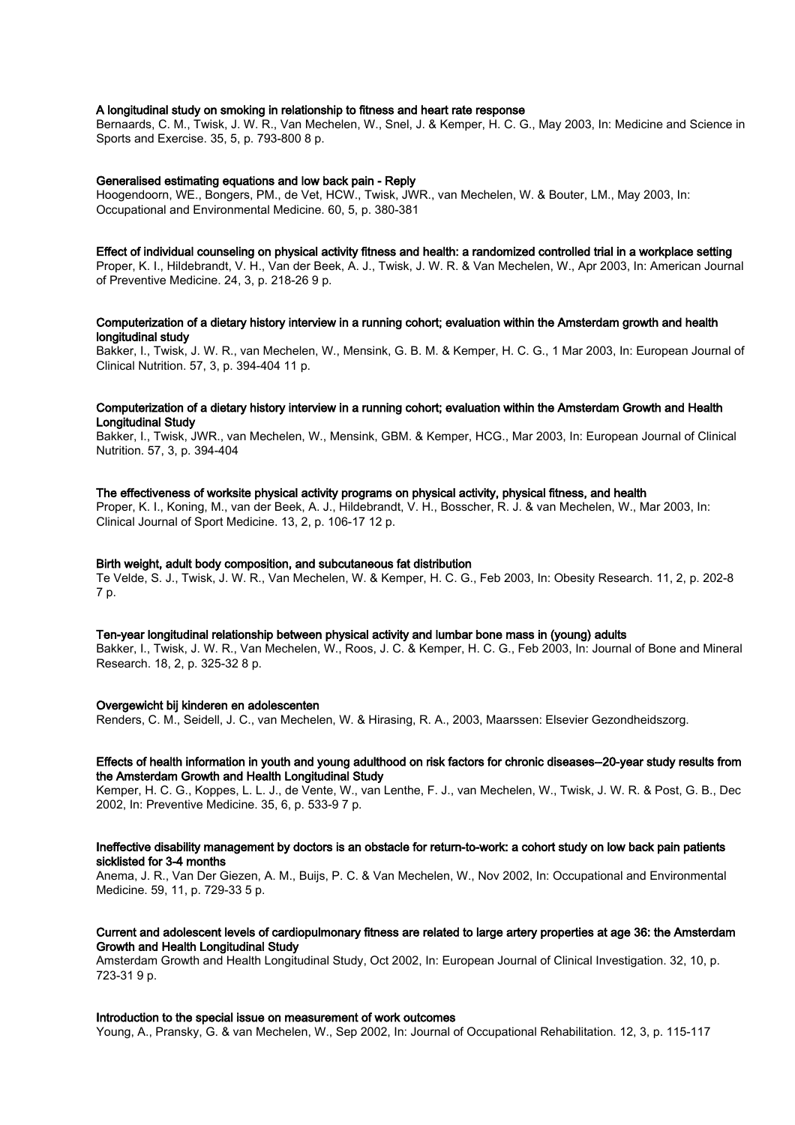# A longitudinal study on smoking in relationship to fitness and heart rate response

Bernaards, C. M., Twisk, J. W. R., Van Mechelen, W., Snel, J. & Kemper, H. C. G., May 2003, In: Medicine and Science in Sports and Exercise. 35, 5, p. 793-800 8 p.

#### Generalised estimating equations and low back pain - Reply

Hoogendoorn, WE., Bongers, PM., de Vet, HCW., Twisk, JWR., van Mechelen, W. & Bouter, LM., May 2003, In: Occupational and Environmental Medicine. 60, 5, p. 380-381

#### Effect of individual counseling on physical activity fitness and health: a randomized controlled trial in a workplace setting

Proper, K. I., Hildebrandt, V. H., Van der Beek, A. J., Twisk, J. W. R. & Van Mechelen, W., Apr 2003, In: American Journal of Preventive Medicine. 24, 3, p. 218-26 9 p.

## Computerization of a dietary history interview in a running cohort; evaluation within the Amsterdam growth and health longitudinal study

Bakker, I., Twisk, J. W. R., van Mechelen, W., Mensink, G. B. M. & Kemper, H. C. G., 1 Mar 2003, In: European Journal of Clinical Nutrition. 57, 3, p. 394-404 11 p.

#### Computerization of a dietary history interview in a running cohort; evaluation within the Amsterdam Growth and Health Longitudinal Study

Bakker, I., Twisk, JWR., van Mechelen, W., Mensink, GBM. & Kemper, HCG., Mar 2003, In: European Journal of Clinical Nutrition. 57, 3, p. 394-404

#### The effectiveness of worksite physical activity programs on physical activity, physical fitness, and health

Proper, K. I., Koning, M., van der Beek, A. J., Hildebrandt, V. H., Bosscher, R. J. & van Mechelen, W., Mar 2003, In: Clinical Journal of Sport Medicine. 13, 2, p. 106-17 12 p.

# Birth weight, adult body composition, and subcutaneous fat distribution

Te Velde, S. J., Twisk, J. W. R., Van Mechelen, W. & Kemper, H. C. G., Feb 2003, In: Obesity Research. 11, 2, p. 202-8 7 p.

## Ten-year longitudinal relationship between physical activity and lumbar bone mass in (young) adults

Bakker, I., Twisk, J. W. R., Van Mechelen, W., Roos, J. C. & Kemper, H. C. G., Feb 2003, In: Journal of Bone and Mineral Research. 18, 2, p. 325-32 8 p.

#### Overgewicht bij kinderen en adolescenten

Renders, C. M., Seidell, J. C., van Mechelen, W. & Hirasing, R. A., 2003, Maarssen: Elsevier Gezondheidszorg.

# Effects of health information in youth and young adulthood on risk factors for chronic diseases--20-year study results from the Amsterdam Growth and Health Longitudinal Study

Kemper, H. C. G., Koppes, L. L. J., de Vente, W., van Lenthe, F. J., van Mechelen, W., Twisk, J. W. R. & Post, G. B., Dec 2002, In: Preventive Medicine. 35, 6, p. 533-9 7 p.

### Ineffective disability management by doctors is an obstacle for return-to-work: a cohort study on low back pain patients sicklisted for 3-4 months

Anema, J. R., Van Der Giezen, A. M., Buijs, P. C. & Van Mechelen, W., Nov 2002, In: Occupational and Environmental Medicine. 59, 11, p. 729-33 5 p.

# Current and adolescent levels of cardiopulmonary fitness are related to large artery properties at age 36: the Amsterdam Growth and Health Longitudinal Study

Amsterdam Growth and Health Longitudinal Study, Oct 2002, In: European Journal of Clinical Investigation. 32, 10, p. 723-31 9 p.

#### Introduction to the special issue on measurement of work outcomes

Young, A., Pransky, G. & van Mechelen, W., Sep 2002, In: Journal of Occupational Rehabilitation. 12, 3, p. 115-117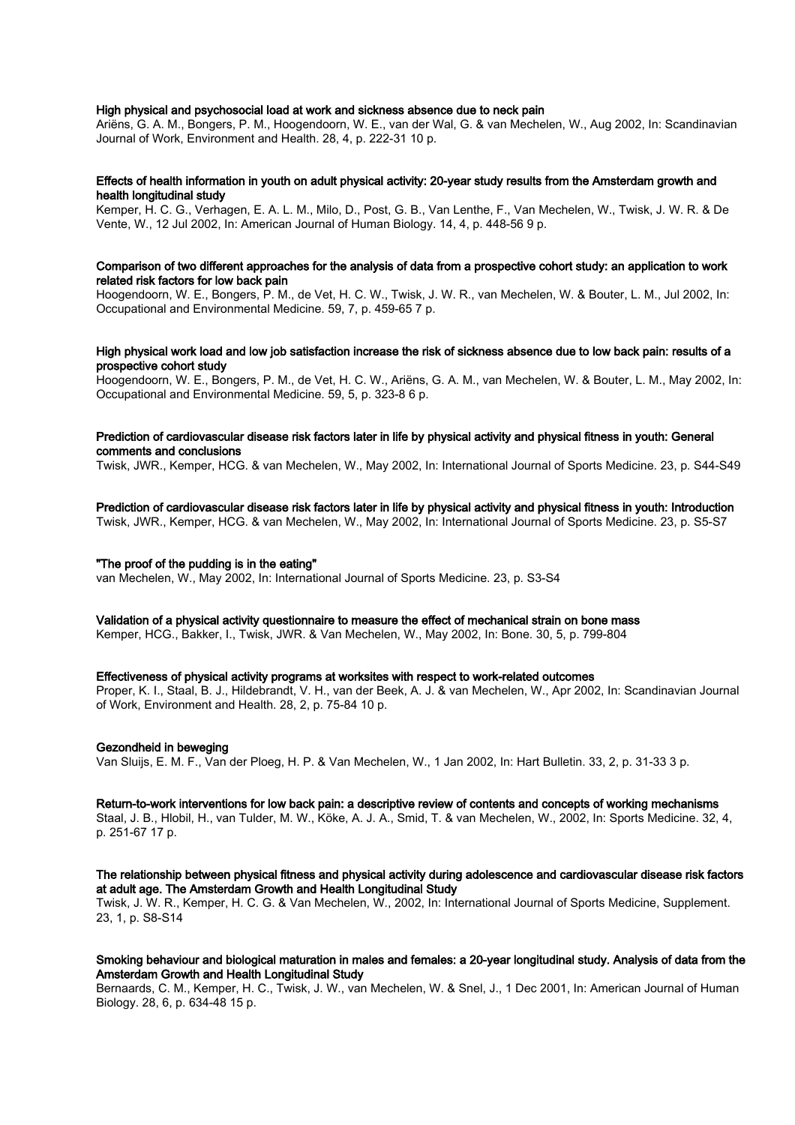## High physical and psychosocial load at work and sickness absence due to neck pain

Ariëns, G. A. M., Bongers, P. M., Hoogendoorn, W. E., van der Wal, G. & van Mechelen, W., Aug 2002, In: Scandinavian Journal of Work, Environment and Health. 28, 4, p. 222-31 10 p.

#### Effects of health information in youth on adult physical activity: 20-year study results from the Amsterdam growth and health longitudinal study

Kemper, H. C. G., Verhagen, E. A. L. M., Milo, D., Post, G. B., Van Lenthe, F., Van Mechelen, W., Twisk, J. W. R. & De Vente, W., 12 Jul 2002, In: American Journal of Human Biology. 14, 4, p. 448-56 9 p.

# Comparison of two different approaches for the analysis of data from a prospective cohort study: an application to work related risk factors for low back pain

Hoogendoorn, W. E., Bongers, P. M., de Vet, H. C. W., Twisk, J. W. R., van Mechelen, W. & Bouter, L. M., Jul 2002, In: Occupational and Environmental Medicine. 59, 7, p. 459-65 7 p.

#### High physical work load and low job satisfaction increase the risk of sickness absence due to low back pain: results of a prospective cohort study

Hoogendoorn, W. E., Bongers, P. M., de Vet, H. C. W., Ariëns, G. A. M., van Mechelen, W. & Bouter, L. M., May 2002, In: Occupational and Environmental Medicine. 59, 5, p. 323-8 6 p.

#### Prediction of cardiovascular disease risk factors later in life by physical activity and physical fitness in youth: General comments and conclusions

Twisk, JWR., Kemper, HCG. & van Mechelen, W., May 2002, In: International Journal of Sports Medicine. 23, p. S44-S49

# Prediction of cardiovascular disease risk factors later in life by physical activity and physical fitness in youth: Introduction

Twisk, JWR., Kemper, HCG. & van Mechelen, W., May 2002, In: International Journal of Sports Medicine. 23, p. S5-S7

# "The proof of the pudding is in the eating"

van Mechelen, W., May 2002, In: International Journal of Sports Medicine. 23, p. S3-S4

#### Validation of a physical activity questionnaire to measure the effect of mechanical strain on bone mass

Kemper, HCG., Bakker, I., Twisk, JWR. & Van Mechelen, W., May 2002, In: Bone. 30, 5, p. 799-804

#### Effectiveness of physical activity programs at worksites with respect to work-related outcomes

Proper, K. I., Staal, B. J., Hildebrandt, V. H., van der Beek, A. J. & van Mechelen, W., Apr 2002, In: Scandinavian Journal of Work, Environment and Health. 28, 2, p. 75-84 10 p.

#### Gezondheid in beweging

Van Sluijs, E. M. F., Van der Ploeg, H. P. & Van Mechelen, W., 1 Jan 2002, In: Hart Bulletin. 33, 2, p. 31-33 3 p.

## Return-to-work interventions for low back pain: a descriptive review of contents and concepts of working mechanisms

Staal, J. B., Hlobil, H., van Tulder, M. W., Köke, A. J. A., Smid, T. & van Mechelen, W., 2002, In: Sports Medicine. 32, 4, p. 251-67 17 p.

#### The relationship between physical fitness and physical activity during adolescence and cardiovascular disease risk factors at adult age. The Amsterdam Growth and Health Longitudinal Study

Twisk, J. W. R., Kemper, H. C. G. & Van Mechelen, W., 2002, In: International Journal of Sports Medicine, Supplement. 23, 1, p. S8-S14

## Smoking behaviour and biological maturation in males and females: a 20-year longitudinal study. Analysis of data from the Amsterdam Growth and Health Longitudinal Study

Bernaards, C. M., Kemper, H. C., Twisk, J. W., van Mechelen, W. & Snel, J., 1 Dec 2001, In: American Journal of Human Biology. 28, 6, p. 634-48 15 p.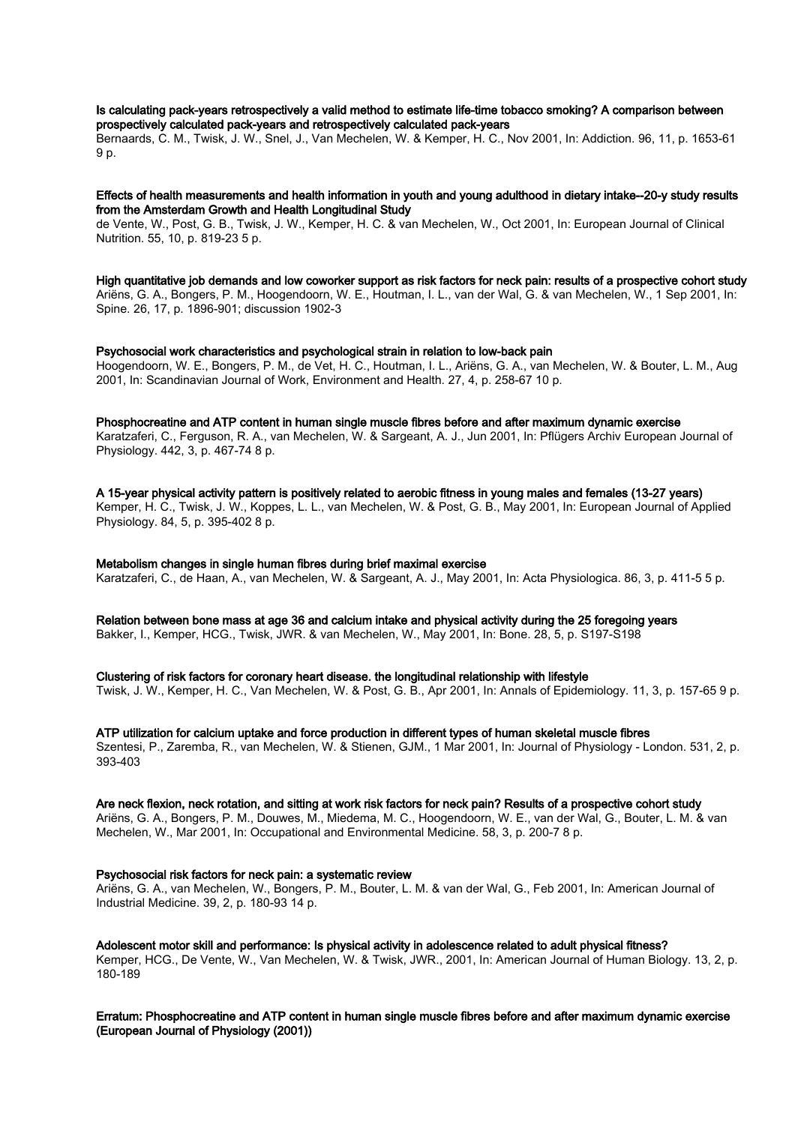# Is calculating pack-years retrospectively a valid method to estimate life-time tobacco smoking? A comparison between prospectively calculated pack-years and retrospectively calculated pack-years

Bernaards, C. M., Twisk, J. W., Snel, J., Van Mechelen, W. & Kemper, H. C., Nov 2001, In: Addiction. 96, 11, p. 1653-61 9 p.

## Effects of health measurements and health information in youth and young adulthood in dietary intake--20-y study results from the Amsterdam Growth and Health Longitudinal Study

de Vente, W., Post, G. B., Twisk, J. W., Kemper, H. C. & van Mechelen, W., Oct 2001, In: European Journal of Clinical Nutrition. 55, 10, p. 819-23 5 p.

High quantitative job demands and low coworker support as risk factors for neck pain: results of a prospective cohort study Ariëns, G. A., Bongers, P. M., Hoogendoorn, W. E., Houtman, I. L., van der Wal, G. & van Mechelen, W., 1 Sep 2001, In: Spine. 26, 17, p. 1896-901; discussion 1902-3

## Psychosocial work characteristics and psychological strain in relation to low-back pain

Hoogendoorn, W. E., Bongers, P. M., de Vet, H. C., Houtman, I. L., Ariëns, G. A., van Mechelen, W. & Bouter, L. M., Aug 2001, In: Scandinavian Journal of Work, Environment and Health. 27, 4, p. 258-67 10 p.

Phosphocreatine and ATP content in human single muscle fibres before and after maximum dynamic exercise

Karatzaferi, C., Ferguson, R. A., van Mechelen, W. & Sargeant, A. J., Jun 2001, In: Pflügers Archiv European Journal of Physiology. 442, 3, p. 467-74 8 p.

A 15-year physical activity pattern is positively related to aerobic fitness in young males and females (13-27 years)

Kemper, H. C., Twisk, J. W., Koppes, L. L., van Mechelen, W. & Post, G. B., May 2001, In: European Journal of Applied Physiology. 84, 5, p. 395-402 8 p.

# Metabolism changes in single human fibres during brief maximal exercise

Karatzaferi, C., de Haan, A., van Mechelen, W. & Sargeant, A. J., May 2001, In: Acta Physiologica. 86, 3, p. 411-5 5 p.

Relation between bone mass at age 36 and calcium intake and physical activity during the 25 foregoing years Bakker, I., Kemper, HCG., Twisk, JWR. & van Mechelen, W., May 2001, In: Bone. 28, 5, p. S197-S198

# Clustering of risk factors for coronary heart disease. the longitudinal relationship with lifestyle

Twisk, J. W., Kemper, H. C., Van Mechelen, W. & Post, G. B., Apr 2001, In: Annals of Epidemiology. 11, 3, p. 157-65 9 p.

ATP utilization for calcium uptake and force production in different types of human skeletal muscle fibres Szentesi, P., Zaremba, R., van Mechelen, W. & Stienen, GJM., 1 Mar 2001, In: Journal of Physiology - London. 531, 2, p. 393-403

#### Are neck flexion, neck rotation, and sitting at work risk factors for neck pain? Results of a prospective cohort study

Ariëns, G. A., Bongers, P. M., Douwes, M., Miedema, M. C., Hoogendoorn, W. E., van der Wal, G., Bouter, L. M. & van Mechelen, W., Mar 2001, In: Occupational and Environmental Medicine. 58, 3, p. 200-7 8 p.

#### Psychosocial risk factors for neck pain: a systematic review

Ariëns, G. A., van Mechelen, W., Bongers, P. M., Bouter, L. M. & van der Wal, G., Feb 2001, In: American Journal of Industrial Medicine. 39, 2, p. 180-93 14 p.

Adolescent motor skill and performance: Is physical activity in adolescence related to adult physical fitness? Kemper, HCG., De Vente, W., Van Mechelen, W. & Twisk, JWR., 2001, In: American Journal of Human Biology. 13, 2, p. 180-189

Erratum: Phosphocreatine and ATP content in human single muscle fibres before and after maximum dynamic exercise (European Journal of Physiology (2001))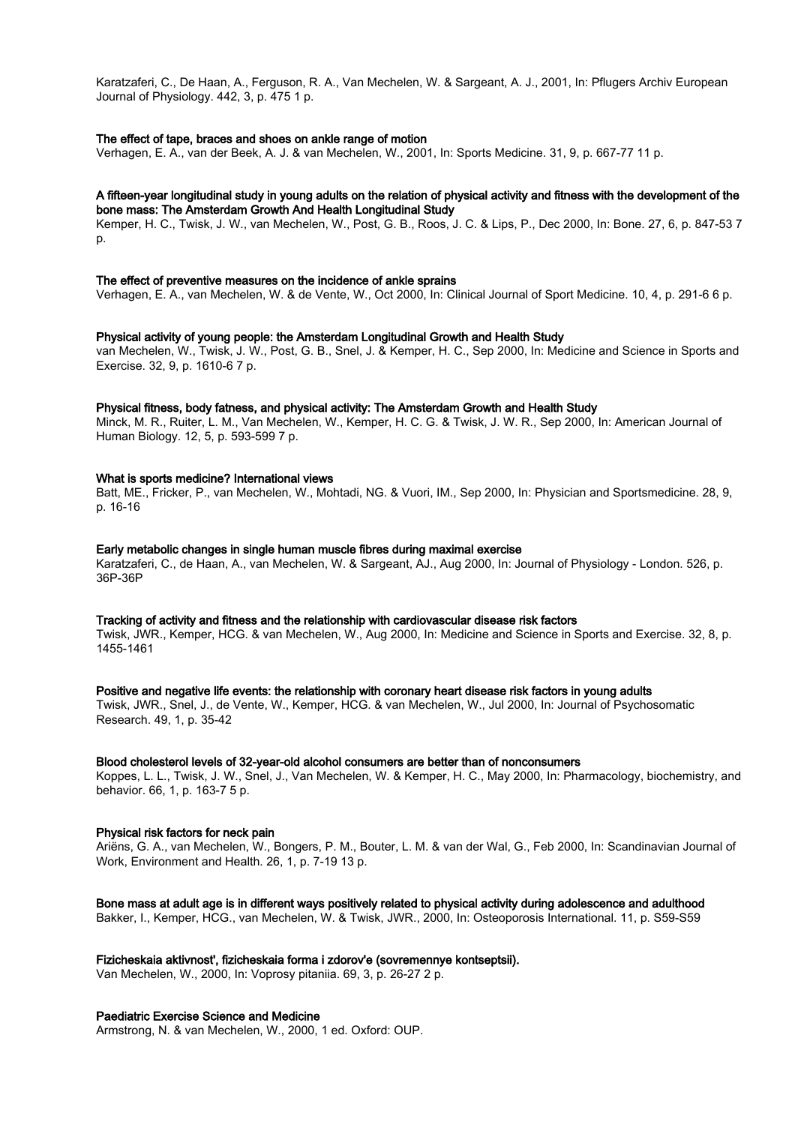Karatzaferi, C., De Haan, A., Ferguson, R. A., Van Mechelen, W. & Sargeant, A. J., 2001, In: Pflugers Archiv European Journal of Physiology. 442, 3, p. 475 1 p.

## The effect of tape, braces and shoes on ankle range of motion

Verhagen, E. A., van der Beek, A. J. & van Mechelen, W., 2001, In: Sports Medicine. 31, 9, p. 667-77 11 p.

#### A fifteen-year longitudinal study in young adults on the relation of physical activity and fitness with the development of the bone mass: The Amsterdam Growth And Health Longitudinal Study

Kemper, H. C., Twisk, J. W., van Mechelen, W., Post, G. B., Roos, J. C. & Lips, P., Dec 2000, In: Bone. 27, 6, p. 847-53 7 p.

#### The effect of preventive measures on the incidence of ankle sprains

Verhagen, E. A., van Mechelen, W. & de Vente, W., Oct 2000, In: Clinical Journal of Sport Medicine. 10, 4, p. 291-6 6 p.

#### Physical activity of young people: the Amsterdam Longitudinal Growth and Health Study

van Mechelen, W., Twisk, J. W., Post, G. B., Snel, J. & Kemper, H. C., Sep 2000, In: Medicine and Science in Sports and Exercise. 32, 9, p. 1610-6 7 p.

#### Physical fitness, body fatness, and physical activity: The Amsterdam Growth and Health Study

Minck, M. R., Ruiter, L. M., Van Mechelen, W., Kemper, H. C. G. & Twisk, J. W. R., Sep 2000, In: American Journal of Human Biology. 12, 5, p. 593-599 7 p.

#### What is sports medicine? International views

Batt, ME., Fricker, P., van Mechelen, W., Mohtadi, NG. & Vuori, IM., Sep 2000, In: Physician and Sportsmedicine. 28, 9, p. 16-16

#### Early metabolic changes in single human muscle fibres during maximal exercise

Karatzaferi, C., de Haan, A., van Mechelen, W. & Sargeant, AJ., Aug 2000, In: Journal of Physiology - London. 526, p. 36P-36P

# Tracking of activity and fitness and the relationship with cardiovascular disease risk factors

Twisk, JWR., Kemper, HCG. & van Mechelen, W., Aug 2000, In: Medicine and Science in Sports and Exercise. 32, 8, p. 1455-1461

#### Positive and negative life events: the relationship with coronary heart disease risk factors in young adults

Twisk, JWR., Snel, J., de Vente, W., Kemper, HCG. & van Mechelen, W., Jul 2000, In: Journal of Psychosomatic Research. 49, 1, p. 35-42

#### Blood cholesterol levels of 32-year-old alcohol consumers are better than of nonconsumers

Koppes, L. L., Twisk, J. W., Snel, J., Van Mechelen, W. & Kemper, H. C., May 2000, In: Pharmacology, biochemistry, and behavior. 66, 1, p. 163-7 5 p.

#### Physical risk factors for neck pain

Ariëns, G. A., van Mechelen, W., Bongers, P. M., Bouter, L. M. & van der Wal, G., Feb 2000, In: Scandinavian Journal of Work, Environment and Health. 26, 1, p. 7-19 13 p.

#### Bone mass at adult age is in different ways positively related to physical activity during adolescence and adulthood

Bakker, I., Kemper, HCG., van Mechelen, W. & Twisk, JWR., 2000, In: Osteoporosis International. 11, p. S59-S59

#### Fizicheskaia aktivnost', fizicheskaia forma i zdorov'e (sovremennye kontseptsii).

Van Mechelen, W., 2000, In: Voprosy pitaniia. 69, 3, p. 26-27 2 p.

# Paediatric Exercise Science and Medicine

Armstrong, N. & van Mechelen, W., 2000, 1 ed. Oxford: OUP.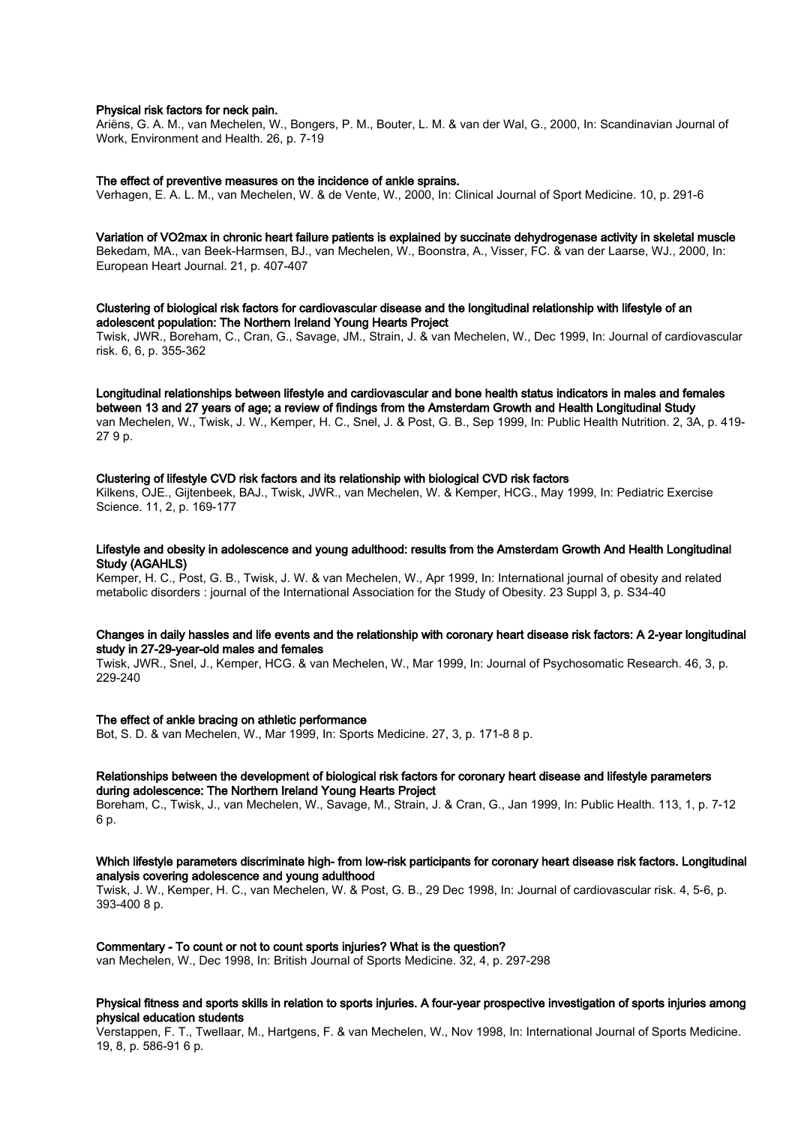#### Physical risk factors for neck pain.

Ariëns, G. A. M., van Mechelen, W., Bongers, P. M., Bouter, L. M. & van der Wal, G., 2000, In: Scandinavian Journal of Work, Environment and Health. 26, p. 7-19

#### The effect of preventive measures on the incidence of ankle sprains.

Verhagen, E. A. L. M., van Mechelen, W. & de Vente, W., 2000, In: Clinical Journal of Sport Medicine. 10, p. 291-6

# Variation of VO2max in chronic heart failure patients is explained by succinate dehydrogenase activity in skeletal muscle

Bekedam, MA., van Beek-Harmsen, BJ., van Mechelen, W., Boonstra, A., Visser, FC. & van der Laarse, WJ., 2000, In: European Heart Journal. 21, p. 407-407

Clustering of biological risk factors for cardiovascular disease and the longitudinal relationship with lifestyle of an adolescent population: The Northern Ireland Young Hearts Project Twisk, JWR., Boreham, C., Cran, G., Savage, JM., Strain, J. & van Mechelen, W., Dec 1999, In: Journal of cardiovascular

risk. 6, 6, p. 355-362

Longitudinal relationships between lifestyle and cardiovascular and bone health status indicators in males and females between 13 and 27 years of age; a review of findings from the Amsterdam Growth and Health Longitudinal Study van Mechelen, W., Twisk, J. W., Kemper, H. C., Snel, J. & Post, G. B., Sep 1999, In: Public Health Nutrition. 2, 3A, p. 419- 27 9 p.

## Clustering of lifestyle CVD risk factors and its relationship with biological CVD risk factors

Kilkens, OJE., Gijtenbeek, BAJ., Twisk, JWR., van Mechelen, W. & Kemper, HCG., May 1999, In: Pediatric Exercise Science. 11, 2, p. 169-177

# Lifestyle and obesity in adolescence and young adulthood: results from the Amsterdam Growth And Health Longitudinal Study (AGAHLS)

Kemper, H. C., Post, G. B., Twisk, J. W. & van Mechelen, W., Apr 1999, In: International journal of obesity and related metabolic disorders : journal of the International Association for the Study of Obesity. 23 Suppl 3, p. S34-40

#### Changes in daily hassles and life events and the relationship with coronary heart disease risk factors: A 2-year longitudinal study in 27-29-year-old males and females

Twisk, JWR., Snel, J., Kemper, HCG. & van Mechelen, W., Mar 1999, In: Journal of Psychosomatic Research. 46, 3, p. 229-240

#### The effect of ankle bracing on athletic performance

Bot, S. D. & van Mechelen, W., Mar 1999, In: Sports Medicine. 27, 3, p. 171-8 8 p.

## Relationships between the development of biological risk factors for coronary heart disease and lifestyle parameters during adolescence: The Northern Ireland Young Hearts Project

Boreham, C., Twisk, J., van Mechelen, W., Savage, M., Strain, J. & Cran, G., Jan 1999, In: Public Health. 113, 1, p. 7-12 6 p.

# Which lifestyle parameters discriminate high- from low-risk participants for coronary heart disease risk factors. Longitudinal analysis covering adolescence and young adulthood

Twisk, J. W., Kemper, H. C., van Mechelen, W. & Post, G. B., 29 Dec 1998, In: Journal of cardiovascular risk. 4, 5-6, p. 393-400 8 p.

## Commentary - To count or not to count sports injuries? What is the question?

van Mechelen, W., Dec 1998, In: British Journal of Sports Medicine. 32, 4, p. 297-298

# Physical fitness and sports skills in relation to sports injuries. A four-year prospective investigation of sports injuries among physical education students

Verstappen, F. T., Twellaar, M., Hartgens, F. & van Mechelen, W., Nov 1998, In: International Journal of Sports Medicine. 19, 8, p. 586-91 6 p.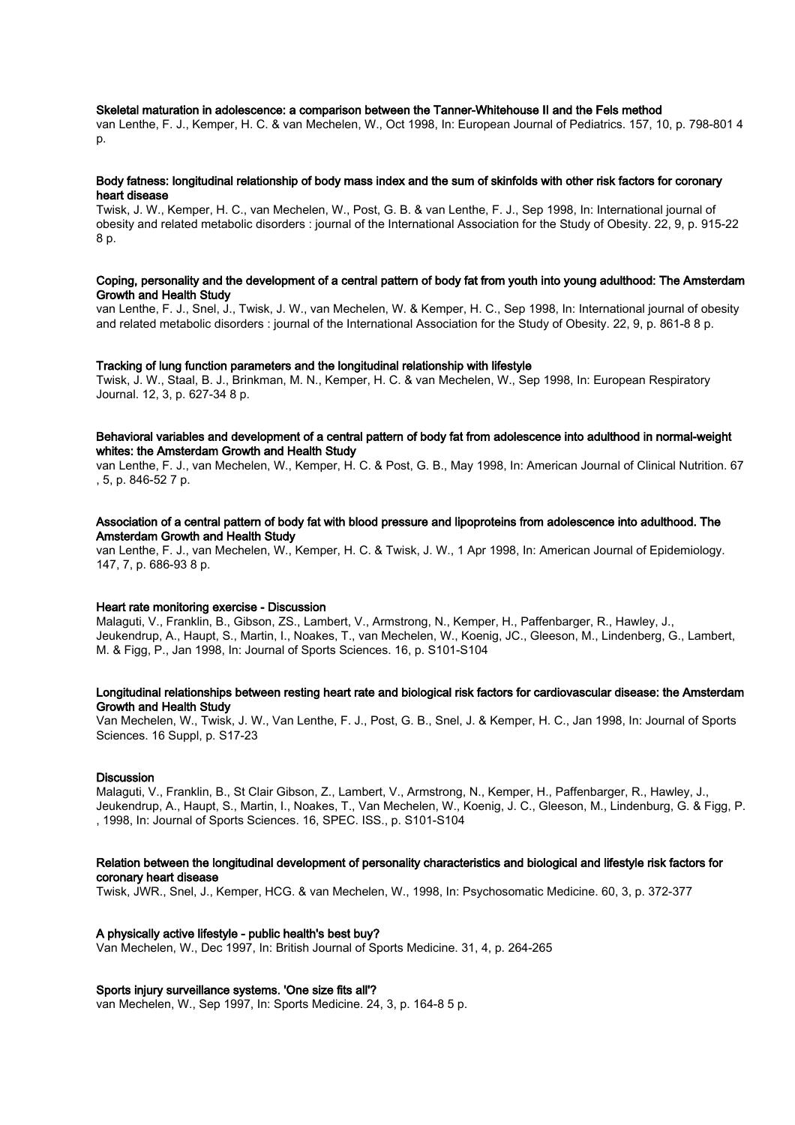#### Skeletal maturation in adolescence: a comparison between the Tanner-Whitehouse II and the Fels method

van Lenthe, F. J., Kemper, H. C. & van Mechelen, W., Oct 1998, In: European Journal of Pediatrics. 157, 10, p. 798-801 4 p.

#### Body fatness: longitudinal relationship of body mass index and the sum of skinfolds with other risk factors for coronary heart disease

Twisk, J. W., Kemper, H. C., van Mechelen, W., Post, G. B. & van Lenthe, F. J., Sep 1998, In: International journal of obesity and related metabolic disorders : journal of the International Association for the Study of Obesity. 22, 9, p. 915-22 8 p.

#### Coping, personality and the development of a central pattern of body fat from youth into young adulthood: The Amsterdam Growth and Health Study

van Lenthe, F. J., Snel, J., Twisk, J. W., van Mechelen, W. & Kemper, H. C., Sep 1998, In: International journal of obesity and related metabolic disorders : journal of the International Association for the Study of Obesity. 22, 9, p. 861-8 8 p.

#### Tracking of lung function parameters and the longitudinal relationship with lifestyle

Twisk, J. W., Staal, B. J., Brinkman, M. N., Kemper, H. C. & van Mechelen, W., Sep 1998, In: European Respiratory Journal. 12, 3, p. 627-34 8 p.

# Behavioral variables and development of a central pattern of body fat from adolescence into adulthood in normal-weight whites: the Amsterdam Growth and Health Study

van Lenthe, F. J., van Mechelen, W., Kemper, H. C. & Post, G. B., May 1998, In: American Journal of Clinical Nutrition. 67 , 5, p. 846-52 7 p.

# Association of a central pattern of body fat with blood pressure and lipoproteins from adolescence into adulthood. The Amsterdam Growth and Health Study

van Lenthe, F. J., van Mechelen, W., Kemper, H. C. & Twisk, J. W., 1 Apr 1998, In: American Journal of Epidemiology. 147, 7, p. 686-93 8 p.

#### Heart rate monitoring exercise - Discussion

Malaguti, V., Franklin, B., Gibson, ZS., Lambert, V., Armstrong, N., Kemper, H., Paffenbarger, R., Hawley, J., Jeukendrup, A., Haupt, S., Martin, I., Noakes, T., van Mechelen, W., Koenig, JC., Gleeson, M., Lindenberg, G., Lambert, M. & Figg, P., Jan 1998, In: Journal of Sports Sciences. 16, p. S101-S104

## Longitudinal relationships between resting heart rate and biological risk factors for cardiovascular disease: the Amsterdam Growth and Health Study

Van Mechelen, W., Twisk, J. W., Van Lenthe, F. J., Post, G. B., Snel, J. & Kemper, H. C., Jan 1998, In: Journal of Sports Sciences. 16 Suppl, p. S17-23

#### **Discussion**

Malaguti, V., Franklin, B., St Clair Gibson, Z., Lambert, V., Armstrong, N., Kemper, H., Paffenbarger, R., Hawley, J., Jeukendrup, A., Haupt, S., Martin, I., Noakes, T., Van Mechelen, W., Koenig, J. C., Gleeson, M., Lindenburg, G. & Figg, P. , 1998, In: Journal of Sports Sciences. 16, SPEC. ISS., p. S101-S104

# Relation between the longitudinal development of personality characteristics and biological and lifestyle risk factors for coronary heart disease

Twisk, JWR., Snel, J., Kemper, HCG. & van Mechelen, W., 1998, In: Psychosomatic Medicine. 60, 3, p. 372-377

#### A physically active lifestyle - public health's best buy?

Van Mechelen, W., Dec 1997, In: British Journal of Sports Medicine. 31, 4, p. 264-265

### Sports injury surveillance systems. 'One size fits all'?

van Mechelen, W., Sep 1997, In: Sports Medicine. 24, 3, p. 164-8 5 p.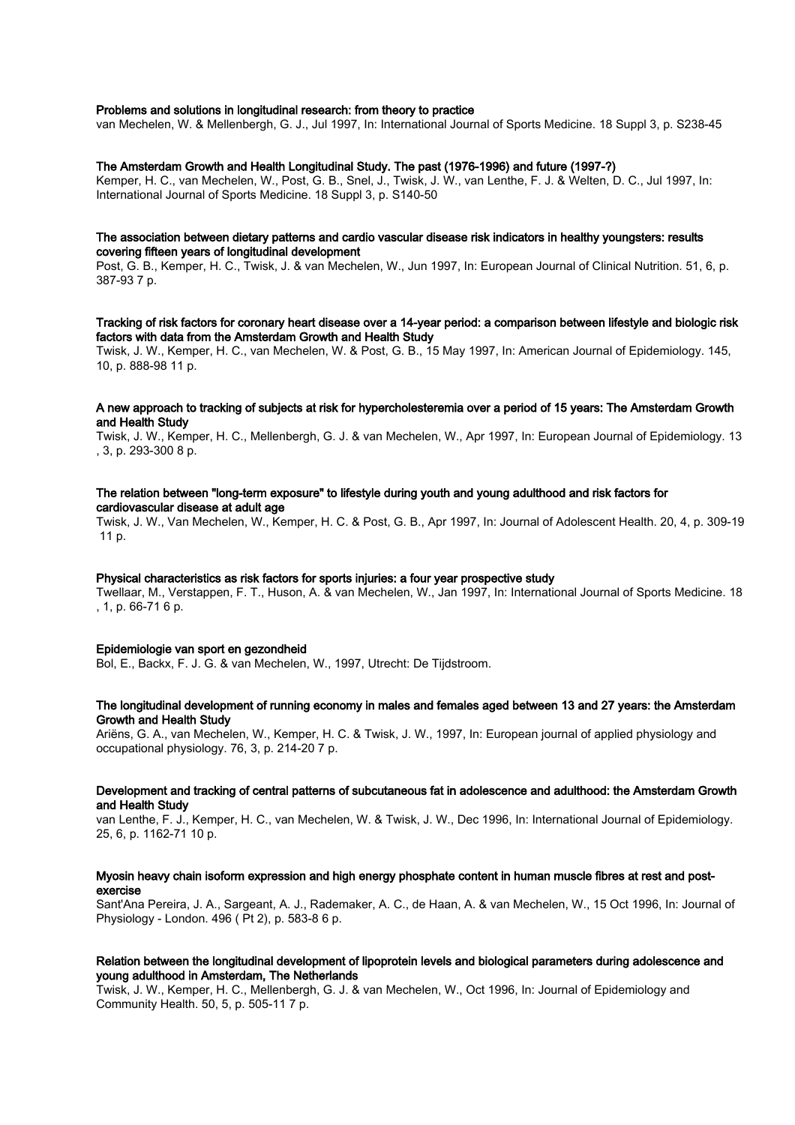## Problems and solutions in longitudinal research: from theory to practice

van Mechelen, W. & Mellenbergh, G. J., Jul 1997, In: International Journal of Sports Medicine. 18 Suppl 3, p. S238-45

# The Amsterdam Growth and Health Longitudinal Study. The past (1976-1996) and future (1997-?)

Kemper, H. C., van Mechelen, W., Post, G. B., Snel, J., Twisk, J. W., van Lenthe, F. J. & Welten, D. C., Jul 1997, In: International Journal of Sports Medicine. 18 Suppl 3, p. S140-50

## The association between dietary patterns and cardio vascular disease risk indicators in healthy youngsters: results covering fifteen years of longitudinal development

Post, G. B., Kemper, H. C., Twisk, J. & van Mechelen, W., Jun 1997, In: European Journal of Clinical Nutrition. 51, 6, p. 387-93 7 p.

# Tracking of risk factors for coronary heart disease over a 14-year period: a comparison between lifestyle and biologic risk factors with data from the Amsterdam Growth and Health Study

Twisk, J. W., Kemper, H. C., van Mechelen, W. & Post, G. B., 15 May 1997, In: American Journal of Epidemiology. 145, 10, p. 888-98 11 p.

#### A new approach to tracking of subjects at risk for hypercholesteremia over a period of 15 years: The Amsterdam Growth and Health Study

Twisk, J. W., Kemper, H. C., Mellenbergh, G. J. & van Mechelen, W., Apr 1997, In: European Journal of Epidemiology. 13 , 3, p. 293-300 8 p.

# The relation between "long-term exposure" to lifestyle during youth and young adulthood and risk factors for cardiovascular disease at adult age

Twisk, J. W., Van Mechelen, W., Kemper, H. C. & Post, G. B., Apr 1997, In: Journal of Adolescent Health. 20, 4, p. 309-19 11 p.

# Physical characteristics as risk factors for sports injuries: a four year prospective study

Twellaar, M., Verstappen, F. T., Huson, A. & van Mechelen, W., Jan 1997, In: International Journal of Sports Medicine. 18 , 1, p. 66-71 6 p.

# Epidemiologie van sport en gezondheid

Bol, E., Backx, F. J. G. & van Mechelen, W., 1997, Utrecht: De Tijdstroom.

# The longitudinal development of running economy in males and females aged between 13 and 27 years: the Amsterdam Growth and Health Study

Ariëns, G. A., van Mechelen, W., Kemper, H. C. & Twisk, J. W., 1997, In: European journal of applied physiology and occupational physiology. 76, 3, p. 214-20 7 p.

### Development and tracking of central patterns of subcutaneous fat in adolescence and adulthood: the Amsterdam Growth and Health Study

van Lenthe, F. J., Kemper, H. C., van Mechelen, W. & Twisk, J. W., Dec 1996, In: International Journal of Epidemiology. 25, 6, p. 1162-71 10 p.

# Myosin heavy chain isoform expression and high energy phosphate content in human muscle fibres at rest and postexercise

Sant'Ana Pereira, J. A., Sargeant, A. J., Rademaker, A. C., de Haan, A. & van Mechelen, W., 15 Oct 1996, In: Journal of Physiology - London. 496 ( Pt 2), p. 583-8 6 p.

# Relation between the longitudinal development of lipoprotein levels and biological parameters during adolescence and young adulthood in Amsterdam, The Netherlands

Twisk, J. W., Kemper, H. C., Mellenbergh, G. J. & van Mechelen, W., Oct 1996, In: Journal of Epidemiology and Community Health. 50, 5, p. 505-11 7 p.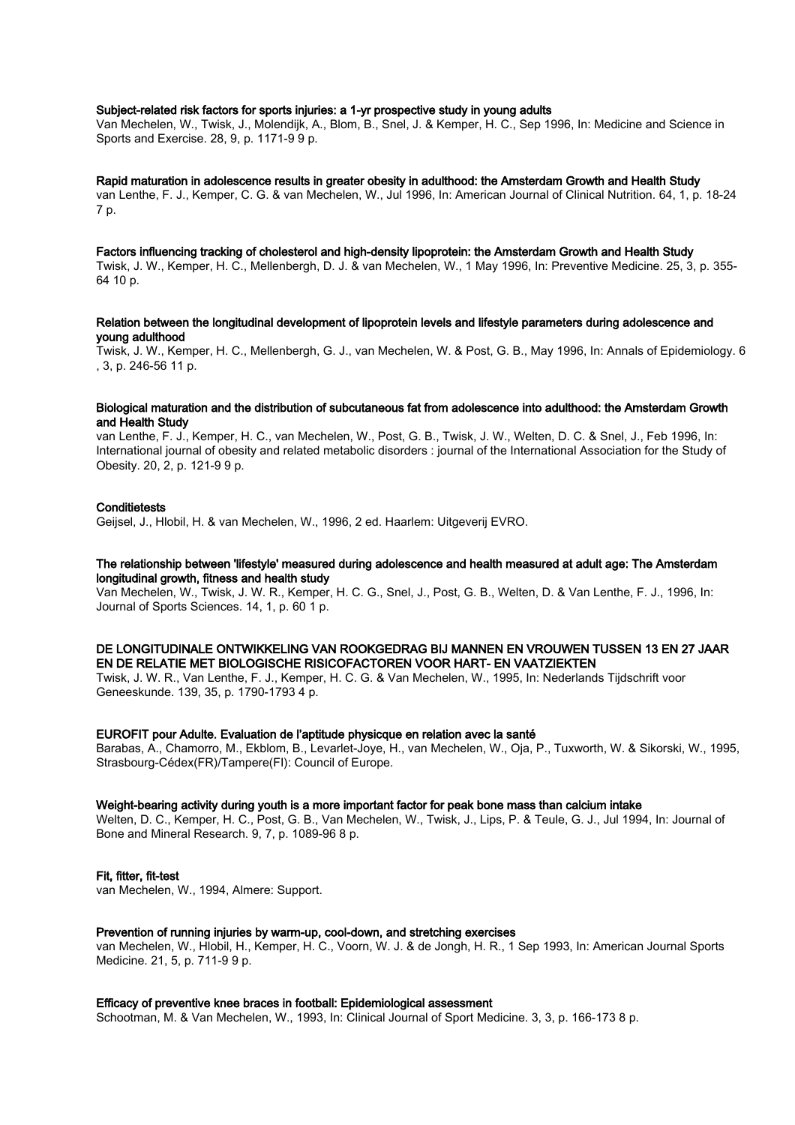# Subject-related risk factors for sports injuries: a 1-yr prospective study in young adults

Van Mechelen, W., Twisk, J., Molendijk, A., Blom, B., Snel, J. & Kemper, H. C., Sep 1996, In: Medicine and Science in Sports and Exercise. 28, 9, p. 1171-9 9 p.

#### Rapid maturation in adolescence results in greater obesity in adulthood: the Amsterdam Growth and Health Study

van Lenthe, F. J., Kemper, C. G. & van Mechelen, W., Jul 1996, In: American Journal of Clinical Nutrition. 64, 1, p. 18-24 7 p.

# Factors influencing tracking of cholesterol and high-density lipoprotein: the Amsterdam Growth and Health Study

Twisk, J. W., Kemper, H. C., Mellenbergh, D. J. & van Mechelen, W., 1 May 1996, In: Preventive Medicine. 25, 3, p. 355- 64 10 p.

## Relation between the longitudinal development of lipoprotein levels and lifestyle parameters during adolescence and young adulthood

Twisk, J. W., Kemper, H. C., Mellenbergh, G. J., van Mechelen, W. & Post, G. B., May 1996, In: Annals of Epidemiology. 6 , 3, p. 246-56 11 p.

#### Biological maturation and the distribution of subcutaneous fat from adolescence into adulthood: the Amsterdam Growth and Health Study

van Lenthe, F. J., Kemper, H. C., van Mechelen, W., Post, G. B., Twisk, J. W., Welten, D. C. & Snel, J., Feb 1996, In: International journal of obesity and related metabolic disorders : journal of the International Association for the Study of Obesity. 20, 2, p. 121-9 9 p.

## **Conditietests**

Geijsel, J., Hlobil, H. & van Mechelen, W., 1996, 2 ed. Haarlem: Uitgeverij EVRO.

# The relationship between 'lifestyle' measured during adolescence and health measured at adult age: The Amsterdam longitudinal growth, fitness and health study

Van Mechelen, W., Twisk, J. W. R., Kemper, H. C. G., Snel, J., Post, G. B., Welten, D. & Van Lenthe, F. J., 1996, In: Journal of Sports Sciences. 14, 1, p. 60 1 p.

# DE LONGITUDINALE ONTWIKKELING VAN ROOKGEDRAG BIJ MANNEN EN VROUWEN TUSSEN 13 EN 27 JAAR EN DE RELATIE MET BIOLOGISCHE RISICOFACTOREN VOOR HART- EN VAATZIEKTEN

Twisk, J. W. R., Van Lenthe, F. J., Kemper, H. C. G. & Van Mechelen, W., 1995, In: Nederlands Tijdschrift voor Geneeskunde. 139, 35, p. 1790-1793 4 p.

#### EUROFIT pour Adulte. Evaluation de l'aptitude physicque en relation avec la santé

Barabas, A., Chamorro, M., Ekblom, B., Levarlet-Joye, H., van Mechelen, W., Oja, P., Tuxworth, W. & Sikorski, W., 1995, Strasbourg-Cédex(FR)/Tampere(FI): Council of Europe.

## Weight-bearing activity during youth is a more important factor for peak bone mass than calcium intake

Welten, D. C., Kemper, H. C., Post, G. B., Van Mechelen, W., Twisk, J., Lips, P. & Teule, G. J., Jul 1994, In: Journal of Bone and Mineral Research. 9, 7, p. 1089-96 8 p.

#### Fit, fitter, fit-test

van Mechelen, W., 1994, Almere: Support.

#### Prevention of running injuries by warm-up, cool-down, and stretching exercises

van Mechelen, W., Hlobil, H., Kemper, H. C., Voorn, W. J. & de Jongh, H. R., 1 Sep 1993, In: American Journal Sports Medicine. 21, 5, p. 711-9 9 p.

## Efficacy of preventive knee braces in football: Epidemiological assessment

Schootman, M. & Van Mechelen, W., 1993, In: Clinical Journal of Sport Medicine. 3, 3, p. 166-173 8 p.